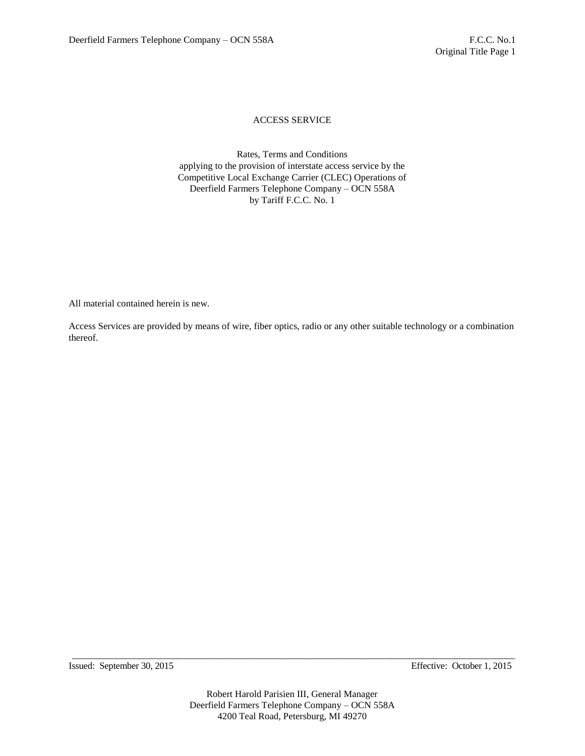Rates, Terms and Conditions applying to the provision of interstate access service by the Competitive Local Exchange Carrier (CLEC) Operations of Deerfield Farmers Telephone Company – OCN 558A by Tariff F.C.C. No. 1

All material contained herein is new.

Access Services are provided by means of wire, fiber optics, radio or any other suitable technology or a combination thereof.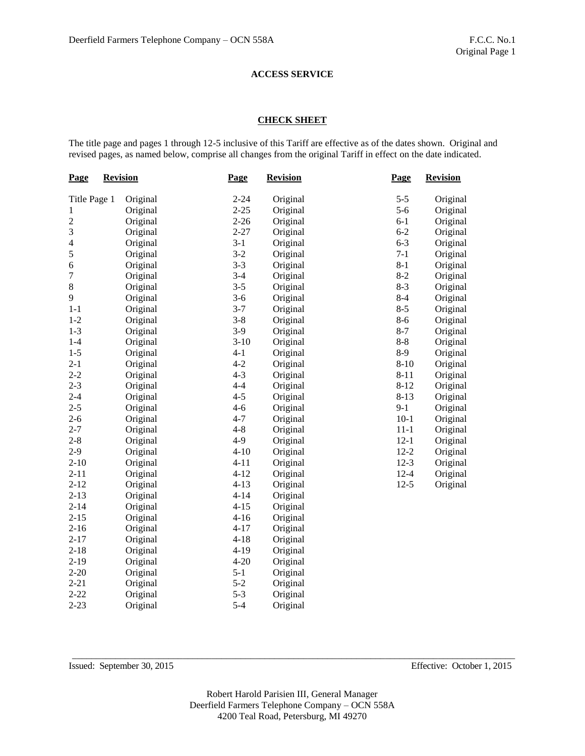### **CHECK SHEET**

The title page and pages 1 through 12-5 inclusive of this Tariff are effective as of the dates shown. Original and revised pages, as named below, comprise all changes from the original Tariff in effect on the date indicated.

| <b>Page</b>             | <b>Revision</b> |          | Page     | <b>Revision</b> |          | <b>Revision</b> |  |
|-------------------------|-----------------|----------|----------|-----------------|----------|-----------------|--|
| Title Page 1            |                 | Original | $2 - 24$ | Original        | $5 - 5$  | Original        |  |
| 1                       |                 | Original | $2 - 25$ | Original        | $5 - 6$  | Original        |  |
| $\overline{c}$          |                 | Original | $2 - 26$ | Original        | $6-1$    | Original        |  |
| 3                       |                 | Original | $2 - 27$ | Original        | $6 - 2$  | Original        |  |
| $\overline{\mathbf{4}}$ |                 | Original | $3-1$    | Original        | $6 - 3$  | Original        |  |
| 5                       |                 | Original | $3-2$    | Original        | $7-1$    | Original        |  |
| 6                       |                 | Original | $3 - 3$  | Original        | $8 - 1$  | Original        |  |
| $\overline{7}$          |                 | Original | $3-4$    | Original        | $8 - 2$  | Original        |  |
| 8                       |                 | Original | $3 - 5$  | Original        | $8-3$    | Original        |  |
| 9                       |                 | Original | $3 - 6$  | Original        | $8 - 4$  | Original        |  |
| $1 - 1$                 |                 | Original | $3 - 7$  | Original        | $8 - 5$  | Original        |  |
| $1 - 2$                 |                 | Original | $3 - 8$  | Original        | $8 - 6$  | Original        |  |
| $1 - 3$                 |                 | Original | $3-9$    | Original        | $8 - 7$  | Original        |  |
| $1-4$                   |                 | Original | $3 - 10$ | Original        | $8 - 8$  | Original        |  |
| $1 - 5$                 |                 | Original | $4 - 1$  | Original        | $8-9$    | Original        |  |
| $2 - 1$                 |                 | Original | $4 - 2$  | Original        | $8 - 10$ | Original        |  |
| $2 - 2$                 |                 | Original | $4 - 3$  | Original        | $8 - 11$ | Original        |  |
| $2 - 3$                 |                 | Original | $4 - 4$  | Original        | $8 - 12$ | Original        |  |
| $2 - 4$                 |                 | Original | $4 - 5$  | Original        | $8 - 13$ | Original        |  |
| $2 - 5$                 |                 | Original | $4 - 6$  | Original        | $9-1$    | Original        |  |
| $2 - 6$                 |                 | Original | $4 - 7$  | Original        | $10-1$   | Original        |  |
| $2 - 7$                 |                 | Original | $4 - 8$  | Original        | $11 - 1$ | Original        |  |
| $2 - 8$                 |                 | Original | $4-9$    | Original        | $12 - 1$ | Original        |  |
| $2-9$                   |                 | Original | $4 - 10$ | Original        | $12 - 2$ | Original        |  |
| $2 - 10$                |                 | Original | $4 - 11$ | Original        | $12-3$   | Original        |  |
| $2 - 11$                |                 | Original | $4 - 12$ | Original        | $12 - 4$ | Original        |  |
| $2 - 12$                |                 | Original | $4 - 13$ | Original        | $12 - 5$ | Original        |  |
| $2 - 13$                |                 | Original | $4 - 14$ | Original        |          |                 |  |
| $2 - 14$                |                 | Original | $4 - 15$ | Original        |          |                 |  |
| $2 - 15$                |                 | Original | $4 - 16$ | Original        |          |                 |  |
| $2 - 16$                |                 | Original | $4 - 17$ | Original        |          |                 |  |
| $2 - 17$                |                 | Original | $4 - 18$ | Original        |          |                 |  |
| $2 - 18$                |                 | Original | $4 - 19$ | Original        |          |                 |  |
| $2 - 19$                |                 | Original | $4 - 20$ | Original        |          |                 |  |
| $2 - 20$                |                 | Original | $5 - 1$  | Original        |          |                 |  |
| $2 - 21$                |                 | Original | $5 - 2$  | Original        |          |                 |  |
| $2 - 22$                |                 | Original | $5 - 3$  | Original        |          |                 |  |
| $2 - 23$                |                 | Original | $5 - 4$  | Original        |          |                 |  |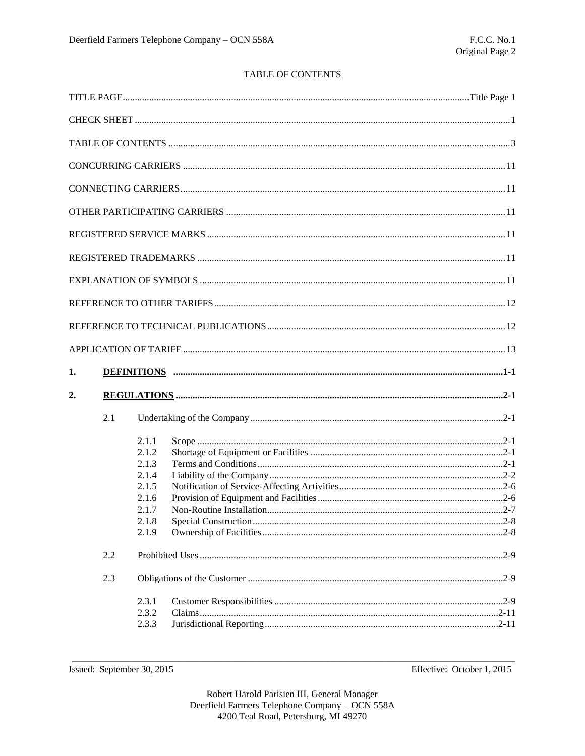# **TABLE OF CONTENTS**

| 1. |     |                                                                               |  |  |
|----|-----|-------------------------------------------------------------------------------|--|--|
| 2. |     |                                                                               |  |  |
|    | 2.1 |                                                                               |  |  |
|    |     | 2.1.1<br>2.1.2<br>2.1.3<br>2.1.4<br>2.1.5<br>2.1.6<br>2.1.7<br>2.1.8<br>2.1.9 |  |  |
|    | 2.2 |                                                                               |  |  |
|    | 2.3 |                                                                               |  |  |
|    |     | 2.3.1<br>2.3.2<br>2.3.3                                                       |  |  |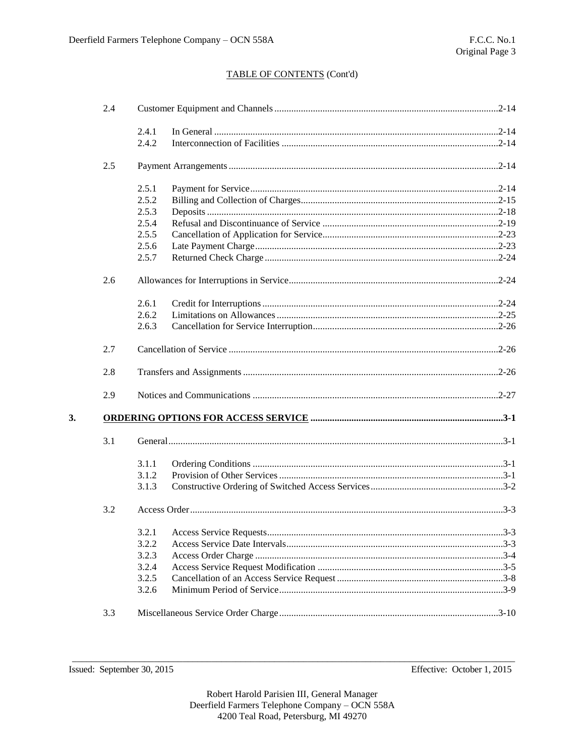| 2.4 |       |  |
|-----|-------|--|
|     | 2.4.1 |  |
|     | 2.4.2 |  |
| 2.5 |       |  |
|     | 2.5.1 |  |
|     | 2.5.2 |  |
|     | 2.5.3 |  |
|     | 2.5.4 |  |
|     | 2.5.5 |  |
|     | 2.5.6 |  |
|     | 2.5.7 |  |
| 2.6 |       |  |
|     | 2.6.1 |  |
|     | 2.6.2 |  |
|     | 2.6.3 |  |
| 2.7 |       |  |
| 2.8 |       |  |
| 2.9 |       |  |
|     |       |  |
| 3.1 |       |  |
|     | 3.1.1 |  |
|     | 3.1.2 |  |
|     | 3.1.3 |  |
| 3.2 |       |  |
|     |       |  |
|     | 3.2.2 |  |
|     | 3.2.3 |  |
|     | 3.2.4 |  |
|     | 3.2.5 |  |
|     | 3.2.6 |  |
| 3.3 |       |  |
|     |       |  |

 $3.$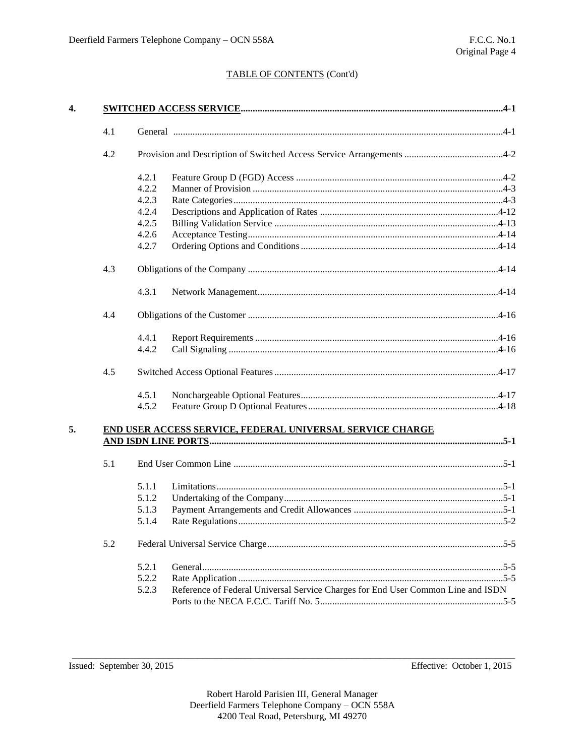| 4.1 |       |                                                                                  |  |
|-----|-------|----------------------------------------------------------------------------------|--|
| 4.2 |       |                                                                                  |  |
|     | 4.2.1 |                                                                                  |  |
|     | 4.2.2 |                                                                                  |  |
|     | 4.2.3 |                                                                                  |  |
|     | 4.2.4 |                                                                                  |  |
|     | 4.2.5 |                                                                                  |  |
|     | 4.2.6 |                                                                                  |  |
|     | 4.2.7 |                                                                                  |  |
| 4.3 |       |                                                                                  |  |
|     | 4.3.1 |                                                                                  |  |
| 4.4 |       |                                                                                  |  |
|     | 4.4.1 |                                                                                  |  |
|     | 4.4.2 |                                                                                  |  |
| 4.5 |       |                                                                                  |  |
|     | 4.5.1 |                                                                                  |  |
|     | 4.5.2 |                                                                                  |  |
|     |       | END USER ACCESS SERVICE, FEDERAL UNIVERSAL SERVICE CHARGE                        |  |
| 5.1 |       |                                                                                  |  |
|     |       |                                                                                  |  |
|     | 5.1.1 |                                                                                  |  |
|     | 5.1.2 |                                                                                  |  |
|     | 5.1.3 |                                                                                  |  |
|     | 5.1.4 |                                                                                  |  |
| 5.2 |       |                                                                                  |  |
|     | 5.2.1 |                                                                                  |  |
|     |       |                                                                                  |  |
|     | 5.2.2 | Reference of Federal Universal Service Charges for End User Common Line and ISDN |  |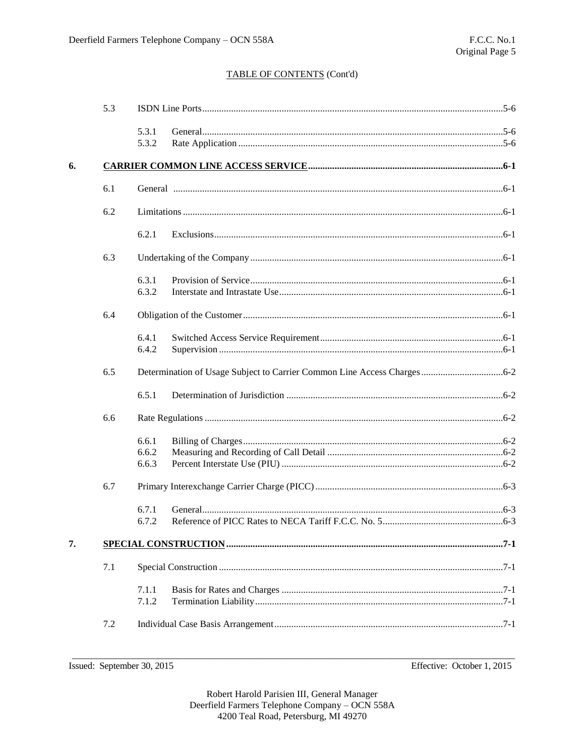|    | 5.3 |                |  |  |  |  |
|----|-----|----------------|--|--|--|--|
|    |     | 5.3.1<br>5.3.2 |  |  |  |  |
| 6. |     |                |  |  |  |  |
|    | 6.1 |                |  |  |  |  |
|    | 6.2 |                |  |  |  |  |
|    |     | 6.2.1          |  |  |  |  |
|    | 6.3 |                |  |  |  |  |
|    |     | 6.3.1          |  |  |  |  |
|    |     | 6.3.2          |  |  |  |  |
|    | 6.4 |                |  |  |  |  |
|    |     | 6.4.1          |  |  |  |  |
|    |     | 6.4.2          |  |  |  |  |
|    | 6.5 |                |  |  |  |  |
|    |     | 6.5.1          |  |  |  |  |
|    | 6.6 |                |  |  |  |  |
|    |     | 6.6.1          |  |  |  |  |
|    |     | 6.6.2          |  |  |  |  |
|    |     | 6.6.3          |  |  |  |  |
|    | 6.7 |                |  |  |  |  |
|    |     | 6.7.1          |  |  |  |  |
|    |     | 6.7.2          |  |  |  |  |
| 7. |     |                |  |  |  |  |
|    | 7.1 |                |  |  |  |  |
|    |     | 7.1.1          |  |  |  |  |
|    |     | 7.1.2          |  |  |  |  |
|    | 7.2 |                |  |  |  |  |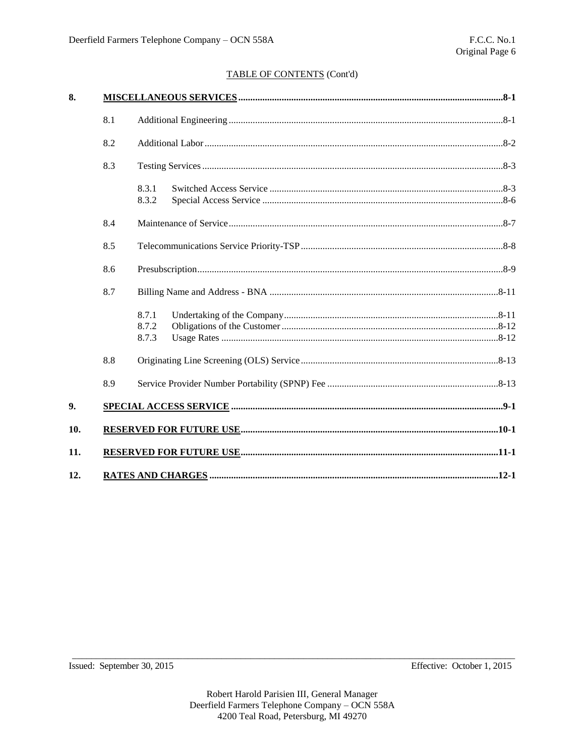| 8.  |     |                         |
|-----|-----|-------------------------|
|     | 8.1 |                         |
|     | 8.2 |                         |
|     | 8.3 |                         |
|     |     | 8.3.1<br>8.3.2          |
|     | 8.4 |                         |
|     | 8.5 |                         |
|     | 8.6 |                         |
|     | 8.7 |                         |
|     |     | 8.7.1<br>8.7.2<br>8.7.3 |
|     | 8.8 |                         |
|     | 8.9 |                         |
| 9.  |     |                         |
| 10. |     |                         |
| 11. |     |                         |
| 12. |     |                         |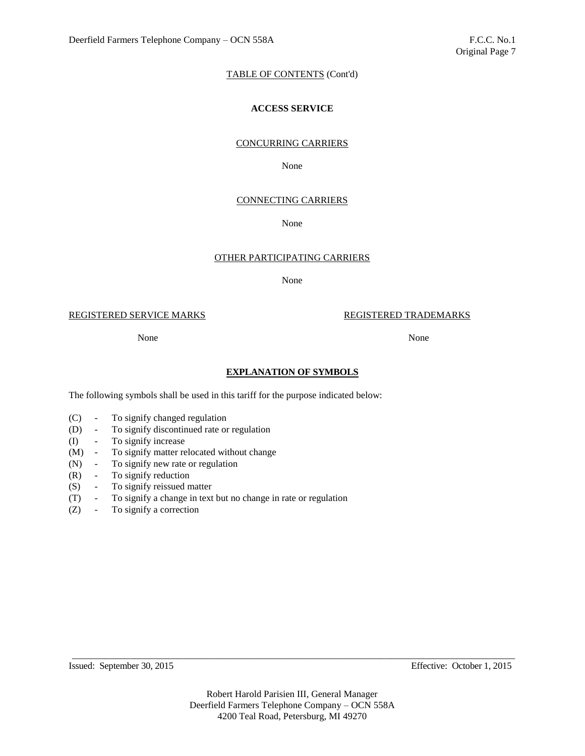# **ACCESS SERVICE**

### CONCURRING CARRIERS

None

### CONNECTING CARRIERS

#### None

### OTHER PARTICIPATING CARRIERS

None

REGISTERED SERVICE MARKS REGISTERED TRADEMARKS

None None

## **EXPLANATION OF SYMBOLS**

The following symbols shall be used in this tariff for the purpose indicated below:

- (C) To signify changed regulation
- (D) To signify discontinued rate or regulation
- (I) To signify increase
- (M) To signify matter relocated without change
- (N) To signify new rate or regulation
- (R) To signify reduction
- (S) To signify reissued matter
- (T) To signify a change in text but no change in rate or regulation
- (Z) To signify a correction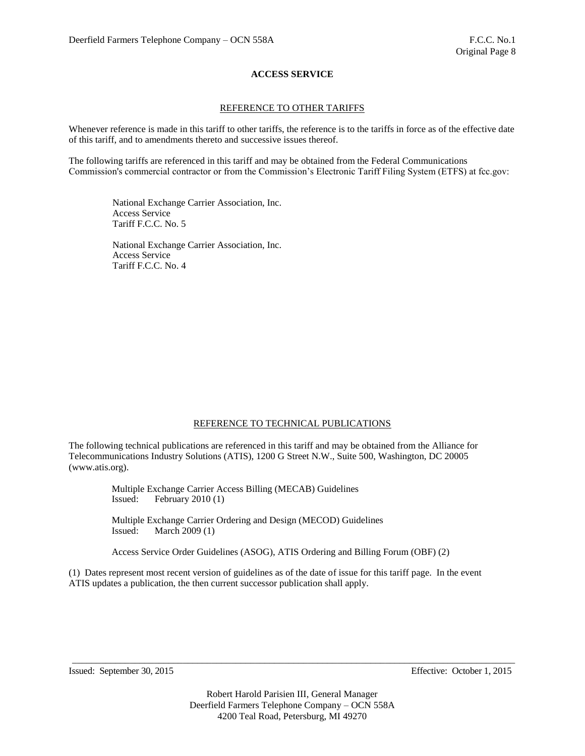# REFERENCE TO OTHER TARIFFS

Whenever reference is made in this tariff to other tariffs, the reference is to the tariffs in force as of the effective date of this tariff, and to amendments thereto and successive issues thereof.

The following tariffs are referenced in this tariff and may be obtained from the Federal Communications Commission's commercial contractor or from the Commission's Electronic Tariff Filing System (ETFS) at fcc.gov:

National Exchange Carrier Association, Inc. Access Service Tariff F.C.C. No. 5

National Exchange Carrier Association, Inc. Access Service Tariff F.C.C. No. 4

#### REFERENCE TO TECHNICAL PUBLICATIONS

The following technical publications are referenced in this tariff and may be obtained from the Alliance for Telecommunications Industry Solutions (ATIS), 1200 G Street N.W., Suite 500, Washington, DC 20005 (www.atis.org).

> Multiple Exchange Carrier Access Billing (MECAB) Guidelines Issued: February 2010 (1)

Multiple Exchange Carrier Ordering and Design (MECOD) Guidelines Issued: March 2009 (1)

Access Service Order Guidelines (ASOG), ATIS Ordering and Billing Forum (OBF) (2)

(1) Dates represent most recent version of guidelines as of the date of issue for this tariff page. In the event ATIS updates a publication, the then current successor publication shall apply.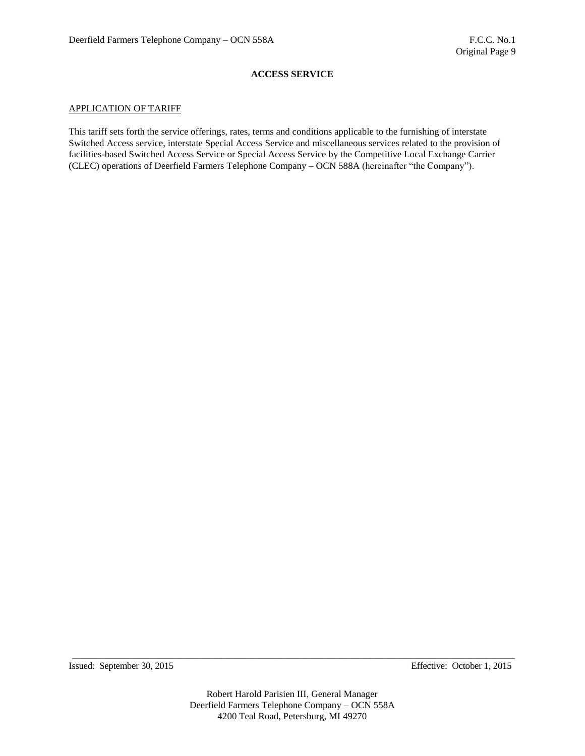#### APPLICATION OF TARIFF

This tariff sets forth the service offerings, rates, terms and conditions applicable to the furnishing of interstate Switched Access service, interstate Special Access Service and miscellaneous services related to the provision of facilities-based Switched Access Service or Special Access Service by the Competitive Local Exchange Carrier (CLEC) operations of Deerfield Farmers Telephone Company – OCN 588A (hereinafter "the Company").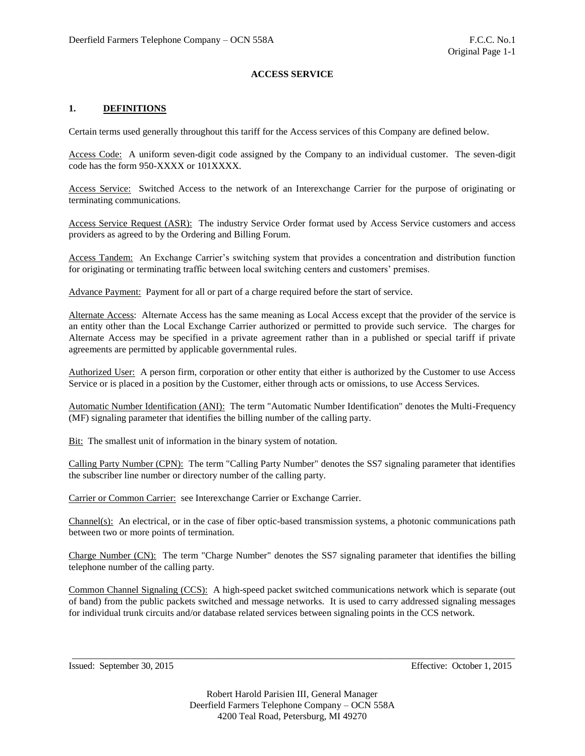# **1. DEFINITIONS**

Certain terms used generally throughout this tariff for the Access services of this Company are defined below.

Access Code: A uniform seven-digit code assigned by the Company to an individual customer. The seven-digit code has the form 950-XXXX or 101XXXX.

Access Service: Switched Access to the network of an Interexchange Carrier for the purpose of originating or terminating communications.

Access Service Request (ASR): The industry Service Order format used by Access Service customers and access providers as agreed to by the Ordering and Billing Forum.

Access Tandem: An Exchange Carrier's switching system that provides a concentration and distribution function for originating or terminating traffic between local switching centers and customers' premises.

Advance Payment: Payment for all or part of a charge required before the start of service.

Alternate Access: Alternate Access has the same meaning as Local Access except that the provider of the service is an entity other than the Local Exchange Carrier authorized or permitted to provide such service. The charges for Alternate Access may be specified in a private agreement rather than in a published or special tariff if private agreements are permitted by applicable governmental rules.

Authorized User: A person firm, corporation or other entity that either is authorized by the Customer to use Access Service or is placed in a position by the Customer, either through acts or omissions, to use Access Services.

Automatic Number Identification (ANI): The term "Automatic Number Identification" denotes the Multi-Frequency (MF) signaling parameter that identifies the billing number of the calling party.

Bit: The smallest unit of information in the binary system of notation.

Calling Party Number (CPN): The term "Calling Party Number" denotes the SS7 signaling parameter that identifies the subscriber line number or directory number of the calling party.

Carrier or Common Carrier: see Interexchange Carrier or Exchange Carrier.

Channel(s): An electrical, or in the case of fiber optic-based transmission systems, a photonic communications path between two or more points of termination.

Charge Number (CN): The term "Charge Number" denotes the SS7 signaling parameter that identifies the billing telephone number of the calling party.

Common Channel Signaling (CCS): A high-speed packet switched communications network which is separate (out of band) from the public packets switched and message networks. It is used to carry addressed signaling messages for individual trunk circuits and/or database related services between signaling points in the CCS network.

Issued: September 30, 2015 Effective: October 1, 2015

Robert Harold Parisien III, General Manager Deerfield Farmers Telephone Company – OCN 558A 4200 Teal Road, Petersburg, MI 49270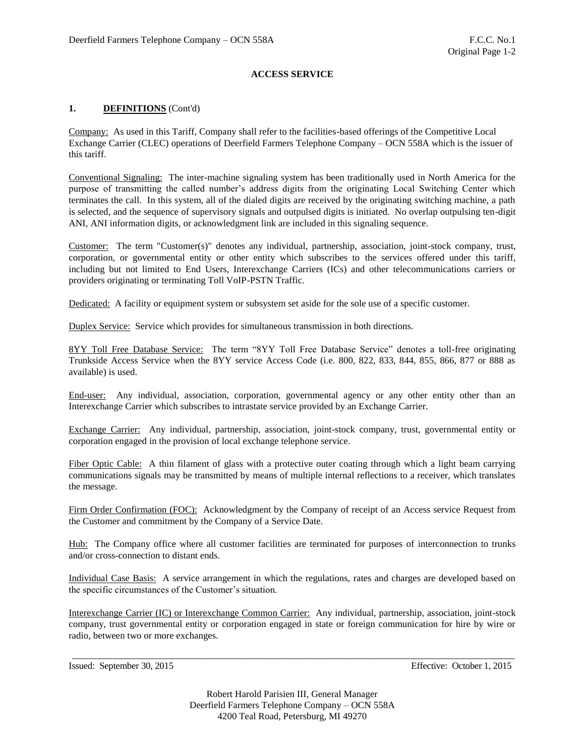# **1. DEFINITIONS** (Cont'd)

Company: As used in this Tariff, Company shall refer to the facilities-based offerings of the Competitive Local Exchange Carrier (CLEC) operations of Deerfield Farmers Telephone Company – OCN 558A which is the issuer of this tariff.

Conventional Signaling: The inter-machine signaling system has been traditionally used in North America for the purpose of transmitting the called number's address digits from the originating Local Switching Center which terminates the call. In this system, all of the dialed digits are received by the originating switching machine, a path is selected, and the sequence of supervisory signals and outpulsed digits is initiated. No overlap outpulsing ten-digit ANI, ANI information digits, or acknowledgment link are included in this signaling sequence.

Customer: The term "Customer(s)" denotes any individual, partnership, association, joint-stock company, trust, corporation, or governmental entity or other entity which subscribes to the services offered under this tariff, including but not limited to End Users, Interexchange Carriers (ICs) and other telecommunications carriers or providers originating or terminating Toll VoIP-PSTN Traffic.

Dedicated: A facility or equipment system or subsystem set aside for the sole use of a specific customer.

Duplex Service: Service which provides for simultaneous transmission in both directions.

8YY Toll Free Database Service: The term "8YY Toll Free Database Service" denotes a toll-free originating Trunkside Access Service when the 8YY service Access Code (i.e. 800, 822, 833, 844, 855, 866, 877 or 888 as available) is used.

End-user: Any individual, association, corporation, governmental agency or any other entity other than an Interexchange Carrier which subscribes to intrastate service provided by an Exchange Carrier.

Exchange Carrier: Any individual, partnership, association, joint-stock company, trust, governmental entity or corporation engaged in the provision of local exchange telephone service.

Fiber Optic Cable: A thin filament of glass with a protective outer coating through which a light beam carrying communications signals may be transmitted by means of multiple internal reflections to a receiver, which translates the message.

Firm Order Confirmation (FOC): Acknowledgment by the Company of receipt of an Access service Request from the Customer and commitment by the Company of a Service Date.

Hub: The Company office where all customer facilities are terminated for purposes of interconnection to trunks and/or cross-connection to distant ends.

Individual Case Basis: A service arrangement in which the regulations, rates and charges are developed based on the specific circumstances of the Customer's situation.

Interexchange Carrier (IC) or Interexchange Common Carrier: Any individual, partnership, association, joint-stock company, trust governmental entity or corporation engaged in state or foreign communication for hire by wire or radio, between two or more exchanges.

\_\_\_\_\_\_\_\_\_\_\_\_\_\_\_\_\_\_\_\_\_\_\_\_\_\_\_\_\_\_\_\_\_\_\_\_\_\_\_\_\_\_\_\_\_\_\_\_\_\_\_\_\_\_\_\_\_\_\_\_\_\_\_\_\_\_\_\_\_\_\_\_\_\_\_\_\_\_\_\_\_\_\_\_\_\_\_\_\_\_\_\_

Issued: September 30, 2015 Effective: October 1, 2015

Robert Harold Parisien III, General Manager Deerfield Farmers Telephone Company – OCN 558A 4200 Teal Road, Petersburg, MI 49270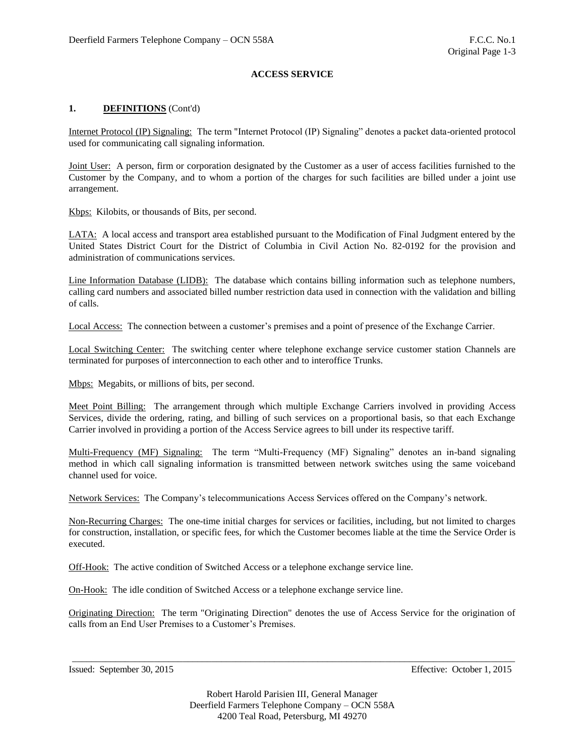# **1. DEFINITIONS** (Cont'd)

Internet Protocol (IP) Signaling: The term "Internet Protocol (IP) Signaling" denotes a packet data-oriented protocol used for communicating call signaling information.

Joint User: A person, firm or corporation designated by the Customer as a user of access facilities furnished to the Customer by the Company, and to whom a portion of the charges for such facilities are billed under a joint use arrangement.

Kbps: Kilobits, or thousands of Bits, per second.

LATA: A local access and transport area established pursuant to the Modification of Final Judgment entered by the United States District Court for the District of Columbia in Civil Action No. 82-0192 for the provision and administration of communications services.

Line Information Database (LIDB): The database which contains billing information such as telephone numbers, calling card numbers and associated billed number restriction data used in connection with the validation and billing of calls.

Local Access: The connection between a customer's premises and a point of presence of the Exchange Carrier.

Local Switching Center: The switching center where telephone exchange service customer station Channels are terminated for purposes of interconnection to each other and to interoffice Trunks.

Mbps: Megabits, or millions of bits, per second.

Meet Point Billing: The arrangement through which multiple Exchange Carriers involved in providing Access Services, divide the ordering, rating, and billing of such services on a proportional basis, so that each Exchange Carrier involved in providing a portion of the Access Service agrees to bill under its respective tariff.

Multi-Frequency (MF) Signaling: The term "Multi-Frequency (MF) Signaling" denotes an in-band signaling method in which call signaling information is transmitted between network switches using the same voiceband channel used for voice.

Network Services: The Company's telecommunications Access Services offered on the Company's network.

Non-Recurring Charges: The one-time initial charges for services or facilities, including, but not limited to charges for construction, installation, or specific fees, for which the Customer becomes liable at the time the Service Order is executed.

Off-Hook: The active condition of Switched Access or a telephone exchange service line.

On-Hook: The idle condition of Switched Access or a telephone exchange service line.

Originating Direction: The term "Originating Direction" denotes the use of Access Service for the origination of calls from an End User Premises to a Customer's Premises.

\_\_\_\_\_\_\_\_\_\_\_\_\_\_\_\_\_\_\_\_\_\_\_\_\_\_\_\_\_\_\_\_\_\_\_\_\_\_\_\_\_\_\_\_\_\_\_\_\_\_\_\_\_\_\_\_\_\_\_\_\_\_\_\_\_\_\_\_\_\_\_\_\_\_\_\_\_\_\_\_\_\_\_\_\_\_\_\_\_\_\_\_

Issued: September 30, 2015 Effective: October 1, 2015

Robert Harold Parisien III, General Manager Deerfield Farmers Telephone Company – OCN 558A 4200 Teal Road, Petersburg, MI 49270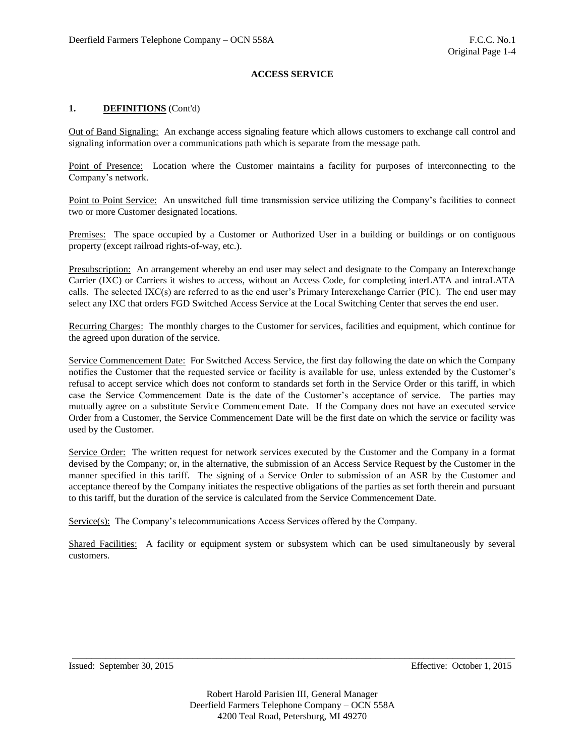# **1. DEFINITIONS** (Cont'd)

Out of Band Signaling: An exchange access signaling feature which allows customers to exchange call control and signaling information over a communications path which is separate from the message path.

Point of Presence: Location where the Customer maintains a facility for purposes of interconnecting to the Company's network.

Point to Point Service: An unswitched full time transmission service utilizing the Company's facilities to connect two or more Customer designated locations.

Premises: The space occupied by a Customer or Authorized User in a building or buildings or on contiguous property (except railroad rights-of-way, etc.).

Presubscription: An arrangement whereby an end user may select and designate to the Company an Interexchange Carrier (IXC) or Carriers it wishes to access, without an Access Code, for completing interLATA and intraLATA calls. The selected IXC(s) are referred to as the end user's Primary Interexchange Carrier (PIC). The end user may select any IXC that orders FGD Switched Access Service at the Local Switching Center that serves the end user.

Recurring Charges: The monthly charges to the Customer for services, facilities and equipment, which continue for the agreed upon duration of the service.

Service Commencement Date: For Switched Access Service, the first day following the date on which the Company notifies the Customer that the requested service or facility is available for use, unless extended by the Customer's refusal to accept service which does not conform to standards set forth in the Service Order or this tariff, in which case the Service Commencement Date is the date of the Customer's acceptance of service. The parties may mutually agree on a substitute Service Commencement Date. If the Company does not have an executed service Order from a Customer, the Service Commencement Date will be the first date on which the service or facility was used by the Customer.

Service Order: The written request for network services executed by the Customer and the Company in a format devised by the Company; or, in the alternative, the submission of an Access Service Request by the Customer in the manner specified in this tariff. The signing of a Service Order to submission of an ASR by the Customer and acceptance thereof by the Company initiates the respective obligations of the parties as set forth therein and pursuant to this tariff, but the duration of the service is calculated from the Service Commencement Date.

Service(s): The Company's telecommunications Access Services offered by the Company.

Shared Facilities: A facility or equipment system or subsystem which can be used simultaneously by several customers.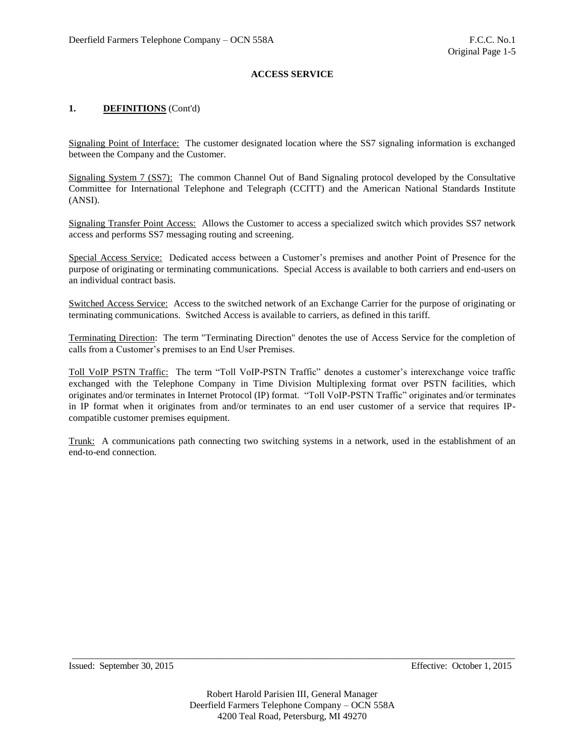# **1. DEFINITIONS** (Cont'd)

Signaling Point of Interface: The customer designated location where the SS7 signaling information is exchanged between the Company and the Customer.

Signaling System 7 (SS7): The common Channel Out of Band Signaling protocol developed by the Consultative Committee for International Telephone and Telegraph (CCITT) and the American National Standards Institute (ANSI).

Signaling Transfer Point Access: Allows the Customer to access a specialized switch which provides SS7 network access and performs SS7 messaging routing and screening.

Special Access Service: Dedicated access between a Customer's premises and another Point of Presence for the purpose of originating or terminating communications. Special Access is available to both carriers and end-users on an individual contract basis.

Switched Access Service: Access to the switched network of an Exchange Carrier for the purpose of originating or terminating communications. Switched Access is available to carriers, as defined in this tariff.

Terminating Direction: The term "Terminating Direction" denotes the use of Access Service for the completion of calls from a Customer's premises to an End User Premises.

Toll VoIP PSTN Traffic: The term "Toll VoIP-PSTN Traffic" denotes a customer's interexchange voice traffic exchanged with the Telephone Company in Time Division Multiplexing format over PSTN facilities, which originates and/or terminates in Internet Protocol (IP) format. "Toll VoIP-PSTN Traffic" originates and/or terminates in IP format when it originates from and/or terminates to an end user customer of a service that requires IPcompatible customer premises equipment.

Trunk: A communications path connecting two switching systems in a network, used in the establishment of an end-to-end connection.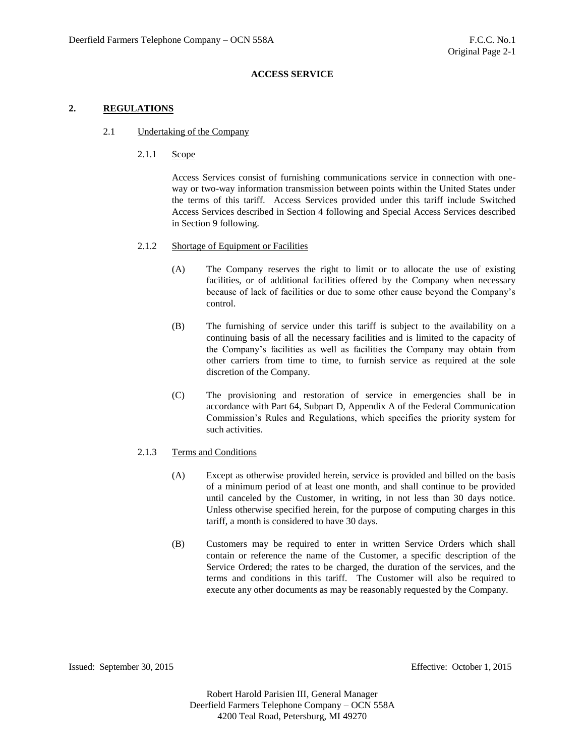# **2. REGULATIONS**

#### 2.1 Undertaking of the Company

### 2.1.1 Scope

Access Services consist of furnishing communications service in connection with oneway or two-way information transmission between points within the United States under the terms of this tariff. Access Services provided under this tariff include Switched Access Services described in Section 4 following and Special Access Services described in Section 9 following.

#### 2.1.2 Shortage of Equipment or Facilities

- (A) The Company reserves the right to limit or to allocate the use of existing facilities, or of additional facilities offered by the Company when necessary because of lack of facilities or due to some other cause beyond the Company's control.
- (B) The furnishing of service under this tariff is subject to the availability on a continuing basis of all the necessary facilities and is limited to the capacity of the Company's facilities as well as facilities the Company may obtain from other carriers from time to time, to furnish service as required at the sole discretion of the Company.
- (C) The provisioning and restoration of service in emergencies shall be in accordance with Part 64, Subpart D, Appendix A of the Federal Communication Commission's Rules and Regulations, which specifies the priority system for such activities.

# 2.1.3 Terms and Conditions

- (A) Except as otherwise provided herein, service is provided and billed on the basis of a minimum period of at least one month, and shall continue to be provided until canceled by the Customer, in writing, in not less than 30 days notice. Unless otherwise specified herein, for the purpose of computing charges in this tariff, a month is considered to have 30 days.
- (B) Customers may be required to enter in written Service Orders which shall contain or reference the name of the Customer, a specific description of the Service Ordered; the rates to be charged, the duration of the services, and the terms and conditions in this tariff. The Customer will also be required to execute any other documents as may be reasonably requested by the Company.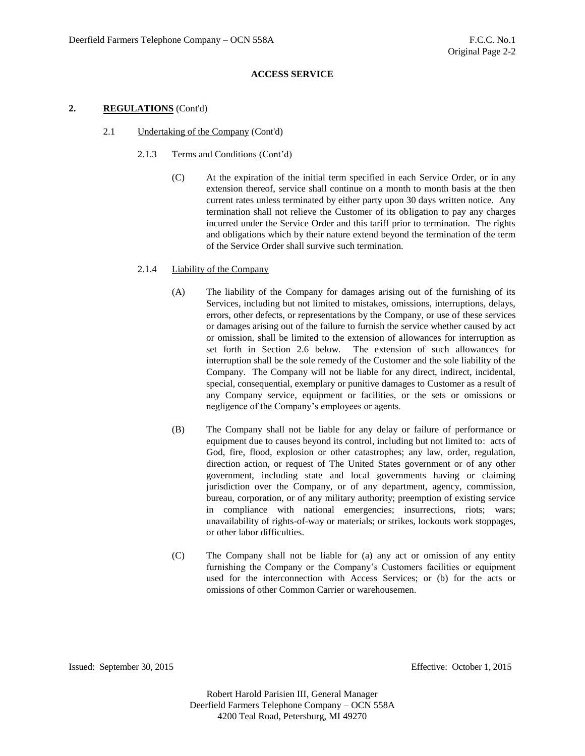#### **2. REGULATIONS** (Cont'd)

- 2.1 Undertaking of the Company (Cont'd)
	- 2.1.3 Terms and Conditions (Cont'd)
		- (C) At the expiration of the initial term specified in each Service Order, or in any extension thereof, service shall continue on a month to month basis at the then current rates unless terminated by either party upon 30 days written notice. Any termination shall not relieve the Customer of its obligation to pay any charges incurred under the Service Order and this tariff prior to termination. The rights and obligations which by their nature extend beyond the termination of the term of the Service Order shall survive such termination.

#### 2.1.4 Liability of the Company

- (A) The liability of the Company for damages arising out of the furnishing of its Services, including but not limited to mistakes, omissions, interruptions, delays, errors, other defects, or representations by the Company, or use of these services or damages arising out of the failure to furnish the service whether caused by act or omission, shall be limited to the extension of allowances for interruption as set forth in Section 2.6 below. The extension of such allowances for interruption shall be the sole remedy of the Customer and the sole liability of the Company. The Company will not be liable for any direct, indirect, incidental, special, consequential, exemplary or punitive damages to Customer as a result of any Company service, equipment or facilities, or the sets or omissions or negligence of the Company's employees or agents.
- (B) The Company shall not be liable for any delay or failure of performance or equipment due to causes beyond its control, including but not limited to: acts of God, fire, flood, explosion or other catastrophes; any law, order, regulation, direction action, or request of The United States government or of any other government, including state and local governments having or claiming jurisdiction over the Company, or of any department, agency, commission, bureau, corporation, or of any military authority; preemption of existing service in compliance with national emergencies; insurrections, riots; wars; unavailability of rights-of-way or materials; or strikes, lockouts work stoppages, or other labor difficulties.
- (C) The Company shall not be liable for (a) any act or omission of any entity furnishing the Company or the Company's Customers facilities or equipment used for the interconnection with Access Services; or (b) for the acts or omissions of other Common Carrier or warehousemen.

Issued: September 30, 2015 Effective: October 1, 2015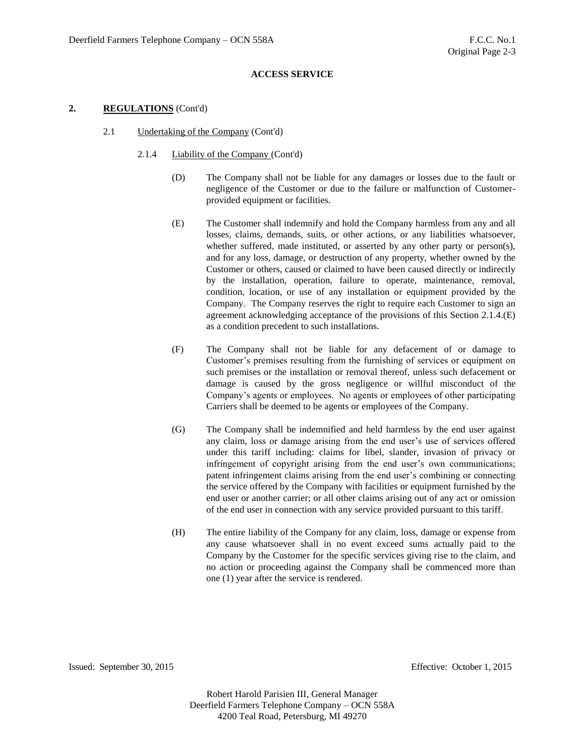#### **2. REGULATIONS** (Cont'd)

- 2.1 Undertaking of the Company (Cont'd)
	- 2.1.4 Liability of the Company (Cont'd)
		- (D) The Company shall not be liable for any damages or losses due to the fault or negligence of the Customer or due to the failure or malfunction of Customerprovided equipment or facilities.
		- (E) The Customer shall indemnify and hold the Company harmless from any and all losses, claims, demands, suits, or other actions, or any liabilities whatsoever, whether suffered, made instituted, or asserted by any other party or person(s), and for any loss, damage, or destruction of any property, whether owned by the Customer or others, caused or claimed to have been caused directly or indirectly by the installation, operation, failure to operate, maintenance, removal, condition, location, or use of any installation or equipment provided by the Company. The Company reserves the right to require each Customer to sign an agreement acknowledging acceptance of the provisions of this Section 2.1.4.(E) as a condition precedent to such installations.
		- (F) The Company shall not be liable for any defacement of or damage to Customer's premises resulting from the furnishing of services or equipment on such premises or the installation or removal thereof, unless such defacement or damage is caused by the gross negligence or willful misconduct of the Company's agents or employees. No agents or employees of other participating Carriers shall be deemed to be agents or employees of the Company.
		- (G) The Company shall be indemnified and held harmless by the end user against any claim, loss or damage arising from the end user's use of services offered under this tariff including: claims for libel, slander, invasion of privacy or infringement of copyright arising from the end user's own communications; patent infringement claims arising from the end user's combining or connecting the service offered by the Company with facilities or equipment furnished by the end user or another carrier; or all other claims arising out of any act or omission of the end user in connection with any service provided pursuant to this tariff.
		- (H) The entire liability of the Company for any claim, loss, damage or expense from any cause whatsoever shall in no event exceed sums actually paid to the Company by the Customer for the specific services giving rise to the claim, and no action or proceeding against the Company shall be commenced more than one (1) year after the service is rendered.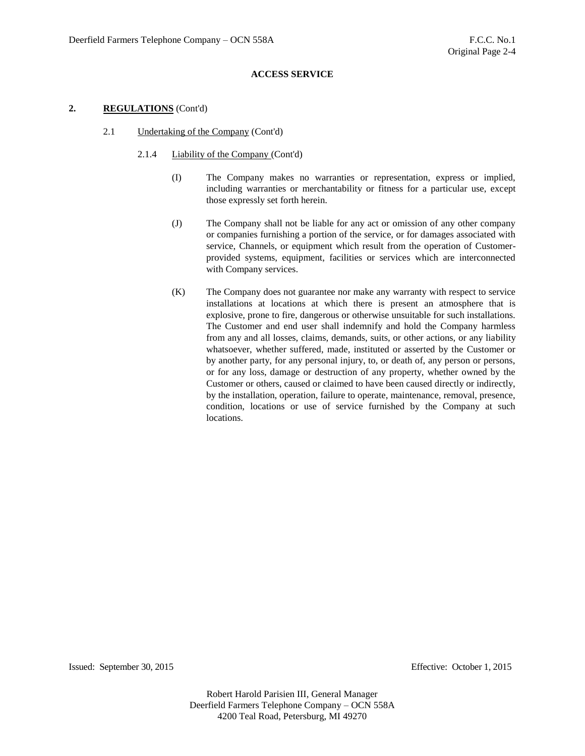### **2. REGULATIONS** (Cont'd)

- 2.1 Undertaking of the Company (Cont'd)
	- 2.1.4 Liability of the Company (Cont'd)
		- (I) The Company makes no warranties or representation, express or implied, including warranties or merchantability or fitness for a particular use, except those expressly set forth herein.
		- (J) The Company shall not be liable for any act or omission of any other company or companies furnishing a portion of the service, or for damages associated with service, Channels, or equipment which result from the operation of Customerprovided systems, equipment, facilities or services which are interconnected with Company services.
		- (K) The Company does not guarantee nor make any warranty with respect to service installations at locations at which there is present an atmosphere that is explosive, prone to fire, dangerous or otherwise unsuitable for such installations. The Customer and end user shall indemnify and hold the Company harmless from any and all losses, claims, demands, suits, or other actions, or any liability whatsoever, whether suffered, made, instituted or asserted by the Customer or by another party, for any personal injury, to, or death of, any person or persons, or for any loss, damage or destruction of any property, whether owned by the Customer or others, caused or claimed to have been caused directly or indirectly, by the installation, operation, failure to operate, maintenance, removal, presence, condition, locations or use of service furnished by the Company at such locations.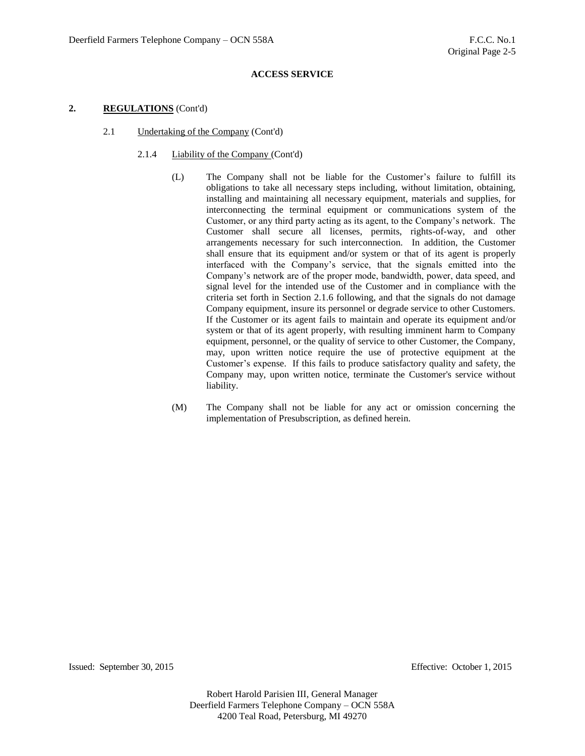### **2. REGULATIONS** (Cont'd)

- 2.1 Undertaking of the Company (Cont'd)
	- 2.1.4 Liability of the Company (Cont'd)
		- (L) The Company shall not be liable for the Customer's failure to fulfill its obligations to take all necessary steps including, without limitation, obtaining, installing and maintaining all necessary equipment, materials and supplies, for interconnecting the terminal equipment or communications system of the Customer, or any third party acting as its agent, to the Company's network. The Customer shall secure all licenses, permits, rights-of-way, and other arrangements necessary for such interconnection. In addition, the Customer shall ensure that its equipment and/or system or that of its agent is properly interfaced with the Company's service, that the signals emitted into the Company's network are of the proper mode, bandwidth, power, data speed, and signal level for the intended use of the Customer and in compliance with the criteria set forth in Section 2.1.6 following, and that the signals do not damage Company equipment, insure its personnel or degrade service to other Customers. If the Customer or its agent fails to maintain and operate its equipment and/or system or that of its agent properly, with resulting imminent harm to Company equipment, personnel, or the quality of service to other Customer, the Company, may, upon written notice require the use of protective equipment at the Customer's expense. If this fails to produce satisfactory quality and safety, the Company may, upon written notice, terminate the Customer's service without liability.
		- (M) The Company shall not be liable for any act or omission concerning the implementation of Presubscription, as defined herein.

Issued: September 30, 2015 Effective: October 1, 2015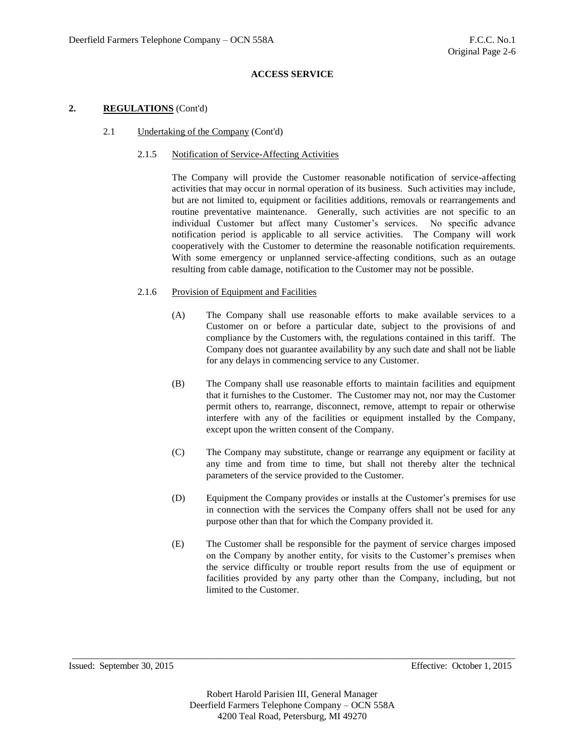### **2. REGULATIONS** (Cont'd)

2.1 Undertaking of the Company (Cont'd)

# 2.1.5 Notification of Service-Affecting Activities

The Company will provide the Customer reasonable notification of service-affecting activities that may occur in normal operation of its business. Such activities may include, but are not limited to, equipment or facilities additions, removals or rearrangements and routine preventative maintenance. Generally, such activities are not specific to an individual Customer but affect many Customer's services. No specific advance notification period is applicable to all service activities. The Company will work cooperatively with the Customer to determine the reasonable notification requirements. With some emergency or unplanned service-affecting conditions, such as an outage resulting from cable damage, notification to the Customer may not be possible.

### 2.1.6 Provision of Equipment and Facilities

- (A) The Company shall use reasonable efforts to make available services to a Customer on or before a particular date, subject to the provisions of and compliance by the Customers with, the regulations contained in this tariff. The Company does not guarantee availability by any such date and shall not be liable for any delays in commencing service to any Customer.
- (B) The Company shall use reasonable efforts to maintain facilities and equipment that it furnishes to the Customer. The Customer may not, nor may the Customer permit others to, rearrange, disconnect, remove, attempt to repair or otherwise interfere with any of the facilities or equipment installed by the Company, except upon the written consent of the Company.
- (C) The Company may substitute, change or rearrange any equipment or facility at any time and from time to time, but shall not thereby alter the technical parameters of the service provided to the Customer.
- (D) Equipment the Company provides or installs at the Customer's premises for use in connection with the services the Company offers shall not be used for any purpose other than that for which the Company provided it.
- (E) The Customer shall be responsible for the payment of service charges imposed on the Company by another entity, for visits to the Customer's premises when the service difficulty or trouble report results from the use of equipment or facilities provided by any party other than the Company, including, but not limited to the Customer.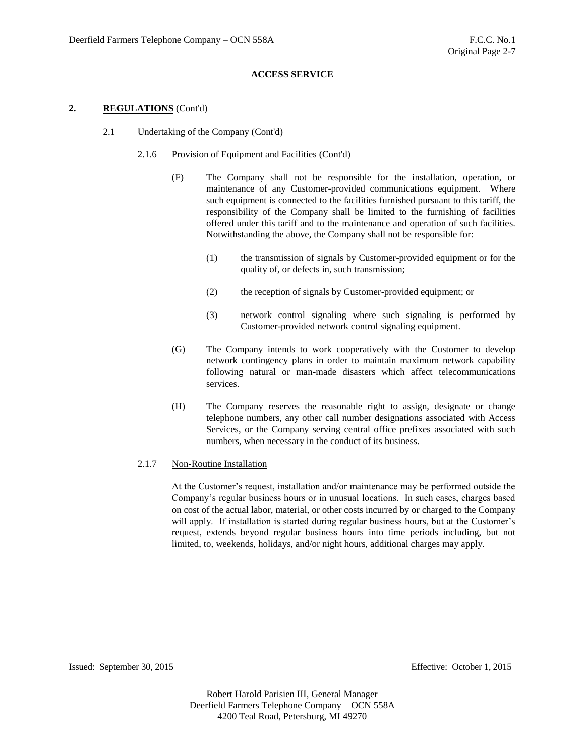### **2. REGULATIONS** (Cont'd)

- 2.1 Undertaking of the Company (Cont'd)
	- 2.1.6 Provision of Equipment and Facilities (Cont'd)
		- (F) The Company shall not be responsible for the installation, operation, or maintenance of any Customer-provided communications equipment. Where such equipment is connected to the facilities furnished pursuant to this tariff, the responsibility of the Company shall be limited to the furnishing of facilities offered under this tariff and to the maintenance and operation of such facilities. Notwithstanding the above, the Company shall not be responsible for:
			- (1) the transmission of signals by Customer-provided equipment or for the quality of, or defects in, such transmission;
			- (2) the reception of signals by Customer-provided equipment; or
			- (3) network control signaling where such signaling is performed by Customer-provided network control signaling equipment.
		- (G) The Company intends to work cooperatively with the Customer to develop network contingency plans in order to maintain maximum network capability following natural or man-made disasters which affect telecommunications services.
		- (H) The Company reserves the reasonable right to assign, designate or change telephone numbers, any other call number designations associated with Access Services, or the Company serving central office prefixes associated with such numbers, when necessary in the conduct of its business.

#### 2.1.7 Non-Routine Installation

At the Customer's request, installation and/or maintenance may be performed outside the Company's regular business hours or in unusual locations. In such cases, charges based on cost of the actual labor, material, or other costs incurred by or charged to the Company will apply. If installation is started during regular business hours, but at the Customer's request, extends beyond regular business hours into time periods including, but not limited, to, weekends, holidays, and/or night hours, additional charges may apply.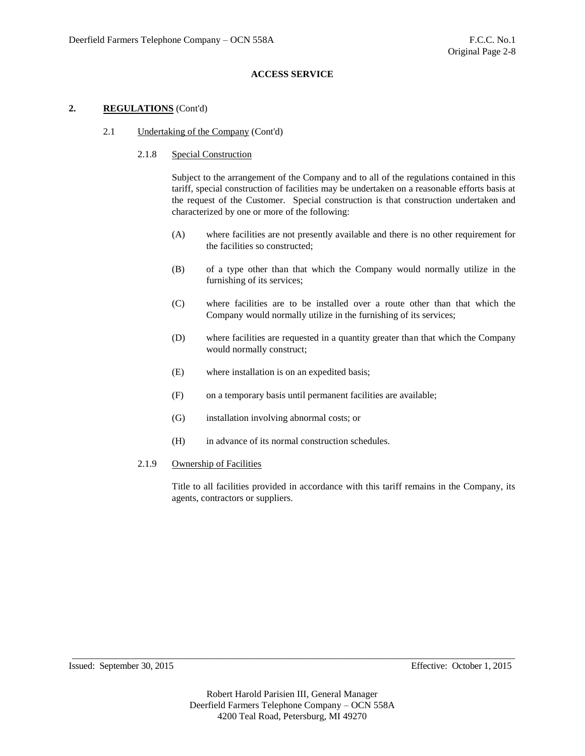### **2. REGULATIONS** (Cont'd)

2.1 Undertaking of the Company (Cont'd)

#### 2.1.8 Special Construction

Subject to the arrangement of the Company and to all of the regulations contained in this tariff, special construction of facilities may be undertaken on a reasonable efforts basis at the request of the Customer. Special construction is that construction undertaken and characterized by one or more of the following:

- (A) where facilities are not presently available and there is no other requirement for the facilities so constructed;
- (B) of a type other than that which the Company would normally utilize in the furnishing of its services;
- (C) where facilities are to be installed over a route other than that which the Company would normally utilize in the furnishing of its services;
- (D) where facilities are requested in a quantity greater than that which the Company would normally construct;
- (E) where installation is on an expedited basis;
- (F) on a temporary basis until permanent facilities are available;
- (G) installation involving abnormal costs; or
- (H) in advance of its normal construction schedules.

#### 2.1.9 Ownership of Facilities

Title to all facilities provided in accordance with this tariff remains in the Company, its agents, contractors or suppliers.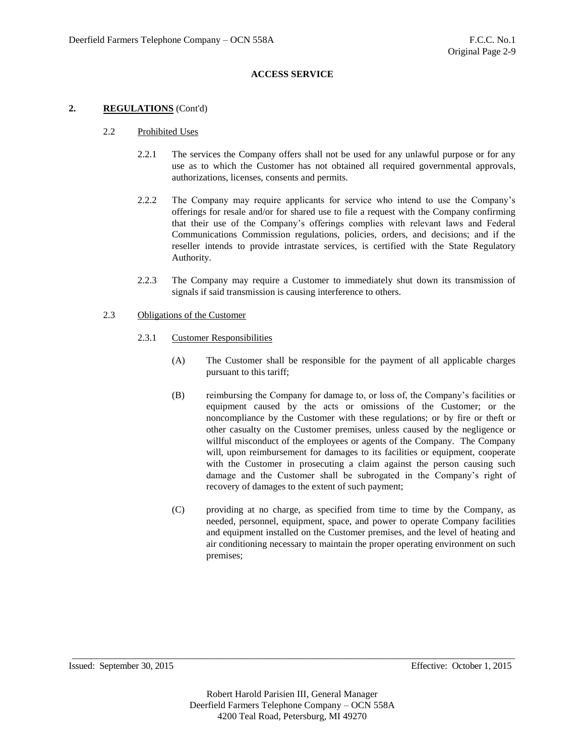### **2. REGULATIONS** (Cont'd)

### 2.2 Prohibited Uses

- 2.2.1 The services the Company offers shall not be used for any unlawful purpose or for any use as to which the Customer has not obtained all required governmental approvals, authorizations, licenses, consents and permits.
- 2.2.2 The Company may require applicants for service who intend to use the Company's offerings for resale and/or for shared use to file a request with the Company confirming that their use of the Company's offerings complies with relevant laws and Federal Communications Commission regulations, policies, orders, and decisions; and if the reseller intends to provide intrastate services, is certified with the State Regulatory Authority.
- 2.2.3 The Company may require a Customer to immediately shut down its transmission of signals if said transmission is causing interference to others.

#### 2.3 Obligations of the Customer

- 2.3.1 Customer Responsibilities
	- (A) The Customer shall be responsible for the payment of all applicable charges pursuant to this tariff;
	- (B) reimbursing the Company for damage to, or loss of, the Company's facilities or equipment caused by the acts or omissions of the Customer; or the noncompliance by the Customer with these regulations; or by fire or theft or other casualty on the Customer premises, unless caused by the negligence or willful misconduct of the employees or agents of the Company. The Company will, upon reimbursement for damages to its facilities or equipment, cooperate with the Customer in prosecuting a claim against the person causing such damage and the Customer shall be subrogated in the Company's right of recovery of damages to the extent of such payment;
	- (C) providing at no charge, as specified from time to time by the Company, as needed, personnel, equipment, space, and power to operate Company facilities and equipment installed on the Customer premises, and the level of heating and air conditioning necessary to maintain the proper operating environment on such premises;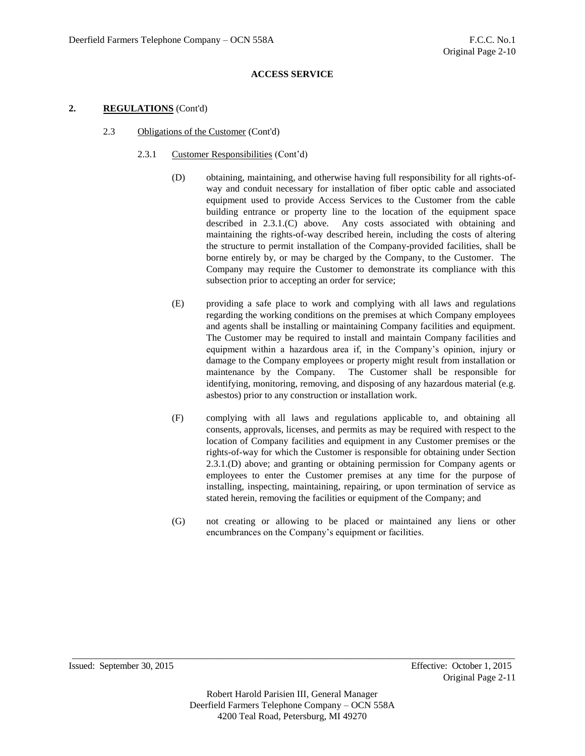# **2. REGULATIONS** (Cont'd)

- 2.3 Obligations of the Customer (Cont'd)
	- 2.3.1 Customer Responsibilities (Cont'd)
		- (D) obtaining, maintaining, and otherwise having full responsibility for all rights-ofway and conduit necessary for installation of fiber optic cable and associated equipment used to provide Access Services to the Customer from the cable building entrance or property line to the location of the equipment space described in 2.3.1.(C) above. Any costs associated with obtaining and maintaining the rights-of-way described herein, including the costs of altering the structure to permit installation of the Company-provided facilities, shall be borne entirely by, or may be charged by the Company, to the Customer. The Company may require the Customer to demonstrate its compliance with this subsection prior to accepting an order for service;
		- (E) providing a safe place to work and complying with all laws and regulations regarding the working conditions on the premises at which Company employees and agents shall be installing or maintaining Company facilities and equipment. The Customer may be required to install and maintain Company facilities and equipment within a hazardous area if, in the Company's opinion, injury or damage to the Company employees or property might result from installation or maintenance by the Company. The Customer shall be responsible for identifying, monitoring, removing, and disposing of any hazardous material (e.g. asbestos) prior to any construction or installation work.
		- (F) complying with all laws and regulations applicable to, and obtaining all consents, approvals, licenses, and permits as may be required with respect to the location of Company facilities and equipment in any Customer premises or the rights-of-way for which the Customer is responsible for obtaining under Section 2.3.1.(D) above; and granting or obtaining permission for Company agents or employees to enter the Customer premises at any time for the purpose of installing, inspecting, maintaining, repairing, or upon termination of service as stated herein, removing the facilities or equipment of the Company; and
		- (G) not creating or allowing to be placed or maintained any liens or other encumbrances on the Company's equipment or facilities.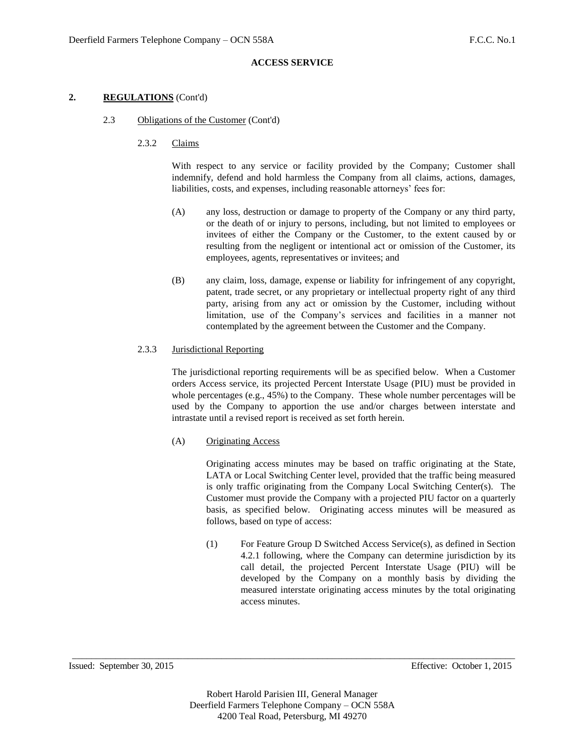# **2. REGULATIONS** (Cont'd)

- 2.3 Obligations of the Customer (Cont'd)
	- 2.3.2 Claims

With respect to any service or facility provided by the Company; Customer shall indemnify, defend and hold harmless the Company from all claims, actions, damages, liabilities, costs, and expenses, including reasonable attorneys' fees for:

- (A) any loss, destruction or damage to property of the Company or any third party, or the death of or injury to persons, including, but not limited to employees or invitees of either the Company or the Customer, to the extent caused by or resulting from the negligent or intentional act or omission of the Customer, its employees, agents, representatives or invitees; and
- (B) any claim, loss, damage, expense or liability for infringement of any copyright, patent, trade secret, or any proprietary or intellectual property right of any third party, arising from any act or omission by the Customer, including without limitation, use of the Company's services and facilities in a manner not contemplated by the agreement between the Customer and the Company.

# 2.3.3 Jurisdictional Reporting

The jurisdictional reporting requirements will be as specified below. When a Customer orders Access service, its projected Percent Interstate Usage (PIU) must be provided in whole percentages (e.g., 45%) to the Company. These whole number percentages will be used by the Company to apportion the use and/or charges between interstate and intrastate until a revised report is received as set forth herein.

(A) Originating Access

Originating access minutes may be based on traffic originating at the State, LATA or Local Switching Center level, provided that the traffic being measured is only traffic originating from the Company Local Switching Center(s). The Customer must provide the Company with a projected PIU factor on a quarterly basis, as specified below. Originating access minutes will be measured as follows, based on type of access:

(1) For Feature Group D Switched Access Service(s), as defined in Section 4.2.1 following, where the Company can determine jurisdiction by its call detail, the projected Percent Interstate Usage (PIU) will be developed by the Company on a monthly basis by dividing the measured interstate originating access minutes by the total originating access minutes.

Issued: September 30, 2015 Effective: October 1, 2015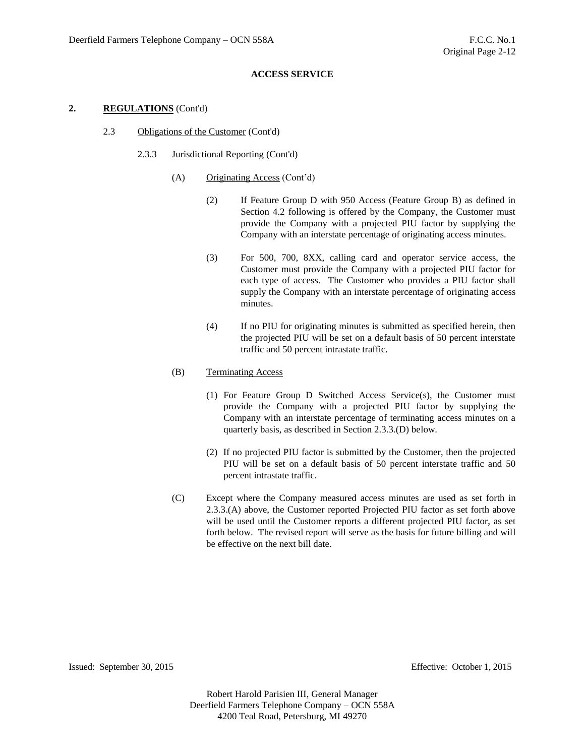### **2. REGULATIONS** (Cont'd)

- 2.3 Obligations of the Customer (Cont'd)
	- 2.3.3 Jurisdictional Reporting (Cont'd)
		- (A) Originating Access (Cont'd)
			- (2) If Feature Group D with 950 Access (Feature Group B) as defined in Section 4.2 following is offered by the Company, the Customer must provide the Company with a projected PIU factor by supplying the Company with an interstate percentage of originating access minutes.
			- (3) For 500, 700, 8XX, calling card and operator service access, the Customer must provide the Company with a projected PIU factor for each type of access. The Customer who provides a PIU factor shall supply the Company with an interstate percentage of originating access minutes.
			- (4) If no PIU for originating minutes is submitted as specified herein, then the projected PIU will be set on a default basis of 50 percent interstate traffic and 50 percent intrastate traffic.
		- (B) Terminating Access
			- (1) For Feature Group D Switched Access Service(s), the Customer must provide the Company with a projected PIU factor by supplying the Company with an interstate percentage of terminating access minutes on a quarterly basis, as described in Section 2.3.3.(D) below.
			- (2) If no projected PIU factor is submitted by the Customer, then the projected PIU will be set on a default basis of 50 percent interstate traffic and 50 percent intrastate traffic.
		- (C) Except where the Company measured access minutes are used as set forth in 2.3.3.(A) above, the Customer reported Projected PIU factor as set forth above will be used until the Customer reports a different projected PIU factor, as set forth below. The revised report will serve as the basis for future billing and will be effective on the next bill date.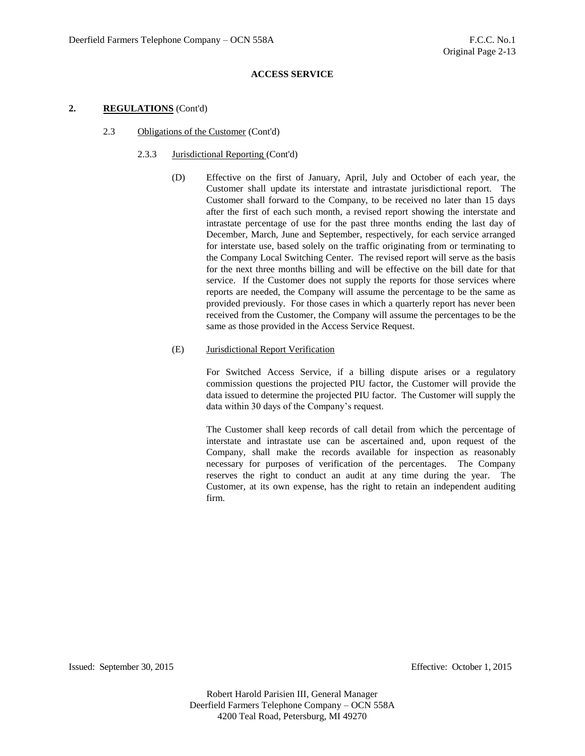### **2. REGULATIONS** (Cont'd)

#### 2.3 Obligations of the Customer (Cont'd)

# 2.3.3 Jurisdictional Reporting (Cont'd)

(D) Effective on the first of January, April, July and October of each year, the Customer shall update its interstate and intrastate jurisdictional report. The Customer shall forward to the Company, to be received no later than 15 days after the first of each such month, a revised report showing the interstate and intrastate percentage of use for the past three months ending the last day of December, March, June and September, respectively, for each service arranged for interstate use, based solely on the traffic originating from or terminating to the Company Local Switching Center. The revised report will serve as the basis for the next three months billing and will be effective on the bill date for that service. If the Customer does not supply the reports for those services where reports are needed, the Company will assume the percentage to be the same as provided previously. For those cases in which a quarterly report has never been received from the Customer, the Company will assume the percentages to be the same as those provided in the Access Service Request.

### (E) Jurisdictional Report Verification

For Switched Access Service, if a billing dispute arises or a regulatory commission questions the projected PIU factor, the Customer will provide the data issued to determine the projected PIU factor. The Customer will supply the data within 30 days of the Company's request.

The Customer shall keep records of call detail from which the percentage of interstate and intrastate use can be ascertained and, upon request of the Company, shall make the records available for inspection as reasonably necessary for purposes of verification of the percentages. The Company reserves the right to conduct an audit at any time during the year. The Customer, at its own expense, has the right to retain an independent auditing firm.

Issued: September 30, 2015 Effective: October 1, 2015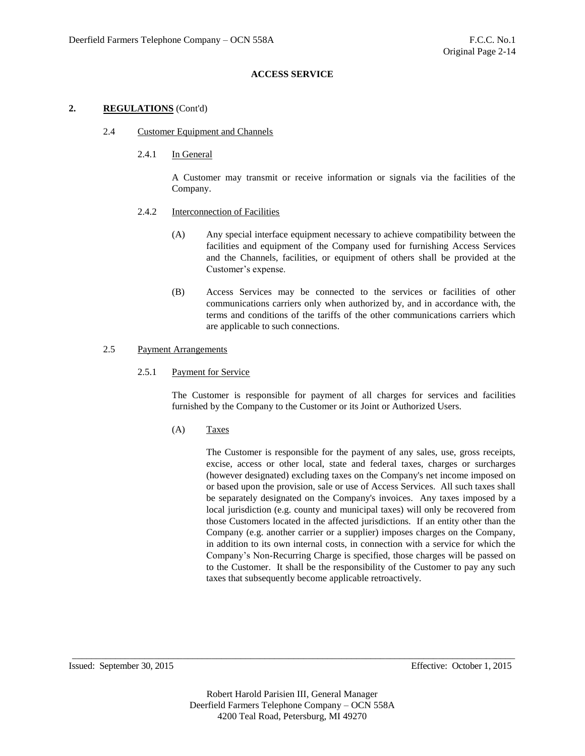### **2. REGULATIONS** (Cont'd)

- 2.4 Customer Equipment and Channels
	- 2.4.1 In General

A Customer may transmit or receive information or signals via the facilities of the Company.

- 2.4.2 Interconnection of Facilities
	- (A) Any special interface equipment necessary to achieve compatibility between the facilities and equipment of the Company used for furnishing Access Services and the Channels, facilities, or equipment of others shall be provided at the Customer's expense.
	- (B) Access Services may be connected to the services or facilities of other communications carriers only when authorized by, and in accordance with, the terms and conditions of the tariffs of the other communications carriers which are applicable to such connections.

# 2.5 Payment Arrangements

2.5.1 Payment for Service

The Customer is responsible for payment of all charges for services and facilities furnished by the Company to the Customer or its Joint or Authorized Users.

(A) Taxes

The Customer is responsible for the payment of any sales, use, gross receipts, excise, access or other local, state and federal taxes, charges or surcharges (however designated) excluding taxes on the Company's net income imposed on or based upon the provision, sale or use of Access Services. All such taxes shall be separately designated on the Company's invoices. Any taxes imposed by a local jurisdiction (e.g. county and municipal taxes) will only be recovered from those Customers located in the affected jurisdictions. If an entity other than the Company (e.g. another carrier or a supplier) imposes charges on the Company, in addition to its own internal costs, in connection with a service for which the Company's Non-Recurring Charge is specified, those charges will be passed on to the Customer. It shall be the responsibility of the Customer to pay any such taxes that subsequently become applicable retroactively.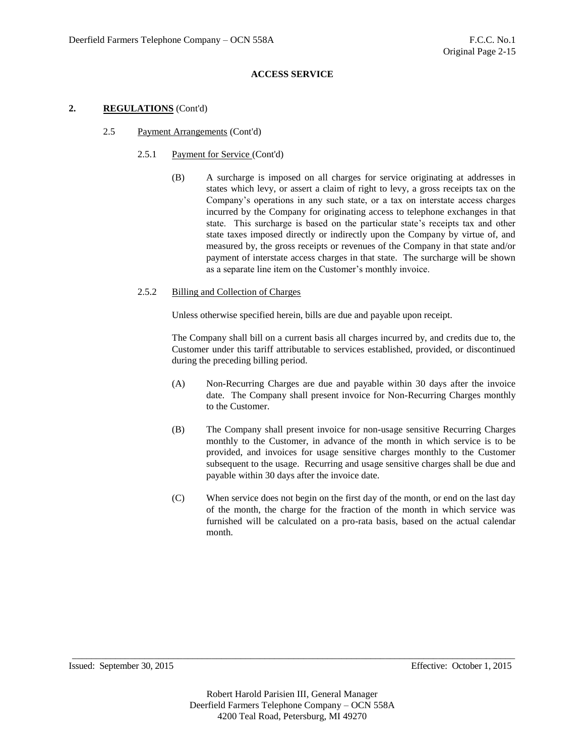# **2. REGULATIONS** (Cont'd)

# 2.5 Payment Arrangements (Cont'd)

# 2.5.1 Payment for Service (Cont'd)

(B) A surcharge is imposed on all charges for service originating at addresses in states which levy, or assert a claim of right to levy, a gross receipts tax on the Company's operations in any such state, or a tax on interstate access charges incurred by the Company for originating access to telephone exchanges in that state. This surcharge is based on the particular state's receipts tax and other state taxes imposed directly or indirectly upon the Company by virtue of, and measured by, the gross receipts or revenues of the Company in that state and/or payment of interstate access charges in that state. The surcharge will be shown as a separate line item on the Customer's monthly invoice.

### 2.5.2 Billing and Collection of Charges

Unless otherwise specified herein, bills are due and payable upon receipt.

The Company shall bill on a current basis all charges incurred by, and credits due to, the Customer under this tariff attributable to services established, provided, or discontinued during the preceding billing period.

- (A) Non-Recurring Charges are due and payable within 30 days after the invoice date. The Company shall present invoice for Non-Recurring Charges monthly to the Customer.
- (B) The Company shall present invoice for non-usage sensitive Recurring Charges monthly to the Customer, in advance of the month in which service is to be provided, and invoices for usage sensitive charges monthly to the Customer subsequent to the usage. Recurring and usage sensitive charges shall be due and payable within 30 days after the invoice date.
- (C) When service does not begin on the first day of the month, or end on the last day of the month, the charge for the fraction of the month in which service was furnished will be calculated on a pro-rata basis, based on the actual calendar month.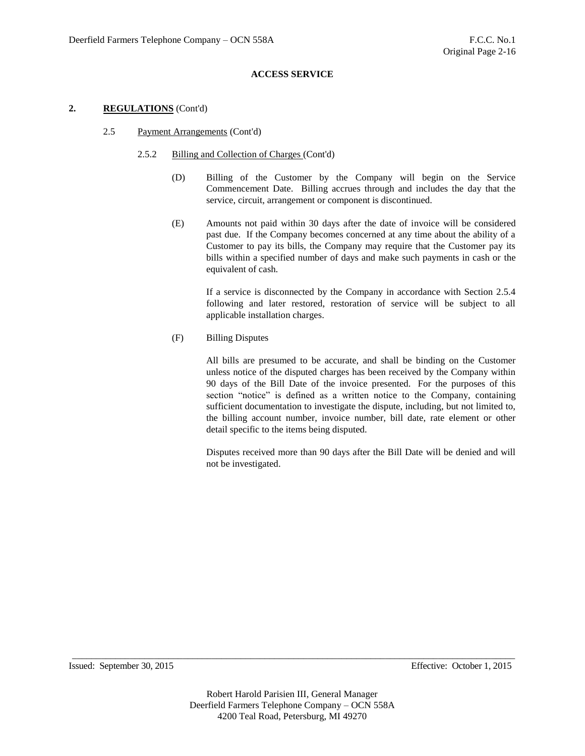### **2. REGULATIONS** (Cont'd)

### 2.5 Payment Arrangements (Cont'd)

# 2.5.2 Billing and Collection of Charges (Cont'd)

- (D) Billing of the Customer by the Company will begin on the Service Commencement Date. Billing accrues through and includes the day that the service, circuit, arrangement or component is discontinued.
- (E) Amounts not paid within 30 days after the date of invoice will be considered past due. If the Company becomes concerned at any time about the ability of a Customer to pay its bills, the Company may require that the Customer pay its bills within a specified number of days and make such payments in cash or the equivalent of cash.

If a service is disconnected by the Company in accordance with Section 2.5.4 following and later restored, restoration of service will be subject to all applicable installation charges.

(F) Billing Disputes

All bills are presumed to be accurate, and shall be binding on the Customer unless notice of the disputed charges has been received by the Company within 90 days of the Bill Date of the invoice presented. For the purposes of this section "notice" is defined as a written notice to the Company, containing sufficient documentation to investigate the dispute, including, but not limited to, the billing account number, invoice number, bill date, rate element or other detail specific to the items being disputed.

Disputes received more than 90 days after the Bill Date will be denied and will not be investigated.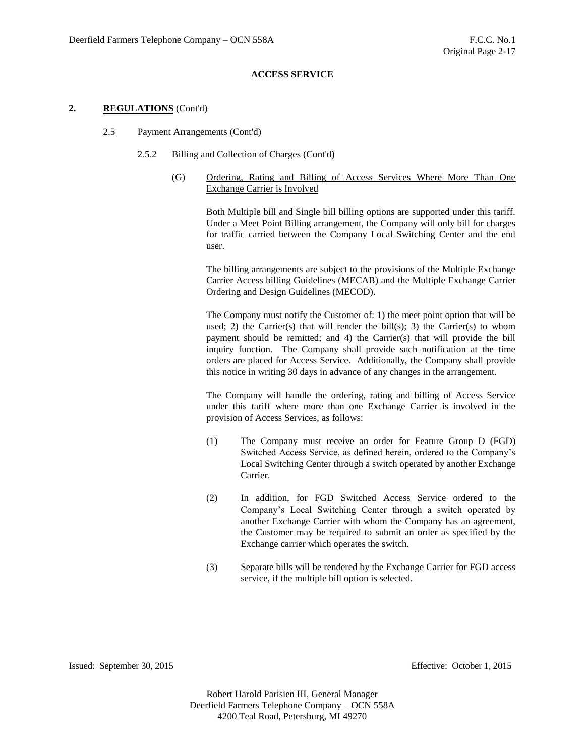#### **2. REGULATIONS** (Cont'd)

#### 2.5 Payment Arrangements (Cont'd)

#### 2.5.2 Billing and Collection of Charges (Cont'd)

(G) Ordering, Rating and Billing of Access Services Where More Than One Exchange Carrier is Involved

> Both Multiple bill and Single bill billing options are supported under this tariff. Under a Meet Point Billing arrangement, the Company will only bill for charges for traffic carried between the Company Local Switching Center and the end user.

> The billing arrangements are subject to the provisions of the Multiple Exchange Carrier Access billing Guidelines (MECAB) and the Multiple Exchange Carrier Ordering and Design Guidelines (MECOD).

> The Company must notify the Customer of: 1) the meet point option that will be used; 2) the Carrier(s) that will render the bill(s); 3) the Carrier(s) to whom payment should be remitted; and 4) the Carrier(s) that will provide the bill inquiry function. The Company shall provide such notification at the time orders are placed for Access Service. Additionally, the Company shall provide this notice in writing 30 days in advance of any changes in the arrangement.

> The Company will handle the ordering, rating and billing of Access Service under this tariff where more than one Exchange Carrier is involved in the provision of Access Services, as follows:

- (1) The Company must receive an order for Feature Group D (FGD) Switched Access Service, as defined herein, ordered to the Company's Local Switching Center through a switch operated by another Exchange Carrier.
- (2) In addition, for FGD Switched Access Service ordered to the Company's Local Switching Center through a switch operated by another Exchange Carrier with whom the Company has an agreement, the Customer may be required to submit an order as specified by the Exchange carrier which operates the switch.
- (3) Separate bills will be rendered by the Exchange Carrier for FGD access service, if the multiple bill option is selected.

Issued: September 30, 2015 Effective: October 1, 2015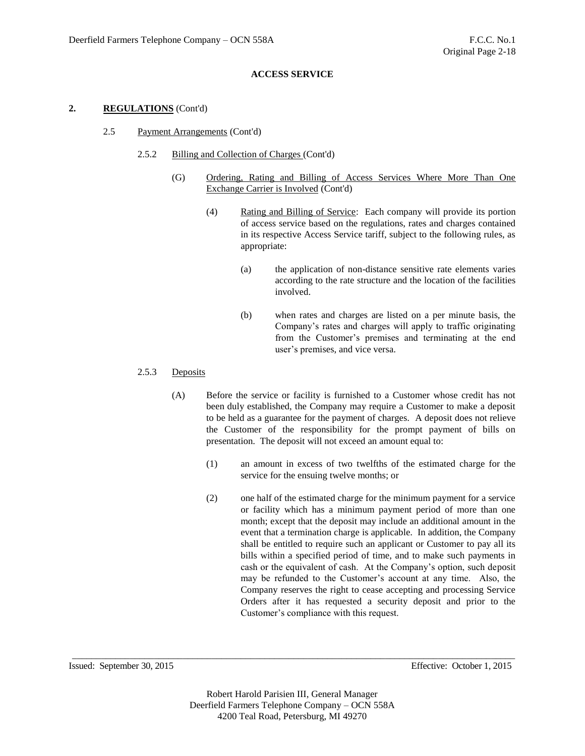### **2. REGULATIONS** (Cont'd)

- 2.5 Payment Arrangements (Cont'd)
	- 2.5.2 Billing and Collection of Charges (Cont'd)
		- (G) Ordering, Rating and Billing of Access Services Where More Than One Exchange Carrier is Involved (Cont'd)
			- (4) Rating and Billing of Service: Each company will provide its portion of access service based on the regulations, rates and charges contained in its respective Access Service tariff, subject to the following rules, as appropriate:
				- (a) the application of non-distance sensitive rate elements varies according to the rate structure and the location of the facilities involved.
				- (b) when rates and charges are listed on a per minute basis, the Company's rates and charges will apply to traffic originating from the Customer's premises and terminating at the end user's premises, and vice versa.

# 2.5.3 Deposits

- (A) Before the service or facility is furnished to a Customer whose credit has not been duly established, the Company may require a Customer to make a deposit to be held as a guarantee for the payment of charges. A deposit does not relieve the Customer of the responsibility for the prompt payment of bills on presentation. The deposit will not exceed an amount equal to:
	- (1) an amount in excess of two twelfths of the estimated charge for the service for the ensuing twelve months; or
	- (2) one half of the estimated charge for the minimum payment for a service or facility which has a minimum payment period of more than one month; except that the deposit may include an additional amount in the event that a termination charge is applicable. In addition, the Company shall be entitled to require such an applicant or Customer to pay all its bills within a specified period of time, and to make such payments in cash or the equivalent of cash. At the Company's option, such deposit may be refunded to the Customer's account at any time. Also, the Company reserves the right to cease accepting and processing Service Orders after it has requested a security deposit and prior to the Customer's compliance with this request.

Issued: September 30, 2015 Effective: October 1, 2015

Robert Harold Parisien III, General Manager Deerfield Farmers Telephone Company – OCN 558A 4200 Teal Road, Petersburg, MI 49270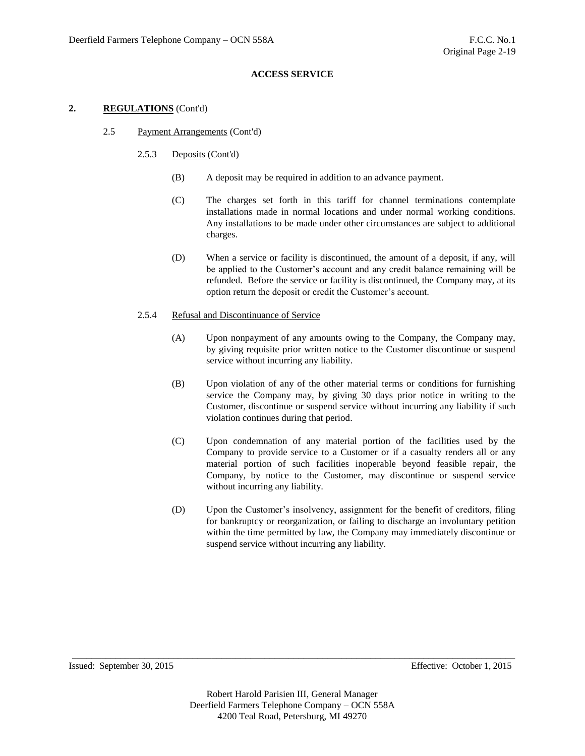### **2. REGULATIONS** (Cont'd)

- 2.5 Payment Arrangements (Cont'd)
	- 2.5.3 Deposits (Cont'd)
		- (B) A deposit may be required in addition to an advance payment.
		- (C) The charges set forth in this tariff for channel terminations contemplate installations made in normal locations and under normal working conditions. Any installations to be made under other circumstances are subject to additional charges.
		- (D) When a service or facility is discontinued, the amount of a deposit, if any, will be applied to the Customer's account and any credit balance remaining will be refunded. Before the service or facility is discontinued, the Company may, at its option return the deposit or credit the Customer's account.

## 2.5.4 Refusal and Discontinuance of Service

- (A) Upon nonpayment of any amounts owing to the Company, the Company may, by giving requisite prior written notice to the Customer discontinue or suspend service without incurring any liability.
- (B) Upon violation of any of the other material terms or conditions for furnishing service the Company may, by giving 30 days prior notice in writing to the Customer, discontinue or suspend service without incurring any liability if such violation continues during that period.
- (C) Upon condemnation of any material portion of the facilities used by the Company to provide service to a Customer or if a casualty renders all or any material portion of such facilities inoperable beyond feasible repair, the Company, by notice to the Customer, may discontinue or suspend service without incurring any liability.
- (D) Upon the Customer's insolvency, assignment for the benefit of creditors, filing for bankruptcy or reorganization, or failing to discharge an involuntary petition within the time permitted by law, the Company may immediately discontinue or suspend service without incurring any liability.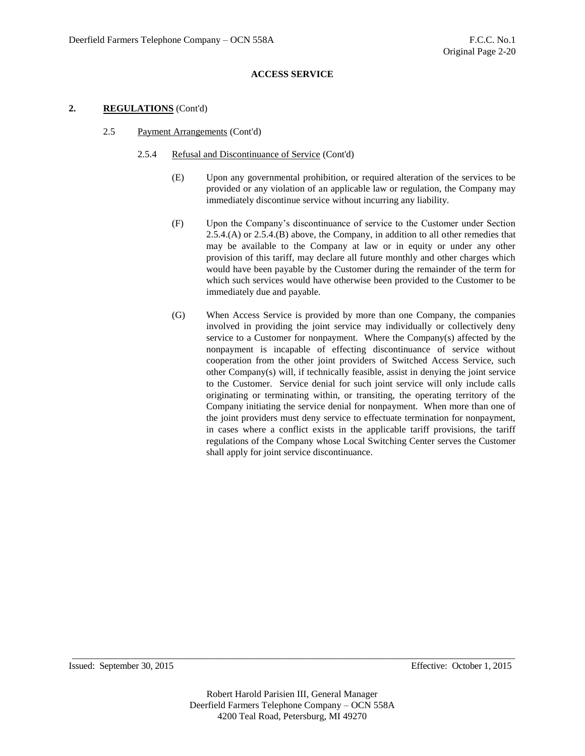### **2. REGULATIONS** (Cont'd)

2.5 Payment Arrangements (Cont'd)

### 2.5.4 Refusal and Discontinuance of Service (Cont'd)

- (E) Upon any governmental prohibition, or required alteration of the services to be provided or any violation of an applicable law or regulation, the Company may immediately discontinue service without incurring any liability.
- (F) Upon the Company's discontinuance of service to the Customer under Section 2.5.4.(A) or 2.5.4.(B) above, the Company, in addition to all other remedies that may be available to the Company at law or in equity or under any other provision of this tariff, may declare all future monthly and other charges which would have been payable by the Customer during the remainder of the term for which such services would have otherwise been provided to the Customer to be immediately due and payable.
- (G) When Access Service is provided by more than one Company, the companies involved in providing the joint service may individually or collectively deny service to a Customer for nonpayment. Where the Company(s) affected by the nonpayment is incapable of effecting discontinuance of service without cooperation from the other joint providers of Switched Access Service, such other Company(s) will, if technically feasible, assist in denying the joint service to the Customer. Service denial for such joint service will only include calls originating or terminating within, or transiting, the operating territory of the Company initiating the service denial for nonpayment. When more than one of the joint providers must deny service to effectuate termination for nonpayment, in cases where a conflict exists in the applicable tariff provisions, the tariff regulations of the Company whose Local Switching Center serves the Customer shall apply for joint service discontinuance.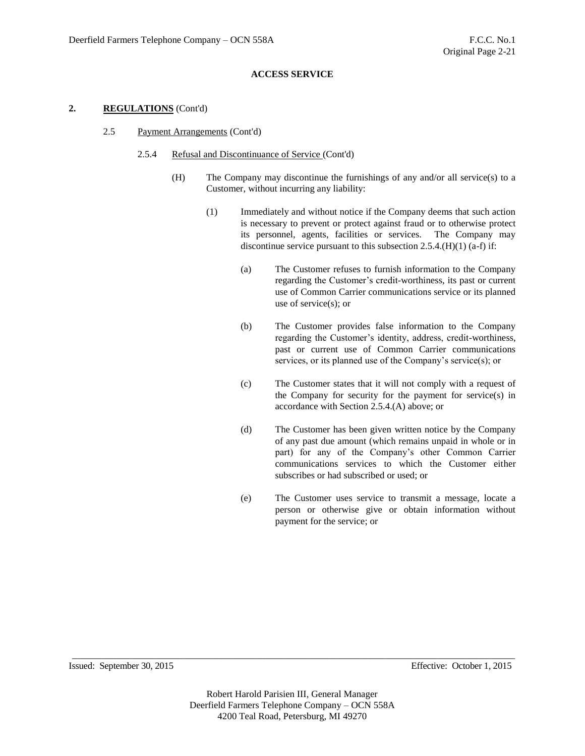### **2. REGULATIONS** (Cont'd)

- 2.5 Payment Arrangements (Cont'd)
	- 2.5.4 Refusal and Discontinuance of Service (Cont'd)
		- (H) The Company may discontinue the furnishings of any and/or all service(s) to a Customer, without incurring any liability:
			- (1) Immediately and without notice if the Company deems that such action is necessary to prevent or protect against fraud or to otherwise protect its personnel, agents, facilities or services. The Company may discontinue service pursuant to this subsection  $2.5.4$ .(H)(1) (a-f) if:
				- (a) The Customer refuses to furnish information to the Company regarding the Customer's credit-worthiness, its past or current use of Common Carrier communications service or its planned use of service(s); or
				- (b) The Customer provides false information to the Company regarding the Customer's identity, address, credit-worthiness, past or current use of Common Carrier communications services, or its planned use of the Company's service(s); or
				- (c) The Customer states that it will not comply with a request of the Company for security for the payment for service(s) in accordance with Section 2.5.4.(A) above; or
				- (d) The Customer has been given written notice by the Company of any past due amount (which remains unpaid in whole or in part) for any of the Company's other Common Carrier communications services to which the Customer either subscribes or had subscribed or used; or
				- (e) The Customer uses service to transmit a message, locate a person or otherwise give or obtain information without payment for the service; or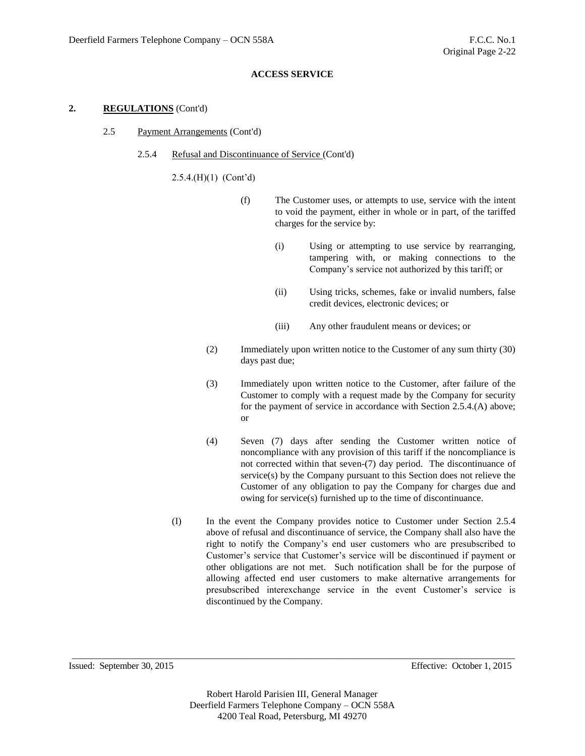## **2. REGULATIONS** (Cont'd)

- 2.5 Payment Arrangements (Cont'd)
	- 2.5.4 Refusal and Discontinuance of Service (Cont'd)

2.5.4.(H)(1) (Cont'd)

- (f) The Customer uses, or attempts to use, service with the intent to void the payment, either in whole or in part, of the tariffed charges for the service by:
	- (i) Using or attempting to use service by rearranging, tampering with, or making connections to the Company's service not authorized by this tariff; or
	- (ii) Using tricks, schemes, fake or invalid numbers, false credit devices, electronic devices; or
	- (iii) Any other fraudulent means or devices; or
- (2) Immediately upon written notice to the Customer of any sum thirty (30) days past due;
- (3) Immediately upon written notice to the Customer, after failure of the Customer to comply with a request made by the Company for security for the payment of service in accordance with Section 2.5.4.(A) above; or
- (4) Seven (7) days after sending the Customer written notice of noncompliance with any provision of this tariff if the noncompliance is not corrected within that seven-(7) day period. The discontinuance of service(s) by the Company pursuant to this Section does not relieve the Customer of any obligation to pay the Company for charges due and owing for service(s) furnished up to the time of discontinuance.
- (I) In the event the Company provides notice to Customer under Section 2.5.4 above of refusal and discontinuance of service, the Company shall also have the right to notify the Company's end user customers who are presubscribed to Customer's service that Customer's service will be discontinued if payment or other obligations are not met. Such notification shall be for the purpose of allowing affected end user customers to make alternative arrangements for presubscribed interexchange service in the event Customer's service is discontinued by the Company.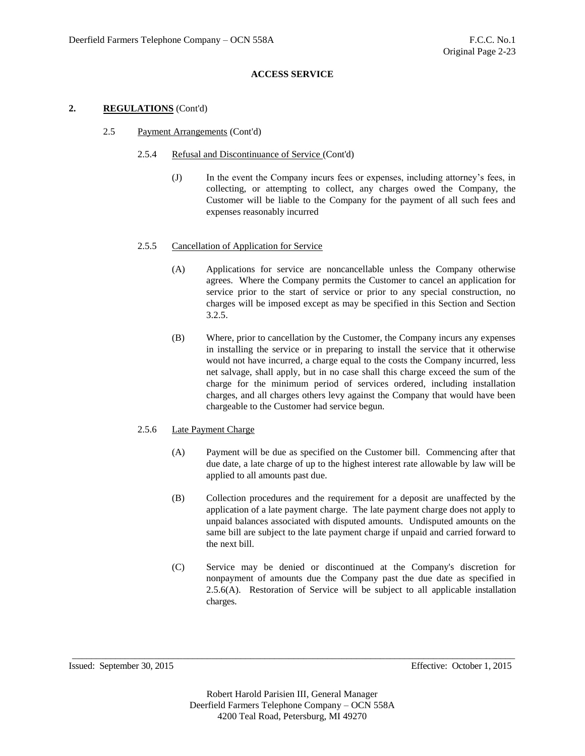## **2. REGULATIONS** (Cont'd)

## 2.5 Payment Arrangements (Cont'd)

## 2.5.4 Refusal and Discontinuance of Service (Cont'd)

(J) In the event the Company incurs fees or expenses, including attorney's fees, in collecting, or attempting to collect, any charges owed the Company, the Customer will be liable to the Company for the payment of all such fees and expenses reasonably incurred

## 2.5.5 Cancellation of Application for Service

- (A) Applications for service are noncancellable unless the Company otherwise agrees. Where the Company permits the Customer to cancel an application for service prior to the start of service or prior to any special construction, no charges will be imposed except as may be specified in this Section and Section 3.2.5.
- (B) Where, prior to cancellation by the Customer, the Company incurs any expenses in installing the service or in preparing to install the service that it otherwise would not have incurred, a charge equal to the costs the Company incurred, less net salvage, shall apply, but in no case shall this charge exceed the sum of the charge for the minimum period of services ordered, including installation charges, and all charges others levy against the Company that would have been chargeable to the Customer had service begun.

# 2.5.6 Late Payment Charge

- (A) Payment will be due as specified on the Customer bill. Commencing after that due date, a late charge of up to the highest interest rate allowable by law will be applied to all amounts past due.
- (B) Collection procedures and the requirement for a deposit are unaffected by the application of a late payment charge. The late payment charge does not apply to unpaid balances associated with disputed amounts. Undisputed amounts on the same bill are subject to the late payment charge if unpaid and carried forward to the next bill.
- (C) Service may be denied or discontinued at the Company's discretion for nonpayment of amounts due the Company past the due date as specified in 2.5.6(A). Restoration of Service will be subject to all applicable installation charges.

Issued: September 30, 2015 Effective: October 1, 2015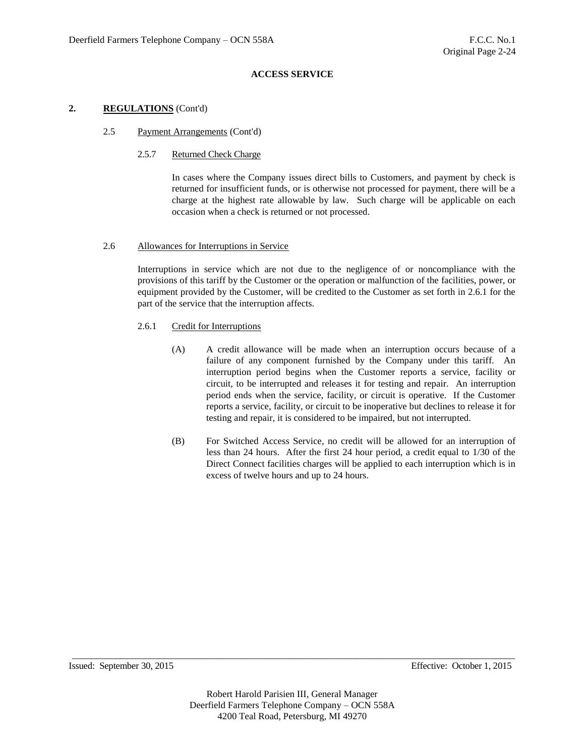## **2. REGULATIONS** (Cont'd)

#### 2.5 Payment Arrangements (Cont'd)

#### 2.5.7 Returned Check Charge

In cases where the Company issues direct bills to Customers, and payment by check is returned for insufficient funds, or is otherwise not processed for payment, there will be a charge at the highest rate allowable by law. Such charge will be applicable on each occasion when a check is returned or not processed.

## 2.6 Allowances for Interruptions in Service

Interruptions in service which are not due to the negligence of or noncompliance with the provisions of this tariff by the Customer or the operation or malfunction of the facilities, power, or equipment provided by the Customer, will be credited to the Customer as set forth in 2.6.1 for the part of the service that the interruption affects.

#### 2.6.1 Credit for Interruptions

- (A) A credit allowance will be made when an interruption occurs because of a failure of any component furnished by the Company under this tariff. An interruption period begins when the Customer reports a service, facility or circuit, to be interrupted and releases it for testing and repair. An interruption period ends when the service, facility, or circuit is operative. If the Customer reports a service, facility, or circuit to be inoperative but declines to release it for testing and repair, it is considered to be impaired, but not interrupted.
- (B) For Switched Access Service, no credit will be allowed for an interruption of less than 24 hours. After the first 24 hour period, a credit equal to 1/30 of the Direct Connect facilities charges will be applied to each interruption which is in excess of twelve hours and up to 24 hours.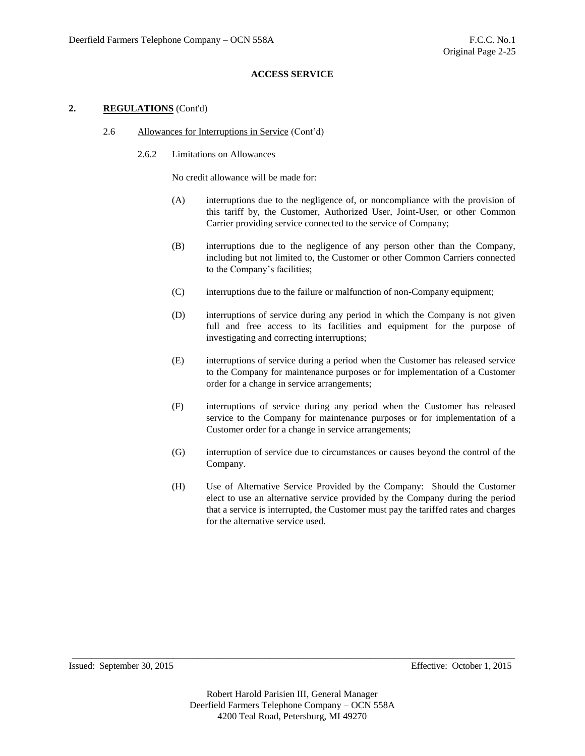## **2. REGULATIONS** (Cont'd)

- 2.6 Allowances for Interruptions in Service (Cont'd)
	- 2.6.2 Limitations on Allowances

No credit allowance will be made for:

- (A) interruptions due to the negligence of, or noncompliance with the provision of this tariff by, the Customer, Authorized User, Joint-User, or other Common Carrier providing service connected to the service of Company;
- (B) interruptions due to the negligence of any person other than the Company, including but not limited to, the Customer or other Common Carriers connected to the Company's facilities;
- (C) interruptions due to the failure or malfunction of non-Company equipment;
- (D) interruptions of service during any period in which the Company is not given full and free access to its facilities and equipment for the purpose of investigating and correcting interruptions;
- (E) interruptions of service during a period when the Customer has released service to the Company for maintenance purposes or for implementation of a Customer order for a change in service arrangements;
- (F) interruptions of service during any period when the Customer has released service to the Company for maintenance purposes or for implementation of a Customer order for a change in service arrangements;
- (G) interruption of service due to circumstances or causes beyond the control of the Company.
- (H) Use of Alternative Service Provided by the Company: Should the Customer elect to use an alternative service provided by the Company during the period that a service is interrupted, the Customer must pay the tariffed rates and charges for the alternative service used.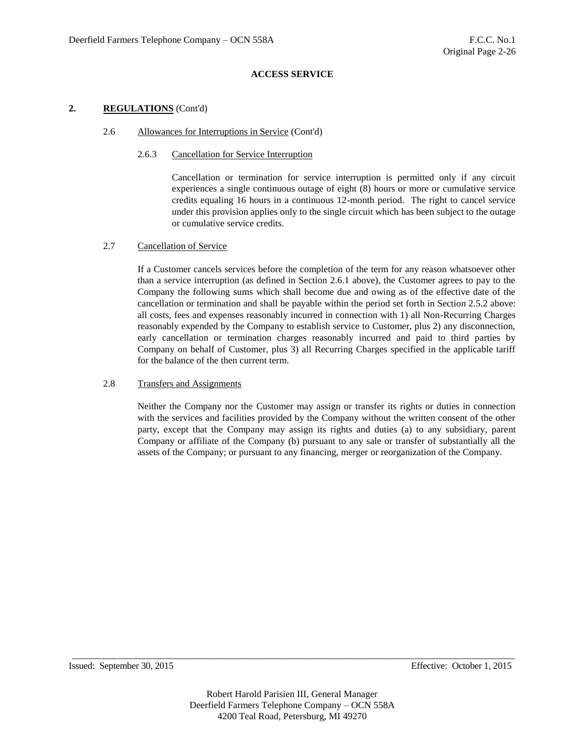## **2. REGULATIONS** (Cont'd)

#### 2.6 Allowances for Interruptions in Service (Cont'd)

## 2.6.3 Cancellation for Service Interruption

Cancellation or termination for service interruption is permitted only if any circuit experiences a single continuous outage of eight (8) hours or more or cumulative service credits equaling 16 hours in a continuous 12-month period. The right to cancel service under this provision applies only to the single circuit which has been subject to the outage or cumulative service credits.

## 2.7 Cancellation of Service

If a Customer cancels services before the completion of the term for any reason whatsoever other than a service interruption (as defined in Section 2.6.1 above), the Customer agrees to pay to the Company the following sums which shall become due and owing as of the effective date of the cancellation or termination and shall be payable within the period set forth in Section 2.5.2 above: all costs, fees and expenses reasonably incurred in connection with 1) all Non-Recurring Charges reasonably expended by the Company to establish service to Customer, plus 2) any disconnection, early cancellation or termination charges reasonably incurred and paid to third parties by Company on behalf of Customer, plus 3) all Recurring Charges specified in the applicable tariff for the balance of the then current term.

## 2.8 Transfers and Assignments

Neither the Company nor the Customer may assign or transfer its rights or duties in connection with the services and facilities provided by the Company without the written consent of the other party, except that the Company may assign its rights and duties (a) to any subsidiary, parent Company or affiliate of the Company (b) pursuant to any sale or transfer of substantially all the assets of the Company; or pursuant to any financing, merger or reorganization of the Company.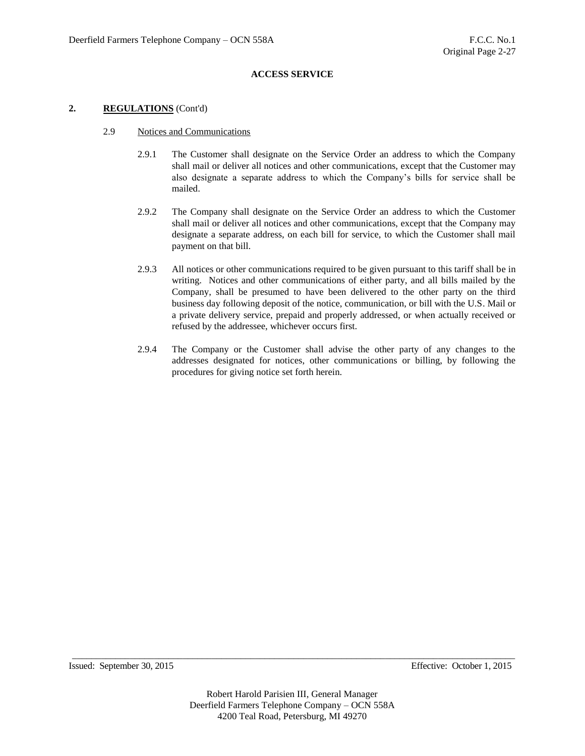## **2. REGULATIONS** (Cont'd)

- 2.9 Notices and Communications
	- 2.9.1 The Customer shall designate on the Service Order an address to which the Company shall mail or deliver all notices and other communications, except that the Customer may also designate a separate address to which the Company's bills for service shall be mailed.
	- 2.9.2 The Company shall designate on the Service Order an address to which the Customer shall mail or deliver all notices and other communications, except that the Company may designate a separate address, on each bill for service, to which the Customer shall mail payment on that bill.
	- 2.9.3 All notices or other communications required to be given pursuant to this tariff shall be in writing. Notices and other communications of either party, and all bills mailed by the Company, shall be presumed to have been delivered to the other party on the third business day following deposit of the notice, communication, or bill with the U.S. Mail or a private delivery service, prepaid and properly addressed, or when actually received or refused by the addressee, whichever occurs first.
	- 2.9.4 The Company or the Customer shall advise the other party of any changes to the addresses designated for notices, other communications or billing, by following the procedures for giving notice set forth herein.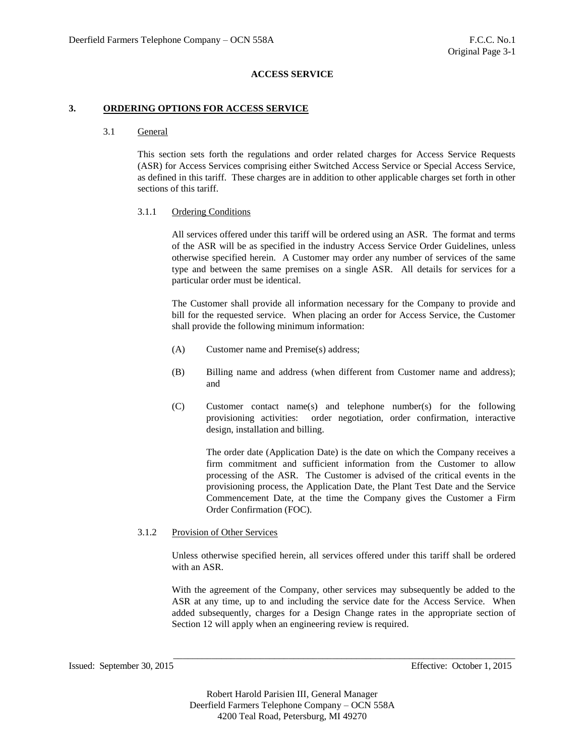#### **3. ORDERING OPTIONS FOR ACCESS SERVICE**

## 3.1 General

This section sets forth the regulations and order related charges for Access Service Requests (ASR) for Access Services comprising either Switched Access Service or Special Access Service, as defined in this tariff. These charges are in addition to other applicable charges set forth in other sections of this tariff.

#### 3.1.1 Ordering Conditions

All services offered under this tariff will be ordered using an ASR. The format and terms of the ASR will be as specified in the industry Access Service Order Guidelines, unless otherwise specified herein. A Customer may order any number of services of the same type and between the same premises on a single ASR. All details for services for a particular order must be identical.

The Customer shall provide all information necessary for the Company to provide and bill for the requested service. When placing an order for Access Service, the Customer shall provide the following minimum information:

- (A) Customer name and Premise(s) address;
- (B) Billing name and address (when different from Customer name and address); and
- (C) Customer contact name(s) and telephone number(s) for the following provisioning activities: order negotiation, order confirmation, interactive design, installation and billing.

The order date (Application Date) is the date on which the Company receives a firm commitment and sufficient information from the Customer to allow processing of the ASR. The Customer is advised of the critical events in the provisioning process, the Application Date, the Plant Test Date and the Service Commencement Date, at the time the Company gives the Customer a Firm Order Confirmation (FOC).

#### 3.1.2 Provision of Other Services

Unless otherwise specified herein, all services offered under this tariff shall be ordered with an ASR.

With the agreement of the Company, other services may subsequently be added to the ASR at any time, up to and including the service date for the Access Service. When added subsequently, charges for a Design Change rates in the appropriate section of Section 12 will apply when an engineering review is required.

\_\_\_\_\_\_\_\_\_\_\_\_\_\_\_\_\_\_\_\_\_\_\_\_\_\_\_\_\_\_\_\_\_\_\_\_\_\_\_\_\_\_\_\_\_\_\_\_\_\_\_\_\_\_\_\_\_\_\_\_\_\_\_\_\_\_\_\_\_\_\_

Issued: September 30, 2015 Effective: October 1, 2015

Robert Harold Parisien III, General Manager Deerfield Farmers Telephone Company – OCN 558A 4200 Teal Road, Petersburg, MI 49270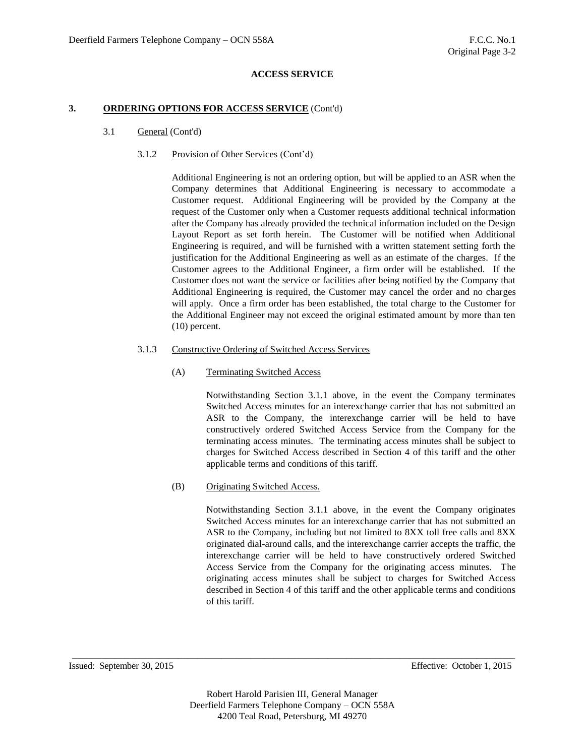#### **3. ORDERING OPTIONS FOR ACCESS SERVICE** (Cont'd)

- 3.1 General (Cont'd)
	- 3.1.2 Provision of Other Services (Cont'd)

Additional Engineering is not an ordering option, but will be applied to an ASR when the Company determines that Additional Engineering is necessary to accommodate a Customer request. Additional Engineering will be provided by the Company at the request of the Customer only when a Customer requests additional technical information after the Company has already provided the technical information included on the Design Layout Report as set forth herein. The Customer will be notified when Additional Engineering is required, and will be furnished with a written statement setting forth the justification for the Additional Engineering as well as an estimate of the charges. If the Customer agrees to the Additional Engineer, a firm order will be established. If the Customer does not want the service or facilities after being notified by the Company that Additional Engineering is required, the Customer may cancel the order and no charges will apply. Once a firm order has been established, the total charge to the Customer for the Additional Engineer may not exceed the original estimated amount by more than ten (10) percent.

## 3.1.3 Constructive Ordering of Switched Access Services

# (A) Terminating Switched Access

Notwithstanding Section 3.1.1 above, in the event the Company terminates Switched Access minutes for an interexchange carrier that has not submitted an ASR to the Company, the interexchange carrier will be held to have constructively ordered Switched Access Service from the Company for the terminating access minutes. The terminating access minutes shall be subject to charges for Switched Access described in Section 4 of this tariff and the other applicable terms and conditions of this tariff.

# (B) Originating Switched Access.

Notwithstanding Section 3.1.1 above, in the event the Company originates Switched Access minutes for an interexchange carrier that has not submitted an ASR to the Company, including but not limited to 8XX toll free calls and 8XX originated dial-around calls, and the interexchange carrier accepts the traffic, the interexchange carrier will be held to have constructively ordered Switched Access Service from the Company for the originating access minutes. The originating access minutes shall be subject to charges for Switched Access described in Section 4 of this tariff and the other applicable terms and conditions of this tariff.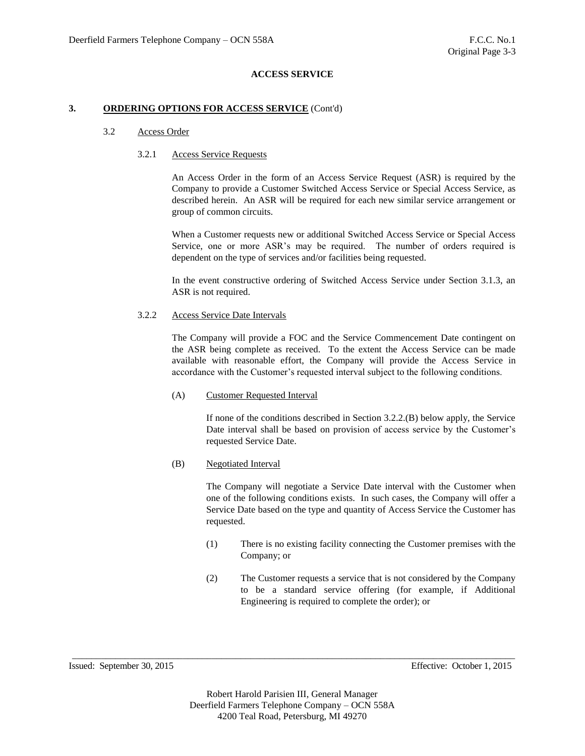#### **3. ORDERING OPTIONS FOR ACCESS SERVICE** (Cont'd)

## 3.2 Access Order

## 3.2.1 Access Service Requests

An Access Order in the form of an Access Service Request (ASR) is required by the Company to provide a Customer Switched Access Service or Special Access Service, as described herein. An ASR will be required for each new similar service arrangement or group of common circuits.

When a Customer requests new or additional Switched Access Service or Special Access Service, one or more ASR's may be required. The number of orders required is dependent on the type of services and/or facilities being requested.

In the event constructive ordering of Switched Access Service under Section 3.1.3, an ASR is not required.

## 3.2.2 Access Service Date Intervals

The Company will provide a FOC and the Service Commencement Date contingent on the ASR being complete as received. To the extent the Access Service can be made available with reasonable effort, the Company will provide the Access Service in accordance with the Customer's requested interval subject to the following conditions.

#### (A) Customer Requested Interval

If none of the conditions described in Section 3.2.2.(B) below apply, the Service Date interval shall be based on provision of access service by the Customer's requested Service Date.

(B) Negotiated Interval

The Company will negotiate a Service Date interval with the Customer when one of the following conditions exists. In such cases, the Company will offer a Service Date based on the type and quantity of Access Service the Customer has requested.

- (1) There is no existing facility connecting the Customer premises with the Company; or
- (2) The Customer requests a service that is not considered by the Company to be a standard service offering (for example, if Additional Engineering is required to complete the order); or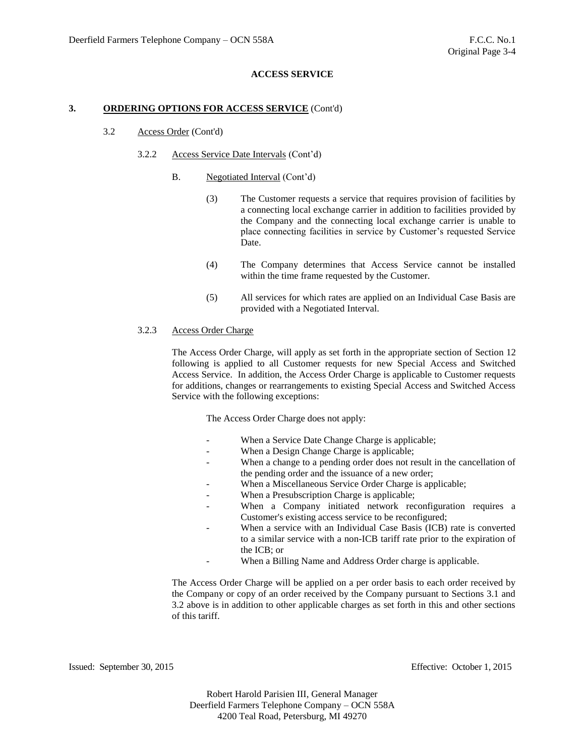#### **3. ORDERING OPTIONS FOR ACCESS SERVICE** (Cont'd)

#### 3.2 Access Order (Cont'd)

#### 3.2.2 Access Service Date Intervals (Cont'd)

- B. Negotiated Interval (Cont'd)
	- (3) The Customer requests a service that requires provision of facilities by a connecting local exchange carrier in addition to facilities provided by the Company and the connecting local exchange carrier is unable to place connecting facilities in service by Customer's requested Service Date.
	- (4) The Company determines that Access Service cannot be installed within the time frame requested by the Customer.
	- (5) All services for which rates are applied on an Individual Case Basis are provided with a Negotiated Interval.

## 3.2.3 Access Order Charge

The Access Order Charge, will apply as set forth in the appropriate section of Section 12 following is applied to all Customer requests for new Special Access and Switched Access Service. In addition, the Access Order Charge is applicable to Customer requests for additions, changes or rearrangements to existing Special Access and Switched Access Service with the following exceptions:

The Access Order Charge does not apply:

- When a Service Date Change Charge is applicable;
- When a Design Change Charge is applicable;
- When a change to a pending order does not result in the cancellation of the pending order and the issuance of a new order;
- When a Miscellaneous Service Order Charge is applicable;
- When a Presubscription Charge is applicable;
- When a Company initiated network reconfiguration requires a Customer's existing access service to be reconfigured;
- When a service with an Individual Case Basis (ICB) rate is converted to a similar service with a non-ICB tariff rate prior to the expiration of the ICB; or
- When a Billing Name and Address Order charge is applicable.

The Access Order Charge will be applied on a per order basis to each order received by the Company or copy of an order received by the Company pursuant to Sections 3.1 and 3.2 above is in addition to other applicable charges as set forth in this and other sections of this tariff.

Issued: September 30, 2015 Effective: October 1, 2015

Robert Harold Parisien III, General Manager Deerfield Farmers Telephone Company – OCN 558A 4200 Teal Road, Petersburg, MI 49270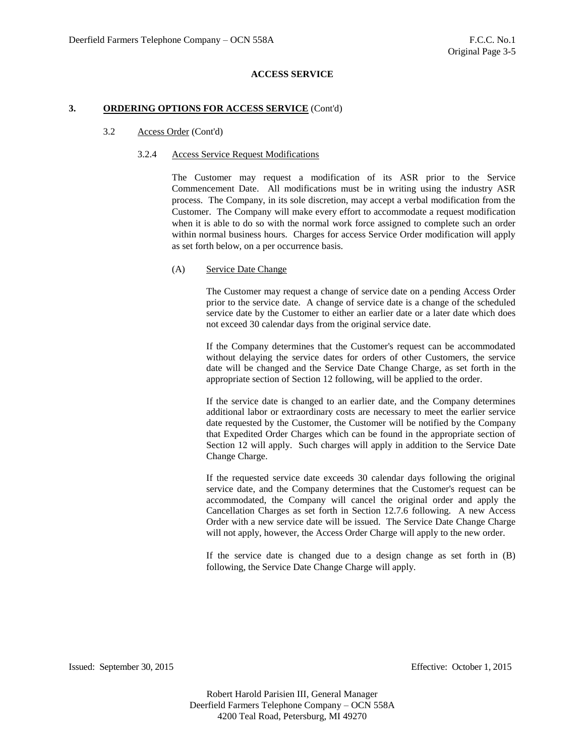#### **3. ORDERING OPTIONS FOR ACCESS SERVICE** (Cont'd)

#### 3.2 Access Order (Cont'd)

#### 3.2.4 Access Service Request Modifications

The Customer may request a modification of its ASR prior to the Service Commencement Date. All modifications must be in writing using the industry ASR process. The Company, in its sole discretion, may accept a verbal modification from the Customer. The Company will make every effort to accommodate a request modification when it is able to do so with the normal work force assigned to complete such an order within normal business hours. Charges for access Service Order modification will apply as set forth below, on a per occurrence basis.

#### (A) Service Date Change

The Customer may request a change of service date on a pending Access Order prior to the service date. A change of service date is a change of the scheduled service date by the Customer to either an earlier date or a later date which does not exceed 30 calendar days from the original service date.

If the Company determines that the Customer's request can be accommodated without delaying the service dates for orders of other Customers, the service date will be changed and the Service Date Change Charge, as set forth in the appropriate section of Section 12 following, will be applied to the order.

If the service date is changed to an earlier date, and the Company determines additional labor or extraordinary costs are necessary to meet the earlier service date requested by the Customer, the Customer will be notified by the Company that Expedited Order Charges which can be found in the appropriate section of Section 12 will apply. Such charges will apply in addition to the Service Date Change Charge.

If the requested service date exceeds 30 calendar days following the original service date, and the Company determines that the Customer's request can be accommodated, the Company will cancel the original order and apply the Cancellation Charges as set forth in Section 12.7.6 following. A new Access Order with a new service date will be issued. The Service Date Change Charge will not apply, however, the Access Order Charge will apply to the new order.

If the service date is changed due to a design change as set forth in (B) following, the Service Date Change Charge will apply.

Issued: September 30, 2015 Effective: October 1, 2015

Robert Harold Parisien III, General Manager Deerfield Farmers Telephone Company – OCN 558A 4200 Teal Road, Petersburg, MI 49270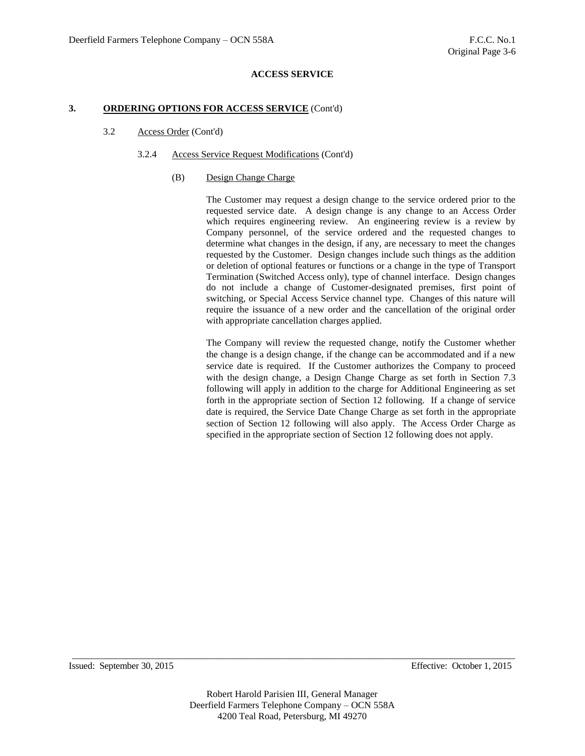#### **3. ORDERING OPTIONS FOR ACCESS SERVICE** (Cont'd)

## 3.2 Access Order (Cont'd)

## 3.2.4 Access Service Request Modifications (Cont'd)

#### (B) Design Change Charge

The Customer may request a design change to the service ordered prior to the requested service date. A design change is any change to an Access Order which requires engineering review. An engineering review is a review by Company personnel, of the service ordered and the requested changes to determine what changes in the design, if any, are necessary to meet the changes requested by the Customer. Design changes include such things as the addition or deletion of optional features or functions or a change in the type of Transport Termination (Switched Access only), type of channel interface. Design changes do not include a change of Customer-designated premises, first point of switching, or Special Access Service channel type. Changes of this nature will require the issuance of a new order and the cancellation of the original order with appropriate cancellation charges applied.

The Company will review the requested change, notify the Customer whether the change is a design change, if the change can be accommodated and if a new service date is required. If the Customer authorizes the Company to proceed with the design change, a Design Change Charge as set forth in Section 7.3 following will apply in addition to the charge for Additional Engineering as set forth in the appropriate section of Section 12 following. If a change of service date is required, the Service Date Change Charge as set forth in the appropriate section of Section 12 following will also apply. The Access Order Charge as specified in the appropriate section of Section 12 following does not apply.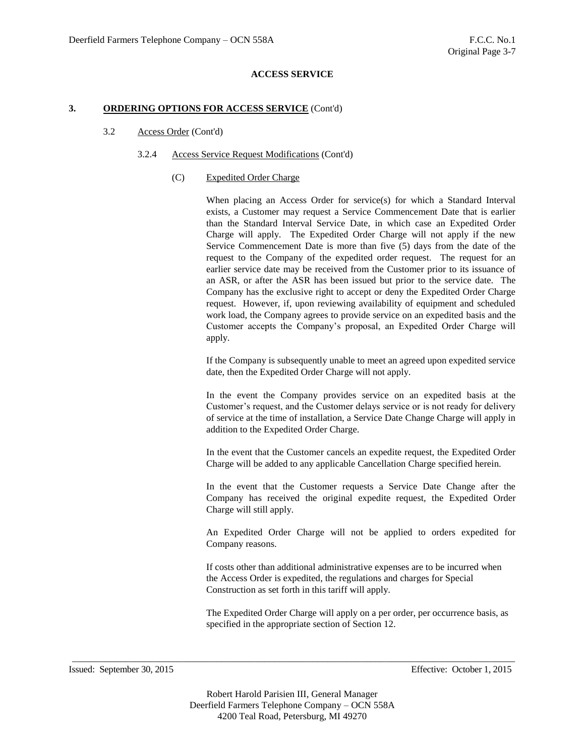#### **3. ORDERING OPTIONS FOR ACCESS SERVICE** (Cont'd)

## 3.2 Access Order (Cont'd)

#### 3.2.4 Access Service Request Modifications (Cont'd)

#### (C) Expedited Order Charge

When placing an Access Order for service(s) for which a Standard Interval exists, a Customer may request a Service Commencement Date that is earlier than the Standard Interval Service Date, in which case an Expedited Order Charge will apply. The Expedited Order Charge will not apply if the new Service Commencement Date is more than five (5) days from the date of the request to the Company of the expedited order request. The request for an earlier service date may be received from the Customer prior to its issuance of an ASR, or after the ASR has been issued but prior to the service date. The Company has the exclusive right to accept or deny the Expedited Order Charge request. However, if, upon reviewing availability of equipment and scheduled work load, the Company agrees to provide service on an expedited basis and the Customer accepts the Company's proposal, an Expedited Order Charge will apply.

If the Company is subsequently unable to meet an agreed upon expedited service date, then the Expedited Order Charge will not apply.

In the event the Company provides service on an expedited basis at the Customer's request, and the Customer delays service or is not ready for delivery of service at the time of installation, a Service Date Change Charge will apply in addition to the Expedited Order Charge.

In the event that the Customer cancels an expedite request, the Expedited Order Charge will be added to any applicable Cancellation Charge specified herein.

In the event that the Customer requests a Service Date Change after the Company has received the original expedite request, the Expedited Order Charge will still apply.

An Expedited Order Charge will not be applied to orders expedited for Company reasons.

If costs other than additional administrative expenses are to be incurred when the Access Order is expedited, the regulations and charges for Special Construction as set forth in this tariff will apply.

The Expedited Order Charge will apply on a per order, per occurrence basis, as specified in the appropriate section of Section 12.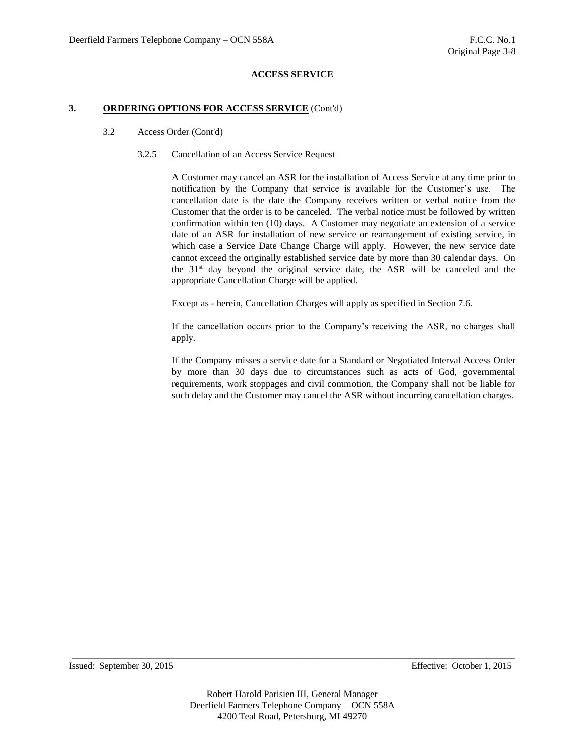#### **3. ORDERING OPTIONS FOR ACCESS SERVICE** (Cont'd)

## 3.2 Access Order (Cont'd)

## 3.2.5 Cancellation of an Access Service Request

A Customer may cancel an ASR for the installation of Access Service at any time prior to notification by the Company that service is available for the Customer's use. The cancellation date is the date the Company receives written or verbal notice from the Customer that the order is to be canceled. The verbal notice must be followed by written confirmation within ten (10) days. A Customer may negotiate an extension of a service date of an ASR for installation of new service or rearrangement of existing service, in which case a Service Date Change Charge will apply. However, the new service date cannot exceed the originally established service date by more than 30 calendar days. On the  $31<sup>st</sup>$  day beyond the original service date, the ASR will be canceled and the appropriate Cancellation Charge will be applied.

Except as - herein, Cancellation Charges will apply as specified in Section 7.6.

If the cancellation occurs prior to the Company's receiving the ASR, no charges shall apply.

If the Company misses a service date for a Standard or Negotiated Interval Access Order by more than 30 days due to circumstances such as acts of God, governmental requirements, work stoppages and civil commotion, the Company shall not be liable for such delay and the Customer may cancel the ASR without incurring cancellation charges.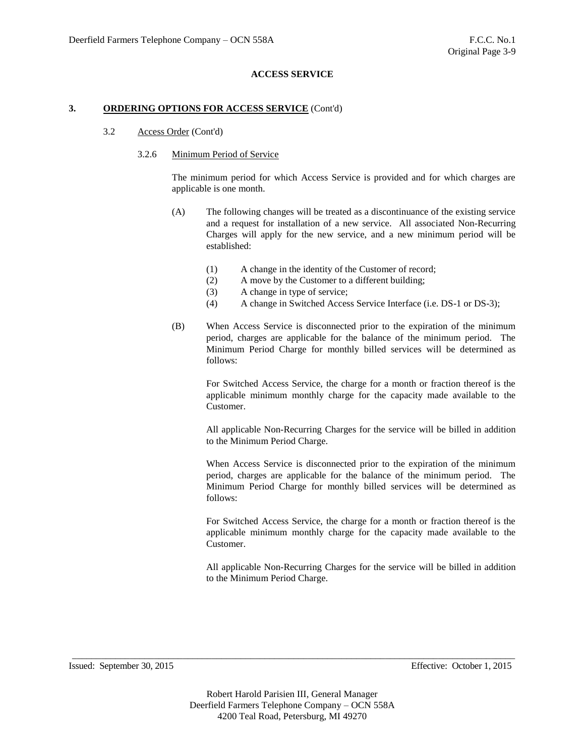## **3. ORDERING OPTIONS FOR ACCESS SERVICE** (Cont'd)

#### 3.2 Access Order (Cont'd)

#### 3.2.6 Minimum Period of Service

The minimum period for which Access Service is provided and for which charges are applicable is one month.

- (A) The following changes will be treated as a discontinuance of the existing service and a request for installation of a new service. All associated Non-Recurring Charges will apply for the new service, and a new minimum period will be established:
	- (1) A change in the identity of the Customer of record;
	- (2) A move by the Customer to a different building;
	- (3) A change in type of service;
	- (4) A change in Switched Access Service Interface (i.e. DS-1 or DS-3);
- (B) When Access Service is disconnected prior to the expiration of the minimum period, charges are applicable for the balance of the minimum period. The Minimum Period Charge for monthly billed services will be determined as follows:

For Switched Access Service, the charge for a month or fraction thereof is the applicable minimum monthly charge for the capacity made available to the Customer.

All applicable Non-Recurring Charges for the service will be billed in addition to the Minimum Period Charge.

When Access Service is disconnected prior to the expiration of the minimum period, charges are applicable for the balance of the minimum period. The Minimum Period Charge for monthly billed services will be determined as follows:

For Switched Access Service, the charge for a month or fraction thereof is the applicable minimum monthly charge for the capacity made available to the Customer.

All applicable Non-Recurring Charges for the service will be billed in addition to the Minimum Period Charge.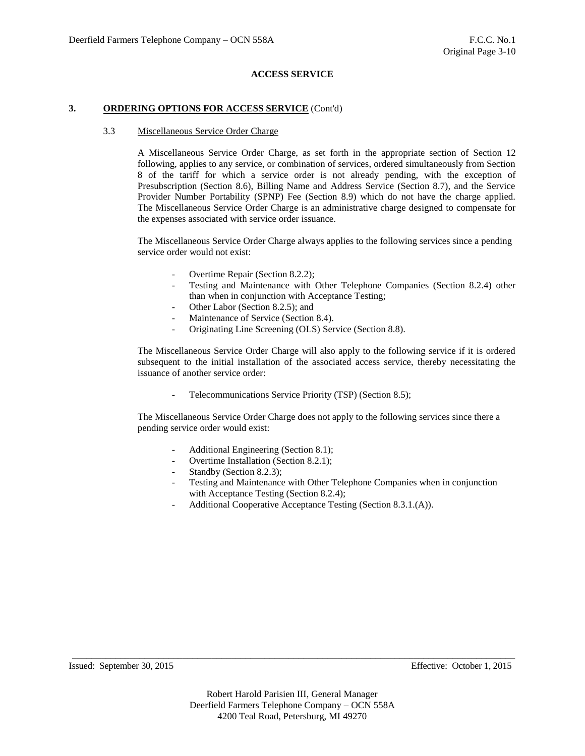#### **3. ORDERING OPTIONS FOR ACCESS SERVICE** (Cont'd)

#### 3.3 Miscellaneous Service Order Charge

A Miscellaneous Service Order Charge, as set forth in the appropriate section of Section 12 following, applies to any service, or combination of services, ordered simultaneously from Section 8 of the tariff for which a service order is not already pending, with the exception of Presubscription (Section 8.6), Billing Name and Address Service (Section 8.7), and the Service Provider Number Portability (SPNP) Fee (Section 8.9) which do not have the charge applied. The Miscellaneous Service Order Charge is an administrative charge designed to compensate for the expenses associated with service order issuance.

The Miscellaneous Service Order Charge always applies to the following services since a pending service order would not exist:

- Overtime Repair (Section 8.2.2);
- Testing and Maintenance with Other Telephone Companies (Section 8.2.4) other than when in conjunction with Acceptance Testing;
- Other Labor (Section 8.2.5); and
- Maintenance of Service (Section 8.4).
- Originating Line Screening (OLS) Service (Section 8.8).

The Miscellaneous Service Order Charge will also apply to the following service if it is ordered subsequent to the initial installation of the associated access service, thereby necessitating the issuance of another service order:

- Telecommunications Service Priority (TSP) (Section 8.5);

The Miscellaneous Service Order Charge does not apply to the following services since there a pending service order would exist:

- Additional Engineering (Section 8.1);
- Overtime Installation (Section 8.2.1);
- Standby (Section 8.2.3);
- Testing and Maintenance with Other Telephone Companies when in conjunction with Acceptance Testing (Section 8.2.4);
- Additional Cooperative Acceptance Testing (Section 8.3.1.(A)).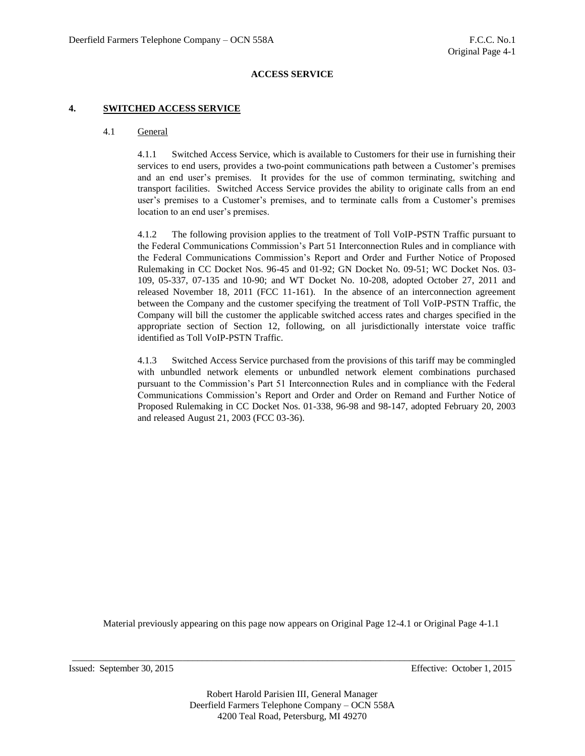#### **4. SWITCHED ACCESS SERVICE**

#### 4.1 General

4.1.1 Switched Access Service, which is available to Customers for their use in furnishing their services to end users, provides a two-point communications path between a Customer's premises and an end user's premises. It provides for the use of common terminating, switching and transport facilities. Switched Access Service provides the ability to originate calls from an end user's premises to a Customer's premises, and to terminate calls from a Customer's premises location to an end user's premises.

4.1.2 The following provision applies to the treatment of Toll VoIP-PSTN Traffic pursuant to the Federal Communications Commission's Part 51 Interconnection Rules and in compliance with the Federal Communications Commission's Report and Order and Further Notice of Proposed Rulemaking in CC Docket Nos. 96-45 and 01-92; GN Docket No. 09-51; WC Docket Nos. 03- 109, 05-337, 07-135 and 10-90; and WT Docket No. 10-208, adopted October 27, 2011 and released November 18, 2011 (FCC 11-161). In the absence of an interconnection agreement between the Company and the customer specifying the treatment of Toll VoIP-PSTN Traffic, the Company will bill the customer the applicable switched access rates and charges specified in the appropriate section of Section 12, following, on all jurisdictionally interstate voice traffic identified as Toll VoIP-PSTN Traffic.

4.1.3 Switched Access Service purchased from the provisions of this tariff may be commingled with unbundled network elements or unbundled network element combinations purchased pursuant to the Commission's Part 51 Interconnection Rules and in compliance with the Federal Communications Commission's Report and Order and Order on Remand and Further Notice of Proposed Rulemaking in CC Docket Nos. 01-338, 96-98 and 98-147, adopted February 20, 2003 and released August 21, 2003 (FCC 03-36).

Material previously appearing on this page now appears on Original Page 12-4.1 or Original Page 4-1.1

Issued: September 30, 2015 Effective: October 1, 2015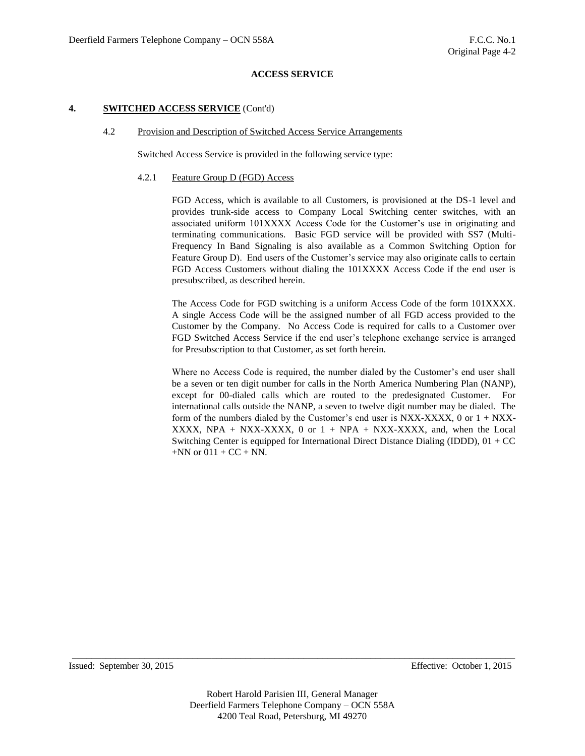## **4. SWITCHED ACCESS SERVICE** (Cont'd)

#### 4.2 Provision and Description of Switched Access Service Arrangements

Switched Access Service is provided in the following service type:

#### 4.2.1 Feature Group D (FGD) Access

FGD Access, which is available to all Customers, is provisioned at the DS-1 level and provides trunk-side access to Company Local Switching center switches, with an associated uniform 101XXXX Access Code for the Customer's use in originating and terminating communications. Basic FGD service will be provided with SS7 (Multi-Frequency In Band Signaling is also available as a Common Switching Option for Feature Group D). End users of the Customer's service may also originate calls to certain FGD Access Customers without dialing the 101XXXX Access Code if the end user is presubscribed, as described herein.

The Access Code for FGD switching is a uniform Access Code of the form 101XXXX. A single Access Code will be the assigned number of all FGD access provided to the Customer by the Company. No Access Code is required for calls to a Customer over FGD Switched Access Service if the end user's telephone exchange service is arranged for Presubscription to that Customer, as set forth herein.

Where no Access Code is required, the number dialed by the Customer's end user shall be a seven or ten digit number for calls in the North America Numbering Plan (NANP), except for 00-dialed calls which are routed to the predesignated Customer. For international calls outside the NANP, a seven to twelve digit number may be dialed. The form of the numbers dialed by the Customer's end user is NXX-XXXX, 0 or  $1 + NXX$ -XXXX, NPA + NXX-XXXX, 0 or  $1 + NPA + NXX-XXXX$ , and, when the Local Switching Center is equipped for International Direct Distance Dialing (IDDD),  $01 + CC$  $+NN$  or  $011 + CC + NN$ .

Issued: September 30, 2015 Effective: October 1, 2015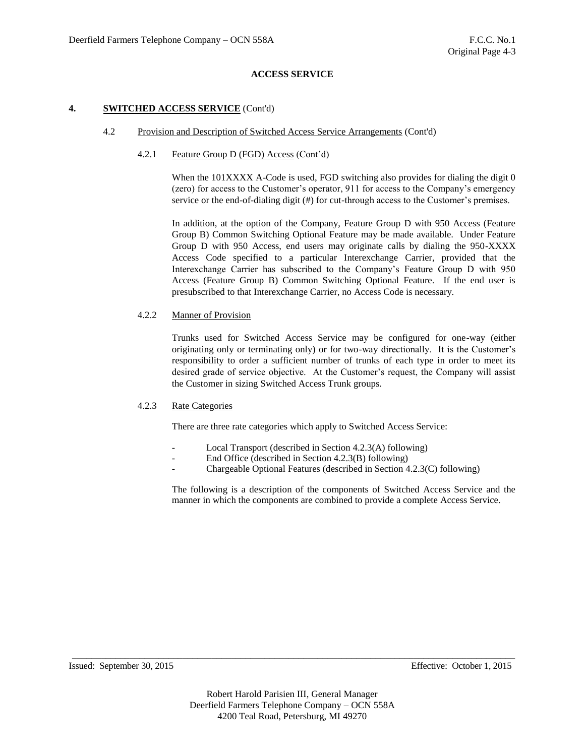## **4. SWITCHED ACCESS SERVICE** (Cont'd)

## 4.2 Provision and Description of Switched Access Service Arrangements (Cont'd)

## 4.2.1 Feature Group D (FGD) Access (Cont'd)

When the 101XXXX A-Code is used, FGD switching also provides for dialing the digit 0 (zero) for access to the Customer's operator, 911 for access to the Company's emergency service or the end-of-dialing digit (#) for cut-through access to the Customer's premises.

In addition, at the option of the Company, Feature Group D with 950 Access (Feature Group B) Common Switching Optional Feature may be made available. Under Feature Group D with 950 Access, end users may originate calls by dialing the 950-XXXX Access Code specified to a particular Interexchange Carrier, provided that the Interexchange Carrier has subscribed to the Company's Feature Group D with 950 Access (Feature Group B) Common Switching Optional Feature. If the end user is presubscribed to that Interexchange Carrier, no Access Code is necessary.

## 4.2.2 Manner of Provision

Trunks used for Switched Access Service may be configured for one-way (either originating only or terminating only) or for two-way directionally. It is the Customer's responsibility to order a sufficient number of trunks of each type in order to meet its desired grade of service objective. At the Customer's request, the Company will assist the Customer in sizing Switched Access Trunk groups.

#### 4.2.3 Rate Categories

There are three rate categories which apply to Switched Access Service:

- Local Transport (described in Section 4.2.3(A) following)
- End Office (described in Section 4.2.3(B) following)
- Chargeable Optional Features (described in Section 4.2.3(C) following)

The following is a description of the components of Switched Access Service and the manner in which the components are combined to provide a complete Access Service.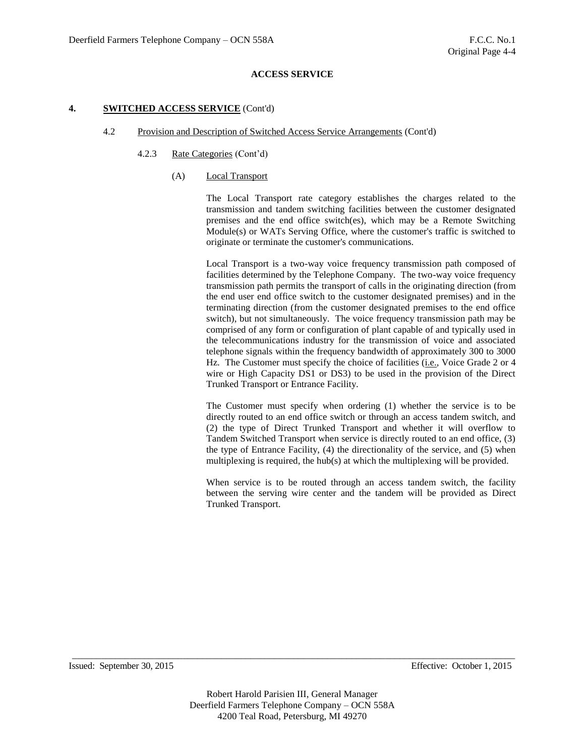## **4. SWITCHED ACCESS SERVICE** (Cont'd)

#### 4.2 Provision and Description of Switched Access Service Arrangements (Cont'd)

## 4.2.3 Rate Categories (Cont'd)

## (A) Local Transport

The Local Transport rate category establishes the charges related to the transmission and tandem switching facilities between the customer designated premises and the end office switch(es), which may be a Remote Switching Module(s) or WATs Serving Office, where the customer's traffic is switched to originate or terminate the customer's communications.

Local Transport is a two-way voice frequency transmission path composed of facilities determined by the Telephone Company. The two-way voice frequency transmission path permits the transport of calls in the originating direction (from the end user end office switch to the customer designated premises) and in the terminating direction (from the customer designated premises to the end office switch), but not simultaneously. The voice frequency transmission path may be comprised of any form or configuration of plant capable of and typically used in the telecommunications industry for the transmission of voice and associated telephone signals within the frequency bandwidth of approximately 300 to 3000 Hz. The Customer must specify the choice of facilities (i.e., Voice Grade 2 or 4 wire or High Capacity DS1 or DS3) to be used in the provision of the Direct Trunked Transport or Entrance Facility.

The Customer must specify when ordering (1) whether the service is to be directly routed to an end office switch or through an access tandem switch, and (2) the type of Direct Trunked Transport and whether it will overflow to Tandem Switched Transport when service is directly routed to an end office, (3) the type of Entrance Facility, (4) the directionality of the service, and (5) when multiplexing is required, the hub(s) at which the multiplexing will be provided.

When service is to be routed through an access tandem switch, the facility between the serving wire center and the tandem will be provided as Direct Trunked Transport.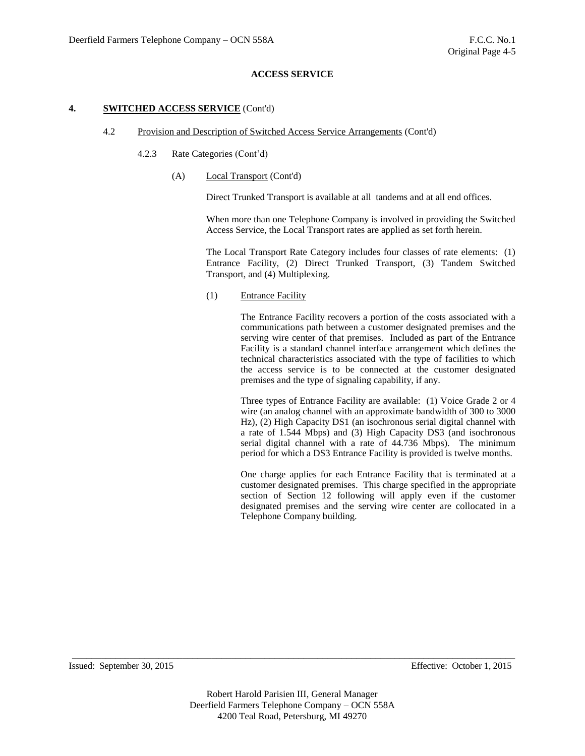## **4. SWITCHED ACCESS SERVICE** (Cont'd)

#### 4.2 Provision and Description of Switched Access Service Arrangements (Cont'd)

## 4.2.3 Rate Categories (Cont'd)

(A) Local Transport (Cont'd)

Direct Trunked Transport is available at all tandems and at all end offices.

When more than one Telephone Company is involved in providing the Switched Access Service, the Local Transport rates are applied as set forth herein.

The Local Transport Rate Category includes four classes of rate elements: (1) Entrance Facility, (2) Direct Trunked Transport, (3) Tandem Switched Transport, and (4) Multiplexing.

## (1) Entrance Facility

The Entrance Facility recovers a portion of the costs associated with a communications path between a customer designated premises and the serving wire center of that premises. Included as part of the Entrance Facility is a standard channel interface arrangement which defines the technical characteristics associated with the type of facilities to which the access service is to be connected at the customer designated premises and the type of signaling capability, if any.

Three types of Entrance Facility are available: (1) Voice Grade 2 or 4 wire (an analog channel with an approximate bandwidth of 300 to 3000 Hz), (2) High Capacity DS1 (an isochronous serial digital channel with a rate of 1.544 Mbps) and (3) High Capacity DS3 (and isochronous serial digital channel with a rate of 44.736 Mbps). The minimum period for which a DS3 Entrance Facility is provided is twelve months.

One charge applies for each Entrance Facility that is terminated at a customer designated premises. This charge specified in the appropriate section of Section 12 following will apply even if the customer designated premises and the serving wire center are collocated in a Telephone Company building.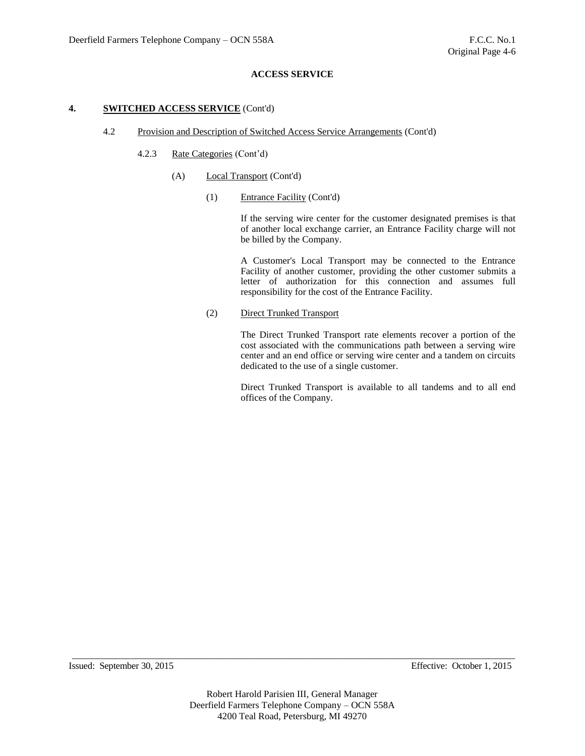## **4. SWITCHED ACCESS SERVICE** (Cont'd)

#### 4.2 Provision and Description of Switched Access Service Arrangements (Cont'd)

## 4.2.3 Rate Categories (Cont'd)

- (A) Local Transport (Cont'd)
	- (1) Entrance Facility (Cont'd)

If the serving wire center for the customer designated premises is that of another local exchange carrier, an Entrance Facility charge will not be billed by the Company.

A Customer's Local Transport may be connected to the Entrance Facility of another customer, providing the other customer submits a letter of authorization for this connection and assumes full responsibility for the cost of the Entrance Facility.

(2) Direct Trunked Transport

The Direct Trunked Transport rate elements recover a portion of the cost associated with the communications path between a serving wire center and an end office or serving wire center and a tandem on circuits dedicated to the use of a single customer.

Direct Trunked Transport is available to all tandems and to all end offices of the Company.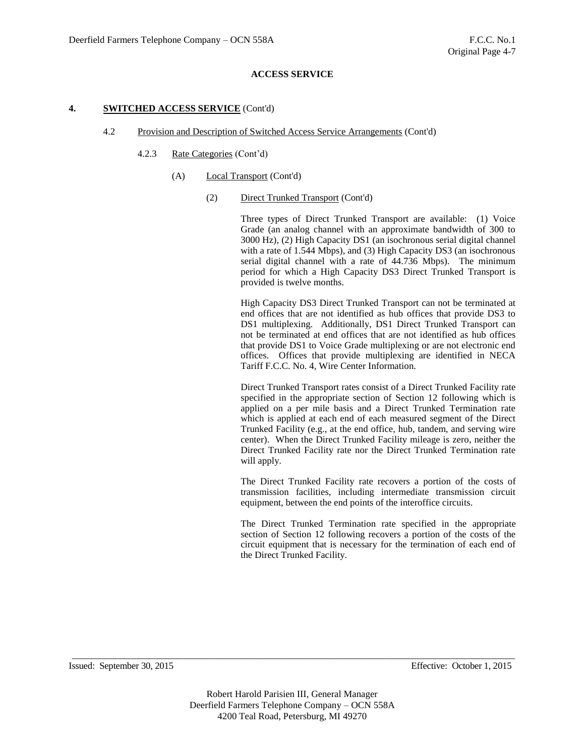#### **4. SWITCHED ACCESS SERVICE** (Cont'd)

#### 4.2 Provision and Description of Switched Access Service Arrangements (Cont'd)

- 4.2.3 Rate Categories (Cont'd)
	- (A) Local Transport (Cont'd)
		- (2) Direct Trunked Transport (Cont'd)

Three types of Direct Trunked Transport are available: (1) Voice Grade (an analog channel with an approximate bandwidth of 300 to 3000 Hz), (2) High Capacity DS1 (an isochronous serial digital channel with a rate of 1.544 Mbps), and (3) High Capacity DS3 (an isochronous serial digital channel with a rate of 44.736 Mbps). The minimum period for which a High Capacity DS3 Direct Trunked Transport is provided is twelve months.

High Capacity DS3 Direct Trunked Transport can not be terminated at end offices that are not identified as hub offices that provide DS3 to DS1 multiplexing. Additionally, DS1 Direct Trunked Transport can not be terminated at end offices that are not identified as hub offices that provide DS1 to Voice Grade multiplexing or are not electronic end offices. Offices that provide multiplexing are identified in NECA Tariff F.C.C. No. 4, Wire Center Information.

Direct Trunked Transport rates consist of a Direct Trunked Facility rate specified in the appropriate section of Section 12 following which is applied on a per mile basis and a Direct Trunked Termination rate which is applied at each end of each measured segment of the Direct Trunked Facility (e.g., at the end office, hub, tandem, and serving wire center). When the Direct Trunked Facility mileage is zero, neither the Direct Trunked Facility rate nor the Direct Trunked Termination rate will apply.

The Direct Trunked Facility rate recovers a portion of the costs of transmission facilities, including intermediate transmission circuit equipment, between the end points of the interoffice circuits.

The Direct Trunked Termination rate specified in the appropriate section of Section 12 following recovers a portion of the costs of the circuit equipment that is necessary for the termination of each end of the Direct Trunked Facility.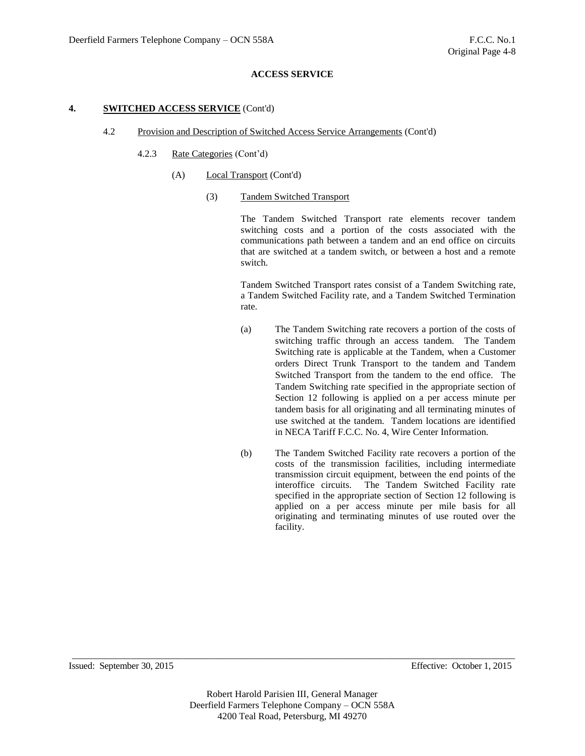## **4. SWITCHED ACCESS SERVICE** (Cont'd)

#### 4.2 Provision and Description of Switched Access Service Arrangements (Cont'd)

- 4.2.3 Rate Categories (Cont'd)
	- (A) Local Transport (Cont'd)
		- (3) Tandem Switched Transport

The Tandem Switched Transport rate elements recover tandem switching costs and a portion of the costs associated with the communications path between a tandem and an end office on circuits that are switched at a tandem switch, or between a host and a remote switch.

Tandem Switched Transport rates consist of a Tandem Switching rate, a Tandem Switched Facility rate, and a Tandem Switched Termination rate.

- (a) The Tandem Switching rate recovers a portion of the costs of switching traffic through an access tandem. The Tandem Switching rate is applicable at the Tandem, when a Customer orders Direct Trunk Transport to the tandem and Tandem Switched Transport from the tandem to the end office. The Tandem Switching rate specified in the appropriate section of Section 12 following is applied on a per access minute per tandem basis for all originating and all terminating minutes of use switched at the tandem. Tandem locations are identified in NECA Tariff F.C.C. No. 4, Wire Center Information.
- (b) The Tandem Switched Facility rate recovers a portion of the costs of the transmission facilities, including intermediate transmission circuit equipment, between the end points of the interoffice circuits. The Tandem Switched Facility rate specified in the appropriate section of Section 12 following is applied on a per access minute per mile basis for all originating and terminating minutes of use routed over the facility.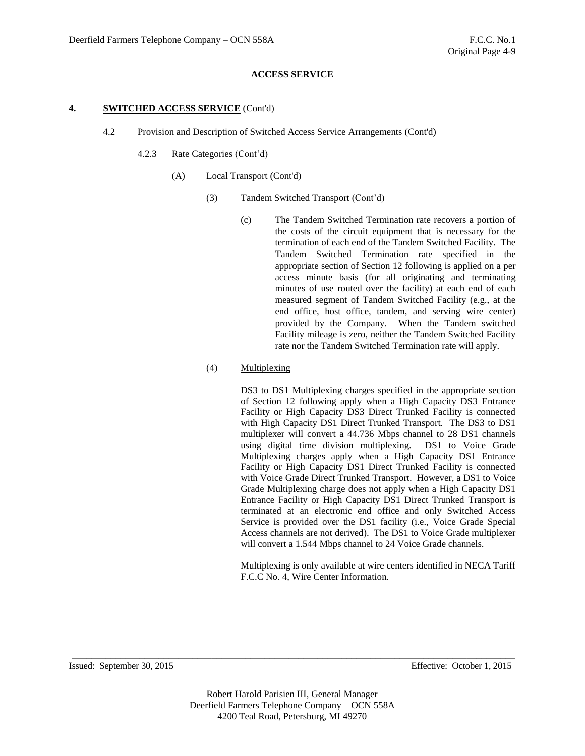#### **4. SWITCHED ACCESS SERVICE** (Cont'd)

- 4.2 Provision and Description of Switched Access Service Arrangements (Cont'd)
	- 4.2.3 Rate Categories (Cont'd)
		- (A) Local Transport (Cont'd)
			- (3) Tandem Switched Transport (Cont'd)
				- (c) The Tandem Switched Termination rate recovers a portion of the costs of the circuit equipment that is necessary for the termination of each end of the Tandem Switched Facility. The Tandem Switched Termination rate specified in the appropriate section of Section 12 following is applied on a per access minute basis (for all originating and terminating minutes of use routed over the facility) at each end of each measured segment of Tandem Switched Facility (e.g., at the end office, host office, tandem, and serving wire center) provided by the Company. When the Tandem switched Facility mileage is zero, neither the Tandem Switched Facility rate nor the Tandem Switched Termination rate will apply.

#### (4) Multiplexing

DS3 to DS1 Multiplexing charges specified in the appropriate section of Section 12 following apply when a High Capacity DS3 Entrance Facility or High Capacity DS3 Direct Trunked Facility is connected with High Capacity DS1 Direct Trunked Transport. The DS3 to DS1 multiplexer will convert a 44.736 Mbps channel to 28 DS1 channels using digital time division multiplexing. DS1 to Voice Grade Multiplexing charges apply when a High Capacity DS1 Entrance Facility or High Capacity DS1 Direct Trunked Facility is connected with Voice Grade Direct Trunked Transport. However, a DS1 to Voice Grade Multiplexing charge does not apply when a High Capacity DS1 Entrance Facility or High Capacity DS1 Direct Trunked Transport is terminated at an electronic end office and only Switched Access Service is provided over the DS1 facility (i.e., Voice Grade Special Access channels are not derived). The DS1 to Voice Grade multiplexer will convert a 1.544 Mbps channel to 24 Voice Grade channels.

Multiplexing is only available at wire centers identified in NECA Tariff F.C.C No. 4, Wire Center Information.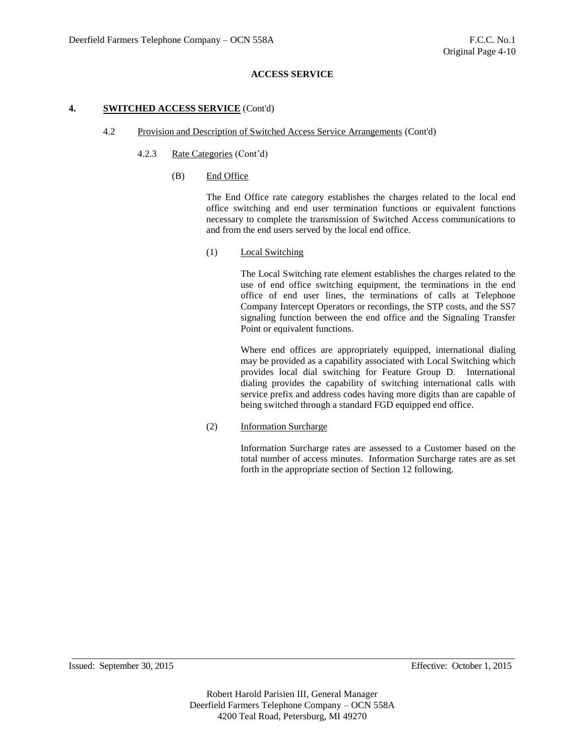## **4. SWITCHED ACCESS SERVICE** (Cont'd)

#### 4.2 Provision and Description of Switched Access Service Arrangements (Cont'd)

## 4.2.3 Rate Categories (Cont'd)

(B) End Office

The End Office rate category establishes the charges related to the local end office switching and end user termination functions or equivalent functions necessary to complete the transmission of Switched Access communications to and from the end users served by the local end office.

(1) Local Switching

The Local Switching rate element establishes the charges related to the use of end office switching equipment, the terminations in the end office of end user lines, the terminations of calls at Telephone Company Intercept Operators or recordings, the STP costs, and the SS7 signaling function between the end office and the Signaling Transfer Point or equivalent functions.

Where end offices are appropriately equipped, international dialing may be provided as a capability associated with Local Switching which provides local dial switching for Feature Group D. International dialing provides the capability of switching international calls with service prefix and address codes having more digits than are capable of being switched through a standard FGD equipped end office.

(2) Information Surcharge

Information Surcharge rates are assessed to a Customer based on the total number of access minutes. Information Surcharge rates are as set forth in the appropriate section of Section 12 following.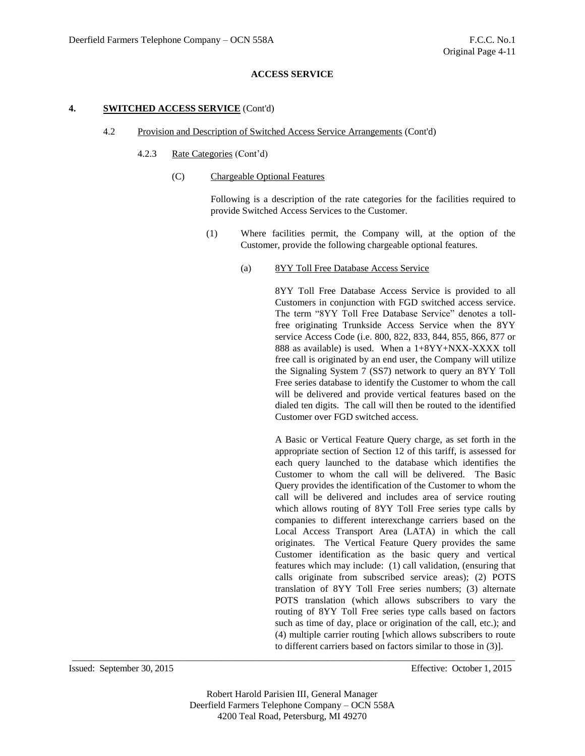## **4. SWITCHED ACCESS SERVICE** (Cont'd)

#### 4.2 Provision and Description of Switched Access Service Arrangements (Cont'd)

- 4.2.3 Rate Categories (Cont'd)
	- (C) Chargeable Optional Features

Following is a description of the rate categories for the facilities required to provide Switched Access Services to the Customer.

- (1) Where facilities permit, the Company will, at the option of the Customer, provide the following chargeable optional features.
	- (a) 8YY Toll Free Database Access Service

8YY Toll Free Database Access Service is provided to all Customers in conjunction with FGD switched access service. The term "8YY Toll Free Database Service" denotes a tollfree originating Trunkside Access Service when the 8YY service Access Code (i.e. 800, 822, 833, 844, 855, 866, 877 or 888 as available) is used. When a 1+8YY+NXX-XXXX toll free call is originated by an end user, the Company will utilize the Signaling System 7 (SS7) network to query an 8YY Toll Free series database to identify the Customer to whom the call will be delivered and provide vertical features based on the dialed ten digits. The call will then be routed to the identified Customer over FGD switched access.

A Basic or Vertical Feature Query charge, as set forth in the appropriate section of Section 12 of this tariff, is assessed for each query launched to the database which identifies the Customer to whom the call will be delivered. The Basic Query provides the identification of the Customer to whom the call will be delivered and includes area of service routing which allows routing of 8YY Toll Free series type calls by companies to different interexchange carriers based on the Local Access Transport Area (LATA) in which the call originates. The Vertical Feature Query provides the same Customer identification as the basic query and vertical features which may include: (1) call validation, (ensuring that calls originate from subscribed service areas); (2) POTS translation of 8YY Toll Free series numbers; (3) alternate POTS translation (which allows subscribers to vary the routing of 8YY Toll Free series type calls based on factors such as time of day, place or origination of the call, etc.); and (4) multiple carrier routing [which allows subscribers to route to different carriers based on factors similar to those in (3)].

Robert Harold Parisien III, General Manager Deerfield Farmers Telephone Company – OCN 558A 4200 Teal Road, Petersburg, MI 49270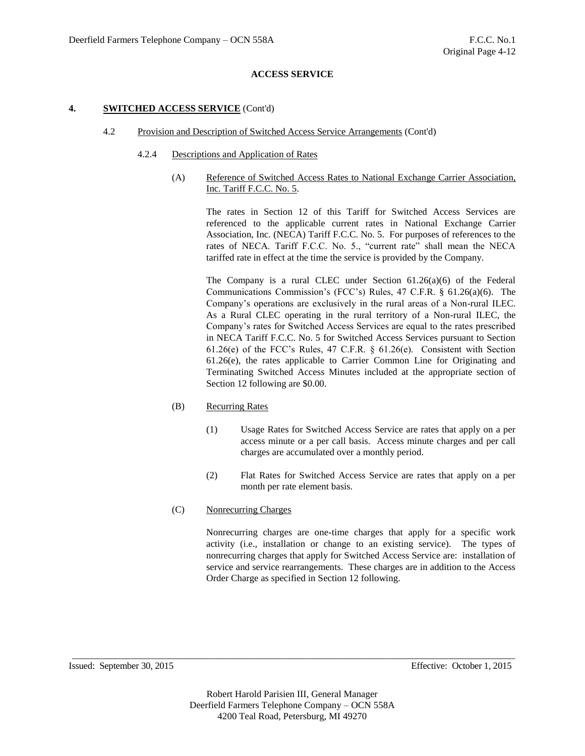## **4. SWITCHED ACCESS SERVICE** (Cont'd)

## 4.2 Provision and Description of Switched Access Service Arrangements (Cont'd)

## 4.2.4 Descriptions and Application of Rates

(A) Reference of Switched Access Rates to National Exchange Carrier Association, Inc. Tariff F.C.C. No. 5.

> The rates in Section 12 of this Tariff for Switched Access Services are referenced to the applicable current rates in National Exchange Carrier Association, Inc. (NECA) Tariff F.C.C. No. 5. For purposes of references to the rates of NECA. Tariff F.C.C. No. 5., "current rate" shall mean the NECA tariffed rate in effect at the time the service is provided by the Company.

> The Company is a rural CLEC under Section 61.26(a)(6) of the Federal Communications Commission's (FCC's) Rules, 47 C.F.R. § 61.26(a)(6). The Company's operations are exclusively in the rural areas of a Non-rural ILEC. As a Rural CLEC operating in the rural territory of a Non-rural ILEC, the Company's rates for Switched Access Services are equal to the rates prescribed in NECA Tariff F.C.C. No. 5 for Switched Access Services pursuant to Section 61.26(e) of the FCC's Rules, 47 C.F.R. § 61.26(e). Consistent with Section 61.26(e), the rates applicable to Carrier Common Line for Originating and Terminating Switched Access Minutes included at the appropriate section of Section 12 following are \$0.00.

# (B) Recurring Rates

- (1) Usage Rates for Switched Access Service are rates that apply on a per access minute or a per call basis. Access minute charges and per call charges are accumulated over a monthly period.
- (2) Flat Rates for Switched Access Service are rates that apply on a per month per rate element basis.
- (C) Nonrecurring Charges

Nonrecurring charges are one-time charges that apply for a specific work activity (i.e., installation or change to an existing service). The types of nonrecurring charges that apply for Switched Access Service are: installation of service and service rearrangements. These charges are in addition to the Access Order Charge as specified in Section 12 following.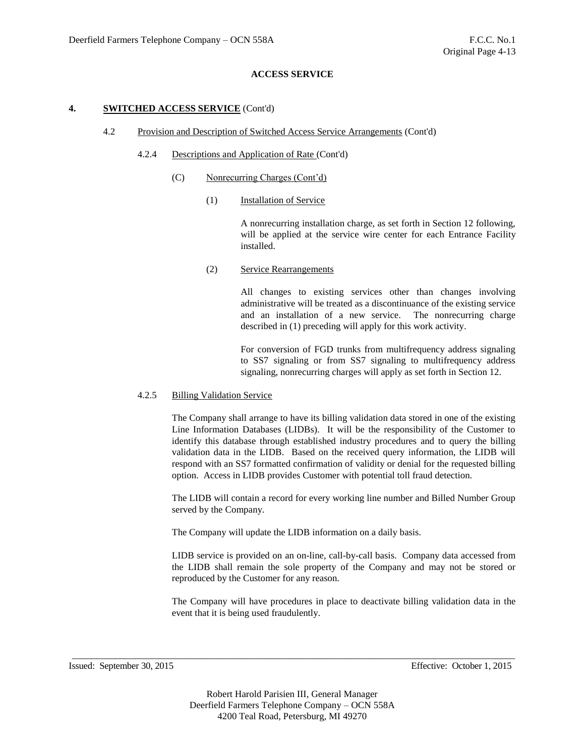## **4. SWITCHED ACCESS SERVICE** (Cont'd)

- 4.2 Provision and Description of Switched Access Service Arrangements (Cont'd)
	- 4.2.4 Descriptions and Application of Rate (Cont'd)
		- (C) Nonrecurring Charges (Cont'd)
			- (1) Installation of Service

A nonrecurring installation charge, as set forth in Section 12 following, will be applied at the service wire center for each Entrance Facility installed.

(2) Service Rearrangements

All changes to existing services other than changes involving administrative will be treated as a discontinuance of the existing service and an installation of a new service. The nonrecurring charge described in (1) preceding will apply for this work activity.

For conversion of FGD trunks from multifrequency address signaling to SS7 signaling or from SS7 signaling to multifrequency address signaling, nonrecurring charges will apply as set forth in Section 12.

#### 4.2.5 Billing Validation Service

The Company shall arrange to have its billing validation data stored in one of the existing Line Information Databases (LIDBs). It will be the responsibility of the Customer to identify this database through established industry procedures and to query the billing validation data in the LIDB. Based on the received query information, the LIDB will respond with an SS7 formatted confirmation of validity or denial for the requested billing option. Access in LIDB provides Customer with potential toll fraud detection.

The LIDB will contain a record for every working line number and Billed Number Group served by the Company.

The Company will update the LIDB information on a daily basis.

LIDB service is provided on an on-line, call-by-call basis. Company data accessed from the LIDB shall remain the sole property of the Company and may not be stored or reproduced by the Customer for any reason.

The Company will have procedures in place to deactivate billing validation data in the event that it is being used fraudulently.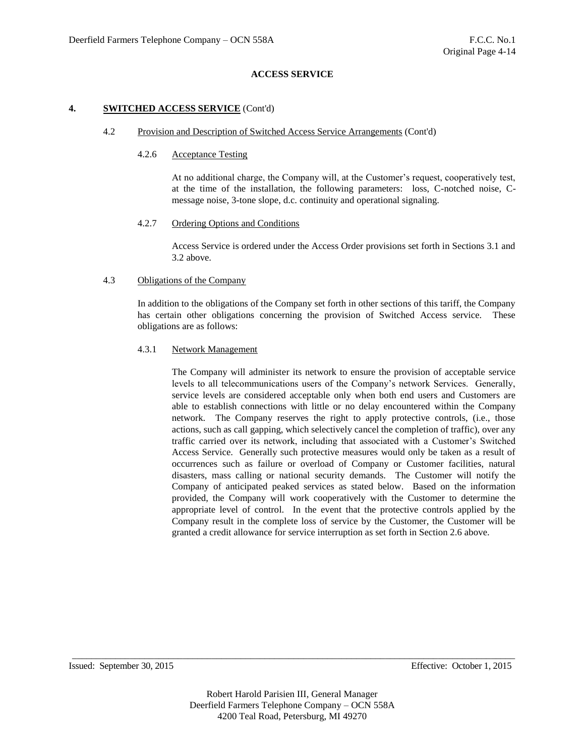## **4. SWITCHED ACCESS SERVICE** (Cont'd)

#### 4.2 Provision and Description of Switched Access Service Arrangements (Cont'd)

## 4.2.6 Acceptance Testing

At no additional charge, the Company will, at the Customer's request, cooperatively test, at the time of the installation, the following parameters: loss, C-notched noise, Cmessage noise, 3-tone slope, d.c. continuity and operational signaling.

## 4.2.7 Ordering Options and Conditions

Access Service is ordered under the Access Order provisions set forth in Sections 3.1 and 3.2 above.

## 4.3 Obligations of the Company

In addition to the obligations of the Company set forth in other sections of this tariff, the Company has certain other obligations concerning the provision of Switched Access service. These obligations are as follows:

## 4.3.1 Network Management

The Company will administer its network to ensure the provision of acceptable service levels to all telecommunications users of the Company's network Services. Generally, service levels are considered acceptable only when both end users and Customers are able to establish connections with little or no delay encountered within the Company network. The Company reserves the right to apply protective controls, (i.e., those actions, such as call gapping, which selectively cancel the completion of traffic), over any traffic carried over its network, including that associated with a Customer's Switched Access Service. Generally such protective measures would only be taken as a result of occurrences such as failure or overload of Company or Customer facilities, natural disasters, mass calling or national security demands. The Customer will notify the Company of anticipated peaked services as stated below. Based on the information provided, the Company will work cooperatively with the Customer to determine the appropriate level of control. In the event that the protective controls applied by the Company result in the complete loss of service by the Customer, the Customer will be granted a credit allowance for service interruption as set forth in Section 2.6 above.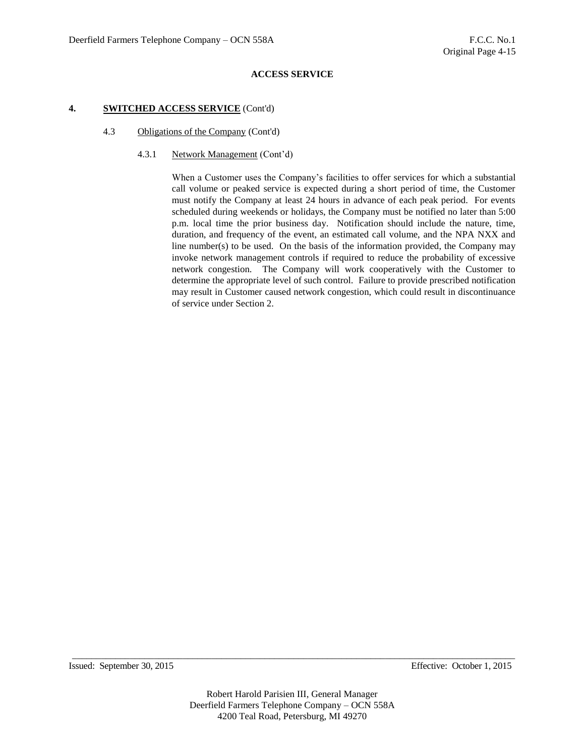## **4. SWITCHED ACCESS SERVICE** (Cont'd)

- 4.3 Obligations of the Company (Cont'd)
	- 4.3.1 Network Management (Cont'd)

When a Customer uses the Company's facilities to offer services for which a substantial call volume or peaked service is expected during a short period of time, the Customer must notify the Company at least 24 hours in advance of each peak period. For events scheduled during weekends or holidays, the Company must be notified no later than 5:00 p.m. local time the prior business day. Notification should include the nature, time, duration, and frequency of the event, an estimated call volume, and the NPA NXX and line number(s) to be used. On the basis of the information provided, the Company may invoke network management controls if required to reduce the probability of excessive network congestion. The Company will work cooperatively with the Customer to determine the appropriate level of such control. Failure to provide prescribed notification may result in Customer caused network congestion, which could result in discontinuance of service under Section 2.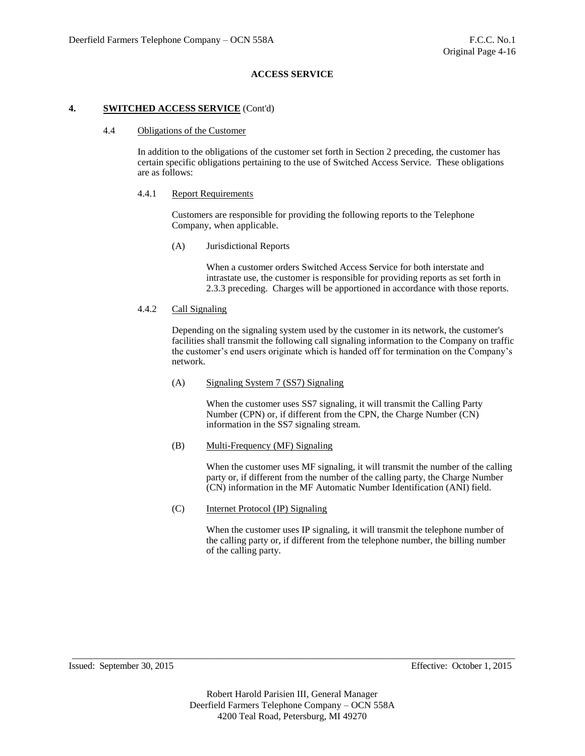#### **4. SWITCHED ACCESS SERVICE** (Cont'd)

#### 4.4 Obligations of the Customer

In addition to the obligations of the customer set forth in Section 2 preceding, the customer has certain specific obligations pertaining to the use of Switched Access Service. These obligations are as follows:

#### 4.4.1 Report Requirements

Customers are responsible for providing the following reports to the Telephone Company, when applicable.

(A) Jurisdictional Reports

When a customer orders Switched Access Service for both interstate and intrastate use, the customer is responsible for providing reports as set forth in 2.3.3 preceding. Charges will be apportioned in accordance with those reports.

## 4.4.2 Call Signaling

Depending on the signaling system used by the customer in its network, the customer's facilities shall transmit the following call signaling information to the Company on traffic the customer's end users originate which is handed off for termination on the Company's network.

#### (A) Signaling System 7 (SS7) Signaling

When the customer uses SS7 signaling, it will transmit the Calling Party Number (CPN) or, if different from the CPN, the Charge Number (CN) information in the SS7 signaling stream.

## (B) Multi-Frequency (MF) Signaling

When the customer uses MF signaling, it will transmit the number of the calling party or, if different from the number of the calling party, the Charge Number (CN) information in the MF Automatic Number Identification (ANI) field.

#### (C) Internet Protocol (IP) Signaling

When the customer uses IP signaling, it will transmit the telephone number of the calling party or, if different from the telephone number, the billing number of the calling party.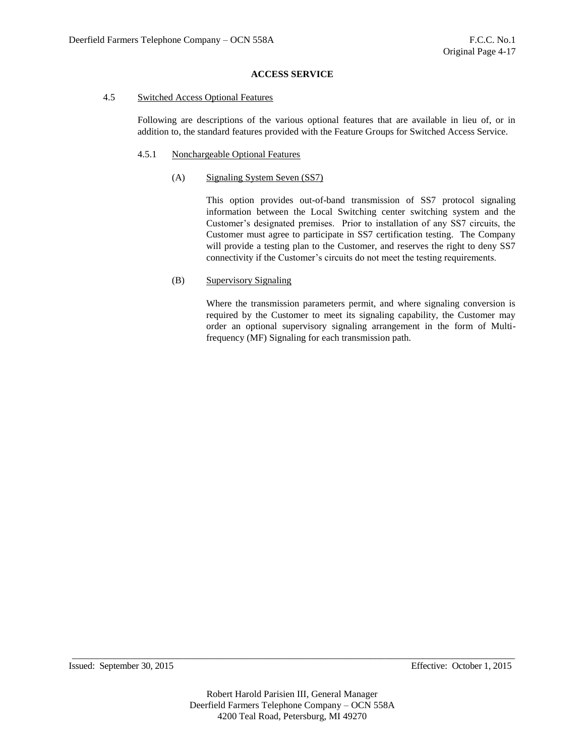#### 4.5 Switched Access Optional Features

Following are descriptions of the various optional features that are available in lieu of, or in addition to, the standard features provided with the Feature Groups for Switched Access Service.

## 4.5.1 Nonchargeable Optional Features

## (A) Signaling System Seven (SS7)

This option provides out-of-band transmission of SS7 protocol signaling information between the Local Switching center switching system and the Customer's designated premises. Prior to installation of any SS7 circuits, the Customer must agree to participate in SS7 certification testing. The Company will provide a testing plan to the Customer, and reserves the right to deny SS7 connectivity if the Customer's circuits do not meet the testing requirements.

# (B) Supervisory Signaling

Where the transmission parameters permit, and where signaling conversion is required by the Customer to meet its signaling capability, the Customer may order an optional supervisory signaling arrangement in the form of Multifrequency (MF) Signaling for each transmission path.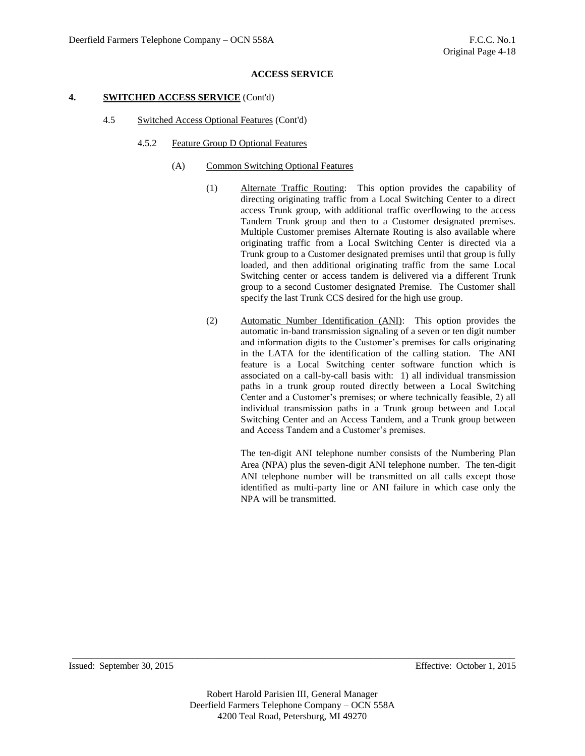#### **4. SWITCHED ACCESS SERVICE** (Cont'd)

- 4.5 Switched Access Optional Features (Cont'd)
	- 4.5.2 Feature Group D Optional Features
		- (A) Common Switching Optional Features
			- (1) Alternate Traffic Routing: This option provides the capability of directing originating traffic from a Local Switching Center to a direct access Trunk group, with additional traffic overflowing to the access Tandem Trunk group and then to a Customer designated premises. Multiple Customer premises Alternate Routing is also available where originating traffic from a Local Switching Center is directed via a Trunk group to a Customer designated premises until that group is fully loaded, and then additional originating traffic from the same Local Switching center or access tandem is delivered via a different Trunk group to a second Customer designated Premise. The Customer shall specify the last Trunk CCS desired for the high use group.
			- (2) Automatic Number Identification (ANI): This option provides the automatic in-band transmission signaling of a seven or ten digit number and information digits to the Customer's premises for calls originating in the LATA for the identification of the calling station. The ANI feature is a Local Switching center software function which is associated on a call-by-call basis with: 1) all individual transmission paths in a trunk group routed directly between a Local Switching Center and a Customer's premises; or where technically feasible, 2) all individual transmission paths in a Trunk group between and Local Switching Center and an Access Tandem, and a Trunk group between and Access Tandem and a Customer's premises.

The ten-digit ANI telephone number consists of the Numbering Plan Area (NPA) plus the seven-digit ANI telephone number. The ten-digit ANI telephone number will be transmitted on all calls except those identified as multi-party line or ANI failure in which case only the NPA will be transmitted.

Issued: September 30, 2015 Effective: October 1, 2015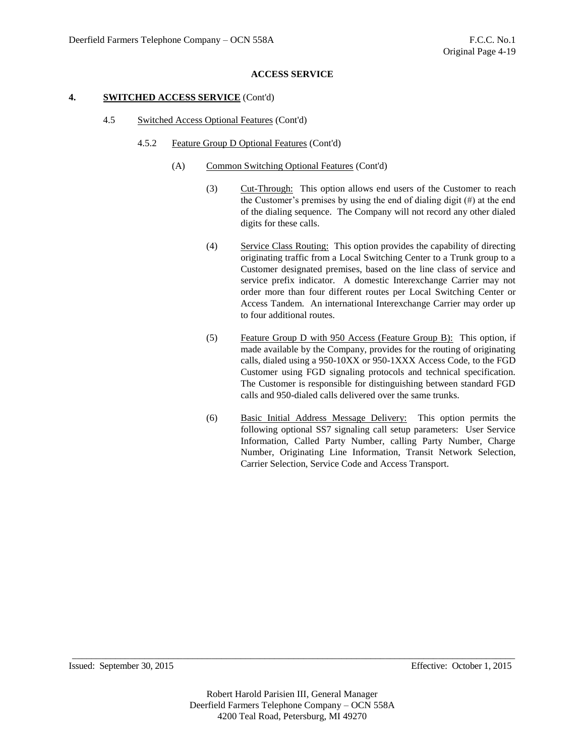#### **4. SWITCHED ACCESS SERVICE** (Cont'd)

- 4.5 Switched Access Optional Features (Cont'd)
	- 4.5.2 Feature Group D Optional Features (Cont'd)
		- (A) Common Switching Optional Features (Cont'd)
			- (3) Cut-Through: This option allows end users of the Customer to reach the Customer's premises by using the end of dialing digit (#) at the end of the dialing sequence. The Company will not record any other dialed digits for these calls.
			- (4) Service Class Routing: This option provides the capability of directing originating traffic from a Local Switching Center to a Trunk group to a Customer designated premises, based on the line class of service and service prefix indicator. A domestic Interexchange Carrier may not order more than four different routes per Local Switching Center or Access Tandem. An international Interexchange Carrier may order up to four additional routes.
			- (5) Feature Group D with 950 Access (Feature Group B): This option, if made available by the Company, provides for the routing of originating calls, dialed using a 950-10XX or 950-1XXX Access Code, to the FGD Customer using FGD signaling protocols and technical specification. The Customer is responsible for distinguishing between standard FGD calls and 950-dialed calls delivered over the same trunks.
			- (6) Basic Initial Address Message Delivery: This option permits the following optional SS7 signaling call setup parameters: User Service Information, Called Party Number, calling Party Number, Charge Number, Originating Line Information, Transit Network Selection, Carrier Selection, Service Code and Access Transport.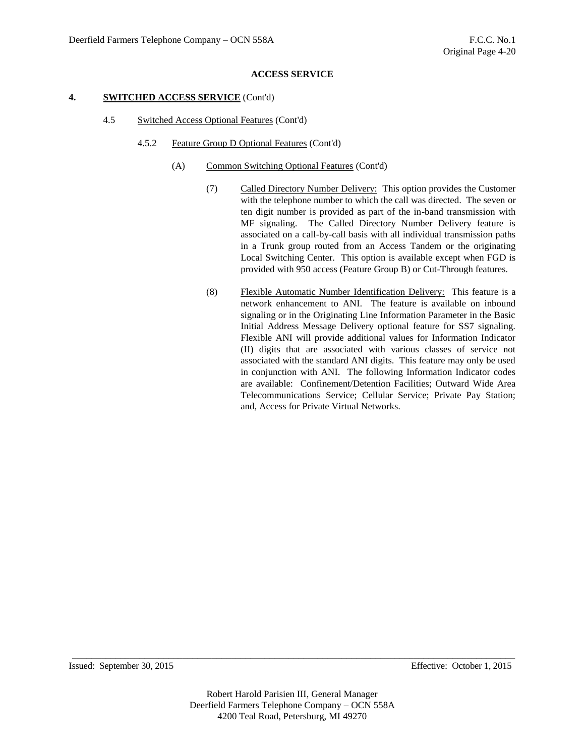#### **4. SWITCHED ACCESS SERVICE** (Cont'd)

- 4.5 Switched Access Optional Features (Cont'd)
	- 4.5.2 Feature Group D Optional Features (Cont'd)
		- (A) Common Switching Optional Features (Cont'd)
			- (7) Called Directory Number Delivery: This option provides the Customer with the telephone number to which the call was directed. The seven or ten digit number is provided as part of the in-band transmission with MF signaling. The Called Directory Number Delivery feature is associated on a call-by-call basis with all individual transmission paths in a Trunk group routed from an Access Tandem or the originating Local Switching Center. This option is available except when FGD is provided with 950 access (Feature Group B) or Cut-Through features.
			- (8) Flexible Automatic Number Identification Delivery: This feature is a network enhancement to ANI. The feature is available on inbound signaling or in the Originating Line Information Parameter in the Basic Initial Address Message Delivery optional feature for SS7 signaling. Flexible ANI will provide additional values for Information Indicator (II) digits that are associated with various classes of service not associated with the standard ANI digits. This feature may only be used in conjunction with ANI. The following Information Indicator codes are available: Confinement/Detention Facilities; Outward Wide Area Telecommunications Service; Cellular Service; Private Pay Station; and, Access for Private Virtual Networks.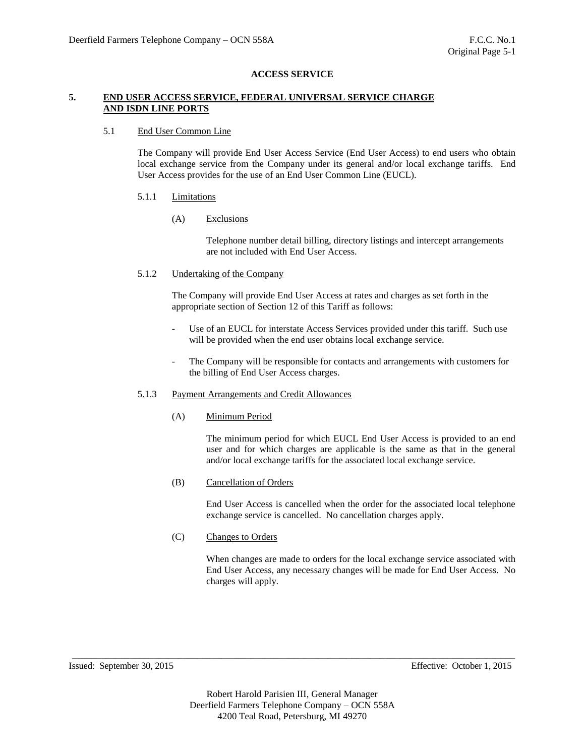## **5. END USER ACCESS SERVICE, FEDERAL UNIVERSAL SERVICE CHARGE AND ISDN LINE PORTS**

### 5.1 End User Common Line

The Company will provide End User Access Service (End User Access) to end users who obtain local exchange service from the Company under its general and/or local exchange tariffs. End User Access provides for the use of an End User Common Line (EUCL).

## 5.1.1 Limitations

## (A) Exclusions

Telephone number detail billing, directory listings and intercept arrangements are not included with End User Access.

5.1.2 Undertaking of the Company

The Company will provide End User Access at rates and charges as set forth in the appropriate section of Section 12 of this Tariff as follows:

- Use of an EUCL for interstate Access Services provided under this tariff. Such use will be provided when the end user obtains local exchange service.
- The Company will be responsible for contacts and arrangements with customers for the billing of End User Access charges.

## 5.1.3 Payment Arrangements and Credit Allowances

(A) Minimum Period

The minimum period for which EUCL End User Access is provided to an end user and for which charges are applicable is the same as that in the general and/or local exchange tariffs for the associated local exchange service.

(B) Cancellation of Orders

End User Access is cancelled when the order for the associated local telephone exchange service is cancelled. No cancellation charges apply.

(C) Changes to Orders

When changes are made to orders for the local exchange service associated with End User Access, any necessary changes will be made for End User Access. No charges will apply.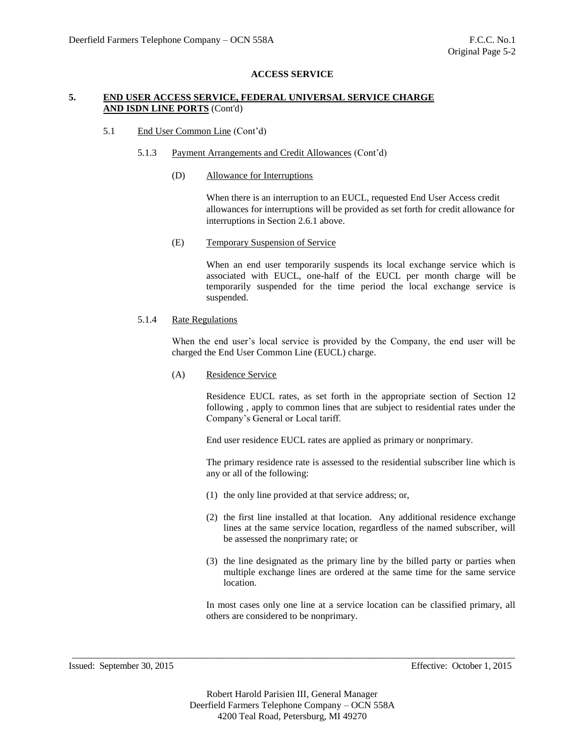## **5. END USER ACCESS SERVICE, FEDERAL UNIVERSAL SERVICE CHARGE AND ISDN LINE PORTS** (Cont'd)

### 5.1 End User Common Line (Cont'd)

- 5.1.3 Payment Arrangements and Credit Allowances (Cont'd)
	- (D) Allowance for Interruptions

When there is an interruption to an EUCL, requested End User Access credit allowances for interruptions will be provided as set forth for credit allowance for interruptions in Section 2.6.1 above.

(E) Temporary Suspension of Service

When an end user temporarily suspends its local exchange service which is associated with EUCL, one-half of the EUCL per month charge will be temporarily suspended for the time period the local exchange service is suspended.

## 5.1.4 Rate Regulations

When the end user's local service is provided by the Company, the end user will be charged the End User Common Line (EUCL) charge.

(A) Residence Service

Residence EUCL rates, as set forth in the appropriate section of Section 12 following , apply to common lines that are subject to residential rates under the Company's General or Local tariff.

End user residence EUCL rates are applied as primary or nonprimary.

The primary residence rate is assessed to the residential subscriber line which is any or all of the following:

- (1) the only line provided at that service address; or,
- (2) the first line installed at that location. Any additional residence exchange lines at the same service location, regardless of the named subscriber, will be assessed the nonprimary rate; or
- (3) the line designated as the primary line by the billed party or parties when multiple exchange lines are ordered at the same time for the same service location.

In most cases only one line at a service location can be classified primary, all others are considered to be nonprimary.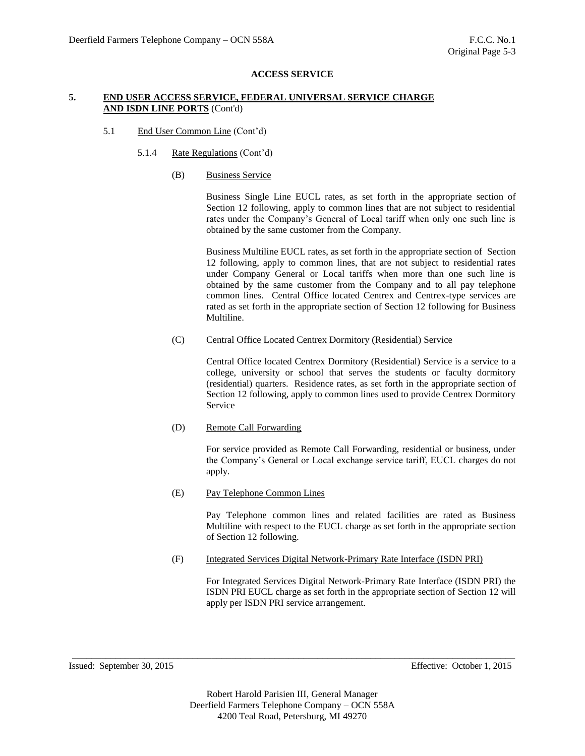## **5. END USER ACCESS SERVICE, FEDERAL UNIVERSAL SERVICE CHARGE AND ISDN LINE PORTS** (Cont'd)

## 5.1 End User Common Line (Cont'd)

- 5.1.4 Rate Regulations (Cont'd)
	- (B) Business Service

Business Single Line EUCL rates, as set forth in the appropriate section of Section 12 following, apply to common lines that are not subject to residential rates under the Company's General of Local tariff when only one such line is obtained by the same customer from the Company.

Business Multiline EUCL rates, as set forth in the appropriate section of Section 12 following, apply to common lines, that are not subject to residential rates under Company General or Local tariffs when more than one such line is obtained by the same customer from the Company and to all pay telephone common lines. Central Office located Centrex and Centrex-type services are rated as set forth in the appropriate section of Section 12 following for Business Multiline.

(C) Central Office Located Centrex Dormitory (Residential) Service

Central Office located Centrex Dormitory (Residential) Service is a service to a college, university or school that serves the students or faculty dormitory (residential) quarters. Residence rates, as set forth in the appropriate section of Section 12 following, apply to common lines used to provide Centrex Dormitory Service

(D) Remote Call Forwarding

For service provided as Remote Call Forwarding, residential or business, under the Company's General or Local exchange service tariff, EUCL charges do not apply.

(E) Pay Telephone Common Lines

Pay Telephone common lines and related facilities are rated as Business Multiline with respect to the EUCL charge as set forth in the appropriate section of Section 12 following.

(F) Integrated Services Digital Network-Primary Rate Interface (ISDN PRI)

For Integrated Services Digital Network-Primary Rate Interface (ISDN PRI) the ISDN PRI EUCL charge as set forth in the appropriate section of Section 12 will apply per ISDN PRI service arrangement.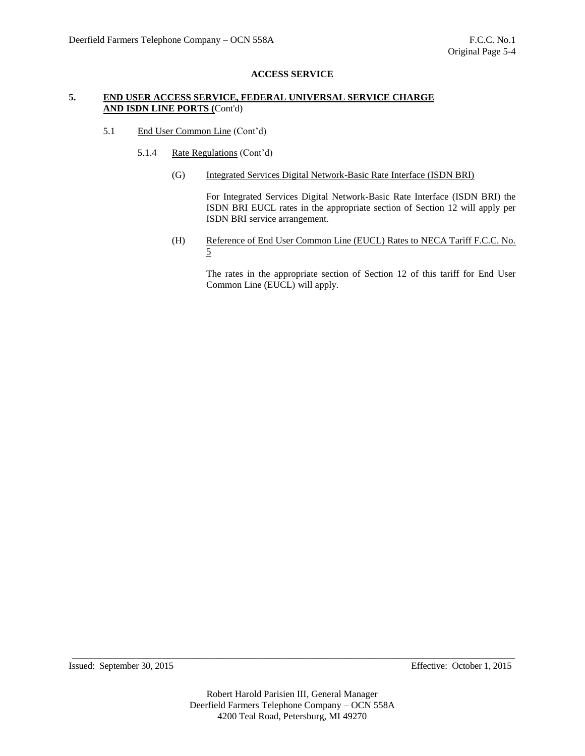## **5. END USER ACCESS SERVICE, FEDERAL UNIVERSAL SERVICE CHARGE AND ISDN LINE PORTS (**Cont'd)

- 5.1 End User Common Line (Cont'd)
	- 5.1.4 Rate Regulations (Cont'd)
		- (G) Integrated Services Digital Network-Basic Rate Interface (ISDN BRI)

For Integrated Services Digital Network-Basic Rate Interface (ISDN BRI) the ISDN BRI EUCL rates in the appropriate section of Section 12 will apply per ISDN BRI service arrangement.

(H) Reference of End User Common Line (EUCL) Rates to NECA Tariff F.C.C. No. 5

The rates in the appropriate section of Section 12 of this tariff for End User Common Line (EUCL) will apply.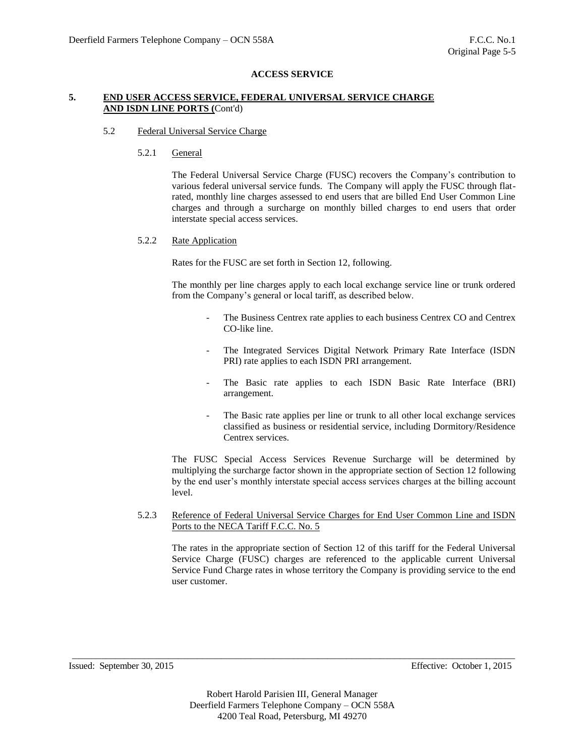## **5. END USER ACCESS SERVICE, FEDERAL UNIVERSAL SERVICE CHARGE AND ISDN LINE PORTS (**Cont'd)

### 5.2 Federal Universal Service Charge

## 5.2.1 General

The Federal Universal Service Charge (FUSC) recovers the Company's contribution to various federal universal service funds. The Company will apply the FUSC through flatrated, monthly line charges assessed to end users that are billed End User Common Line charges and through a surcharge on monthly billed charges to end users that order interstate special access services.

## 5.2.2 Rate Application

Rates for the FUSC are set forth in Section 12, following.

The monthly per line charges apply to each local exchange service line or trunk ordered from the Company's general or local tariff, as described below.

- The Business Centrex rate applies to each business Centrex CO and Centrex CO-like line.
- The Integrated Services Digital Network Primary Rate Interface (ISDN PRI) rate applies to each ISDN PRI arrangement.
- The Basic rate applies to each ISDN Basic Rate Interface (BRI) arrangement.
- The Basic rate applies per line or trunk to all other local exchange services classified as business or residential service, including Dormitory/Residence Centrex services.

The FUSC Special Access Services Revenue Surcharge will be determined by multiplying the surcharge factor shown in the appropriate section of Section 12 following by the end user's monthly interstate special access services charges at the billing account level.

5.2.3 Reference of Federal Universal Service Charges for End User Common Line and ISDN Ports to the NECA Tariff F.C.C. No. 5

The rates in the appropriate section of Section 12 of this tariff for the Federal Universal Service Charge (FUSC) charges are referenced to the applicable current Universal Service Fund Charge rates in whose territory the Company is providing service to the end user customer.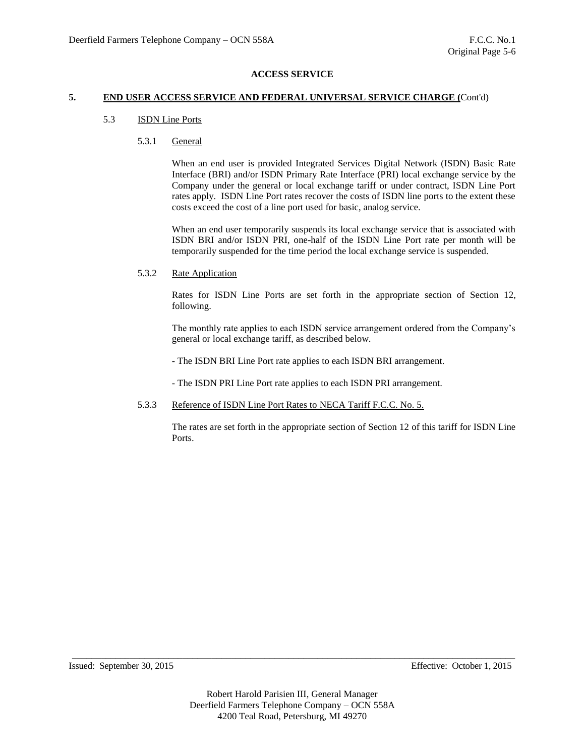### **5. END USER ACCESS SERVICE AND FEDERAL UNIVERSAL SERVICE CHARGE (**Cont'd)

## 5.3 ISDN Line Ports

## 5.3.1 General

When an end user is provided Integrated Services Digital Network (ISDN) Basic Rate Interface (BRI) and/or ISDN Primary Rate Interface (PRI) local exchange service by the Company under the general or local exchange tariff or under contract, ISDN Line Port rates apply. ISDN Line Port rates recover the costs of ISDN line ports to the extent these costs exceed the cost of a line port used for basic, analog service.

When an end user temporarily suspends its local exchange service that is associated with ISDN BRI and/or ISDN PRI, one-half of the ISDN Line Port rate per month will be temporarily suspended for the time period the local exchange service is suspended.

## 5.3.2 Rate Application

Rates for ISDN Line Ports are set forth in the appropriate section of Section 12, following.

The monthly rate applies to each ISDN service arrangement ordered from the Company's general or local exchange tariff, as described below.

- The ISDN BRI Line Port rate applies to each ISDN BRI arrangement.

- The ISDN PRI Line Port rate applies to each ISDN PRI arrangement.

#### 5.3.3 Reference of ISDN Line Port Rates to NECA Tariff F.C.C. No. 5.

The rates are set forth in the appropriate section of Section 12 of this tariff for ISDN Line Ports.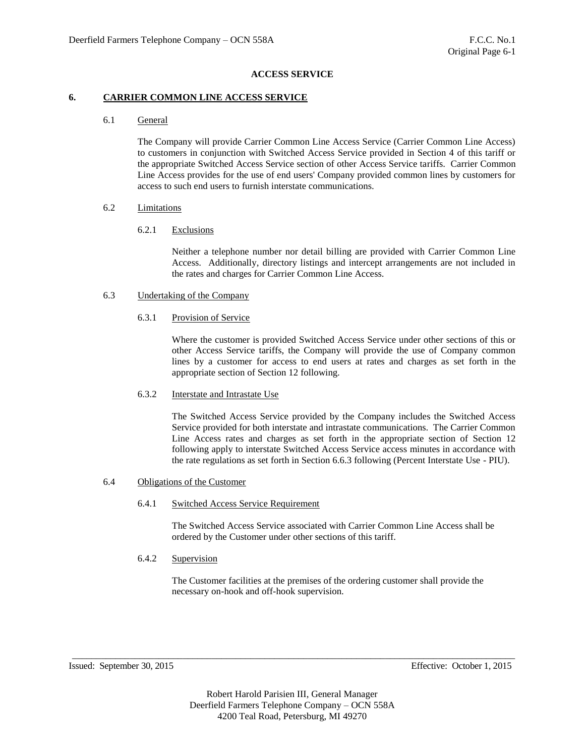### **6. CARRIER COMMON LINE ACCESS SERVICE**

### 6.1 General

The Company will provide Carrier Common Line Access Service (Carrier Common Line Access) to customers in conjunction with Switched Access Service provided in Section 4 of this tariff or the appropriate Switched Access Service section of other Access Service tariffs. Carrier Common Line Access provides for the use of end users' Company provided common lines by customers for access to such end users to furnish interstate communications.

#### 6.2 Limitations

## 6.2.1 Exclusions

Neither a telephone number nor detail billing are provided with Carrier Common Line Access. Additionally, directory listings and intercept arrangements are not included in the rates and charges for Carrier Common Line Access.

## 6.3 Undertaking of the Company

## 6.3.1 Provision of Service

Where the customer is provided Switched Access Service under other sections of this or other Access Service tariffs, the Company will provide the use of Company common lines by a customer for access to end users at rates and charges as set forth in the appropriate section of Section 12 following.

## 6.3.2 Interstate and Intrastate Use

The Switched Access Service provided by the Company includes the Switched Access Service provided for both interstate and intrastate communications. The Carrier Common Line Access rates and charges as set forth in the appropriate section of Section 12 following apply to interstate Switched Access Service access minutes in accordance with the rate regulations as set forth in Section 6.6.3 following (Percent Interstate Use - PIU).

#### 6.4 Obligations of the Customer

## 6.4.1 Switched Access Service Requirement

The Switched Access Service associated with Carrier Common Line Access shall be ordered by the Customer under other sections of this tariff.

#### 6.4.2 Supervision

The Customer facilities at the premises of the ordering customer shall provide the necessary on-hook and off-hook supervision.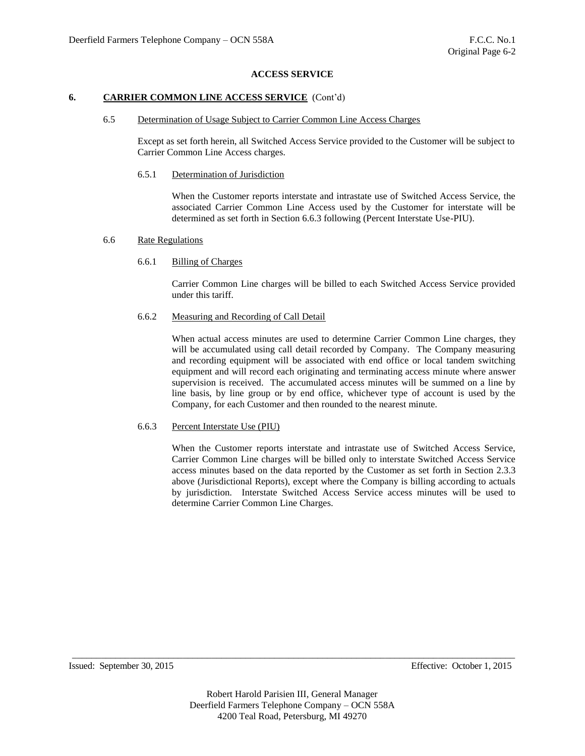### **6. CARRIER COMMON LINE ACCESS SERVICE** (Cont'd)

#### 6.5 Determination of Usage Subject to Carrier Common Line Access Charges

Except as set forth herein, all Switched Access Service provided to the Customer will be subject to Carrier Common Line Access charges.

#### 6.5.1 Determination of Jurisdiction

When the Customer reports interstate and intrastate use of Switched Access Service, the associated Carrier Common Line Access used by the Customer for interstate will be determined as set forth in Section 6.6.3 following (Percent Interstate Use-PIU).

#### 6.6 Rate Regulations

### 6.6.1 Billing of Charges

Carrier Common Line charges will be billed to each Switched Access Service provided under this tariff.

#### 6.6.2 Measuring and Recording of Call Detail

When actual access minutes are used to determine Carrier Common Line charges, they will be accumulated using call detail recorded by Company. The Company measuring and recording equipment will be associated with end office or local tandem switching equipment and will record each originating and terminating access minute where answer supervision is received. The accumulated access minutes will be summed on a line by line basis, by line group or by end office, whichever type of account is used by the Company, for each Customer and then rounded to the nearest minute.

#### 6.6.3 Percent Interstate Use (PIU)

When the Customer reports interstate and intrastate use of Switched Access Service, Carrier Common Line charges will be billed only to interstate Switched Access Service access minutes based on the data reported by the Customer as set forth in Section 2.3.3 above (Jurisdictional Reports), except where the Company is billing according to actuals by jurisdiction. Interstate Switched Access Service access minutes will be used to determine Carrier Common Line Charges.

Issued: September 30, 2015 Effective: October 1, 2015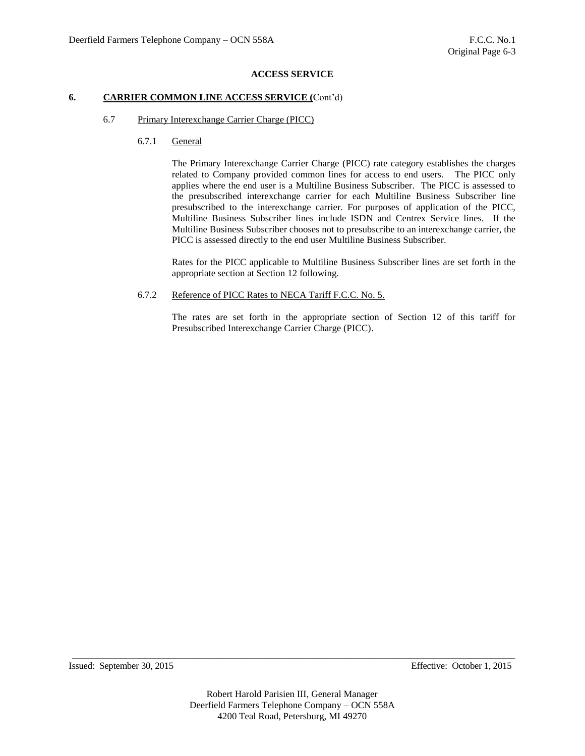## **6. CARRIER COMMON LINE ACCESS SERVICE (**Cont'd)

# 6.7 Primary Interexchange Carrier Charge (PICC)

6.7.1 General

The Primary Interexchange Carrier Charge (PICC) rate category establishes the charges related to Company provided common lines for access to end users. The PICC only applies where the end user is a Multiline Business Subscriber. The PICC is assessed to the presubscribed interexchange carrier for each Multiline Business Subscriber line presubscribed to the interexchange carrier. For purposes of application of the PICC, Multiline Business Subscriber lines include ISDN and Centrex Service lines. If the Multiline Business Subscriber chooses not to presubscribe to an interexchange carrier, the PICC is assessed directly to the end user Multiline Business Subscriber.

Rates for the PICC applicable to Multiline Business Subscriber lines are set forth in the appropriate section at Section 12 following.

6.7.2 Reference of PICC Rates to NECA Tariff F.C.C. No. 5.

The rates are set forth in the appropriate section of Section 12 of this tariff for Presubscribed Interexchange Carrier Charge (PICC).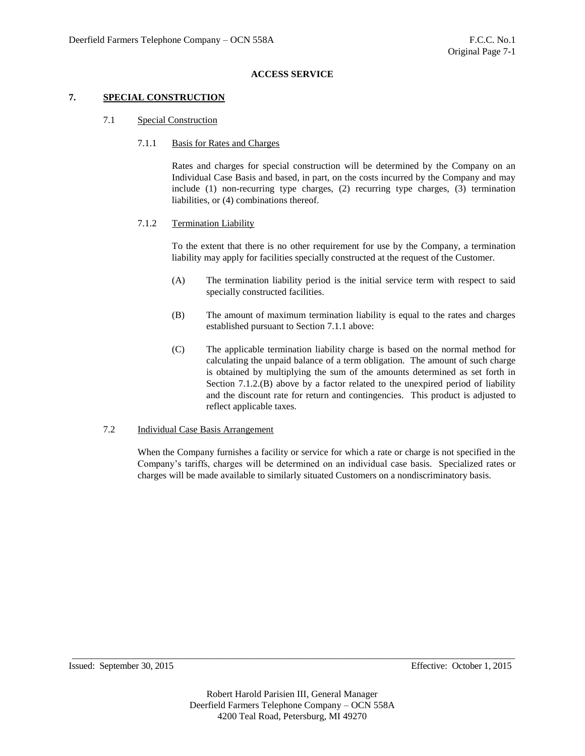## **7. SPECIAL CONSTRUCTION**

- 7.1 Special Construction
	- 7.1.1 Basis for Rates and Charges

Rates and charges for special construction will be determined by the Company on an Individual Case Basis and based, in part, on the costs incurred by the Company and may include (1) non-recurring type charges, (2) recurring type charges, (3) termination liabilities, or (4) combinations thereof.

## 7.1.2 Termination Liability

To the extent that there is no other requirement for use by the Company, a termination liability may apply for facilities specially constructed at the request of the Customer.

- (A) The termination liability period is the initial service term with respect to said specially constructed facilities.
- (B) The amount of maximum termination liability is equal to the rates and charges established pursuant to Section 7.1.1 above:
- (C) The applicable termination liability charge is based on the normal method for calculating the unpaid balance of a term obligation. The amount of such charge is obtained by multiplying the sum of the amounts determined as set forth in Section 7.1.2.(B) above by a factor related to the unexpired period of liability and the discount rate for return and contingencies. This product is adjusted to reflect applicable taxes.

## 7.2 Individual Case Basis Arrangement

When the Company furnishes a facility or service for which a rate or charge is not specified in the Company's tariffs, charges will be determined on an individual case basis. Specialized rates or charges will be made available to similarly situated Customers on a nondiscriminatory basis.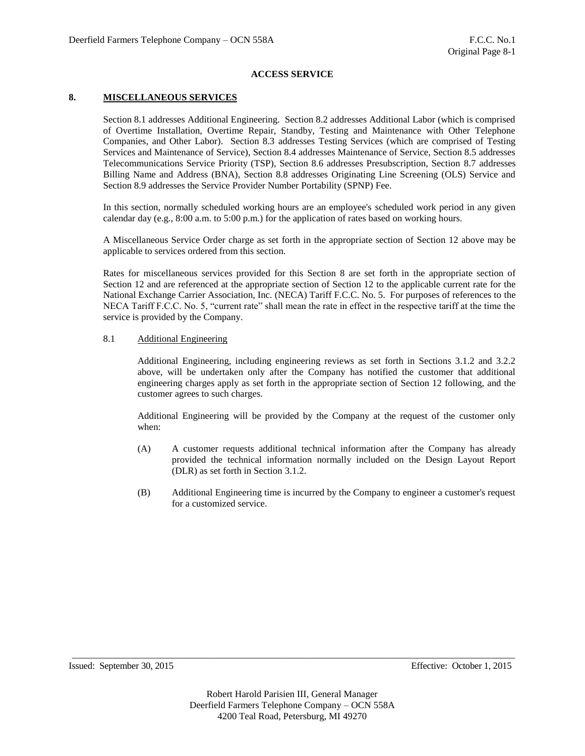## **8. MISCELLANEOUS SERVICES**

Section 8.1 addresses Additional Engineering. Section 8.2 addresses Additional Labor (which is comprised of Overtime Installation, Overtime Repair, Standby, Testing and Maintenance with Other Telephone Companies, and Other Labor). Section 8.3 addresses Testing Services (which are comprised of Testing Services and Maintenance of Service), Section 8.4 addresses Maintenance of Service, Section 8.5 addresses Telecommunications Service Priority (TSP), Section 8.6 addresses Presubscription, Section 8.7 addresses Billing Name and Address (BNA), Section 8.8 addresses Originating Line Screening (OLS) Service and Section 8.9 addresses the Service Provider Number Portability (SPNP) Fee.

In this section, normally scheduled working hours are an employee's scheduled work period in any given calendar day (e.g., 8:00 a.m. to 5:00 p.m.) for the application of rates based on working hours.

A Miscellaneous Service Order charge as set forth in the appropriate section of Section 12 above may be applicable to services ordered from this section.

Rates for miscellaneous services provided for this Section 8 are set forth in the appropriate section of Section 12 and are referenced at the appropriate section of Section 12 to the applicable current rate for the National Exchange Carrier Association, Inc. (NECA) Tariff F.C.C. No. 5. For purposes of references to the NECA Tariff F.C.C. No. 5, "current rate" shall mean the rate in effect in the respective tariff at the time the service is provided by the Company.

## 8.1 Additional Engineering

Additional Engineering, including engineering reviews as set forth in Sections 3.1.2 and 3.2.2 above, will be undertaken only after the Company has notified the customer that additional engineering charges apply as set forth in the appropriate section of Section 12 following, and the customer agrees to such charges.

Additional Engineering will be provided by the Company at the request of the customer only when:

- (A) A customer requests additional technical information after the Company has already provided the technical information normally included on the Design Layout Report (DLR) as set forth in Section 3.1.2.
- (B) Additional Engineering time is incurred by the Company to engineer a customer's request for a customized service.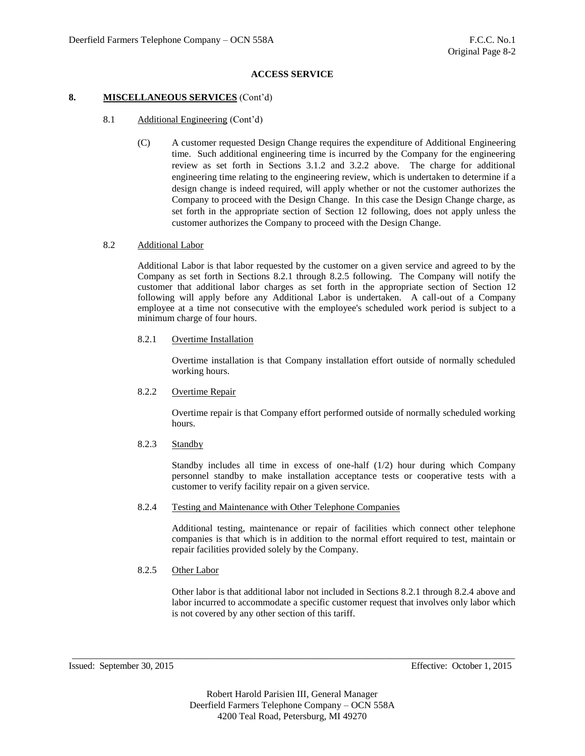## **8. MISCELLANEOUS SERVICES** (Cont'd)

## 8.1 Additional Engineering (Cont'd)

(C) A customer requested Design Change requires the expenditure of Additional Engineering time. Such additional engineering time is incurred by the Company for the engineering review as set forth in Sections 3.1.2 and 3.2.2 above. The charge for additional engineering time relating to the engineering review, which is undertaken to determine if a design change is indeed required, will apply whether or not the customer authorizes the Company to proceed with the Design Change. In this case the Design Change charge, as set forth in the appropriate section of Section 12 following, does not apply unless the customer authorizes the Company to proceed with the Design Change.

#### 8.2 Additional Labor

Additional Labor is that labor requested by the customer on a given service and agreed to by the Company as set forth in Sections 8.2.1 through 8.2.5 following. The Company will notify the customer that additional labor charges as set forth in the appropriate section of Section 12 following will apply before any Additional Labor is undertaken. A call-out of a Company employee at a time not consecutive with the employee's scheduled work period is subject to a minimum charge of four hours.

#### 8.2.1 Overtime Installation

Overtime installation is that Company installation effort outside of normally scheduled working hours.

#### 8.2.2 Overtime Repair

Overtime repair is that Company effort performed outside of normally scheduled working hours.

## 8.2.3 Standby

Standby includes all time in excess of one-half (1/2) hour during which Company personnel standby to make installation acceptance tests or cooperative tests with a customer to verify facility repair on a given service.

#### 8.2.4 Testing and Maintenance with Other Telephone Companies

Additional testing, maintenance or repair of facilities which connect other telephone companies is that which is in addition to the normal effort required to test, maintain or repair facilities provided solely by the Company.

#### 8.2.5 Other Labor

Other labor is that additional labor not included in Sections 8.2.1 through 8.2.4 above and labor incurred to accommodate a specific customer request that involves only labor which is not covered by any other section of this tariff.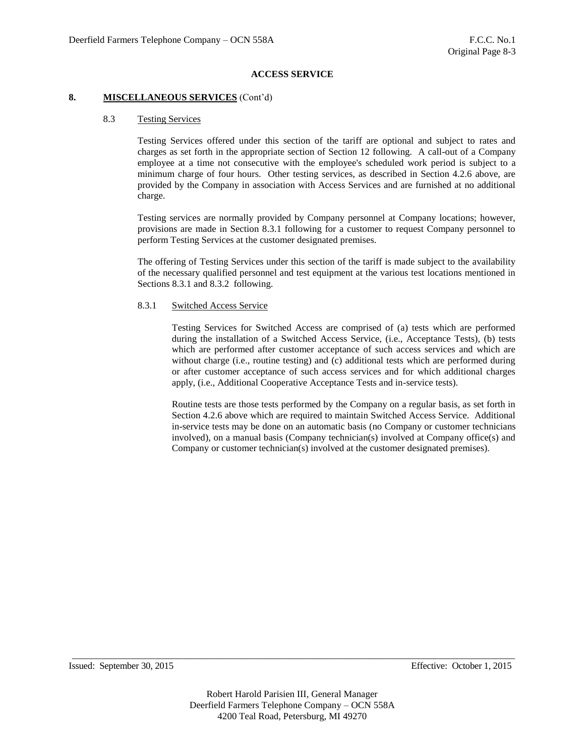### **8. MISCELLANEOUS SERVICES** (Cont'd)

## 8.3 Testing Services

Testing Services offered under this section of the tariff are optional and subject to rates and charges as set forth in the appropriate section of Section 12 following. A call-out of a Company employee at a time not consecutive with the employee's scheduled work period is subject to a minimum charge of four hours. Other testing services, as described in Section 4.2.6 above, are provided by the Company in association with Access Services and are furnished at no additional charge.

Testing services are normally provided by Company personnel at Company locations; however, provisions are made in Section 8.3.1 following for a customer to request Company personnel to perform Testing Services at the customer designated premises.

The offering of Testing Services under this section of the tariff is made subject to the availability of the necessary qualified personnel and test equipment at the various test locations mentioned in Sections 8.3.1 and 8.3.2 following.

## 8.3.1 Switched Access Service

Testing Services for Switched Access are comprised of (a) tests which are performed during the installation of a Switched Access Service, (i.e., Acceptance Tests), (b) tests which are performed after customer acceptance of such access services and which are without charge (i.e., routine testing) and (c) additional tests which are performed during or after customer acceptance of such access services and for which additional charges apply, (i.e., Additional Cooperative Acceptance Tests and in-service tests).

Routine tests are those tests performed by the Company on a regular basis, as set forth in Section 4.2.6 above which are required to maintain Switched Access Service. Additional in-service tests may be done on an automatic basis (no Company or customer technicians involved), on a manual basis (Company technician(s) involved at Company office(s) and Company or customer technician(s) involved at the customer designated premises).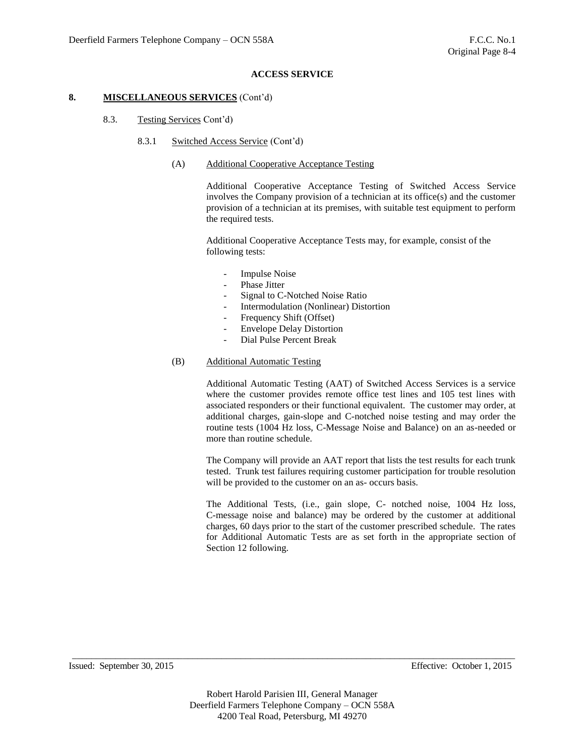## **8. MISCELLANEOUS SERVICES** (Cont'd)

- 8.3. Testing Services Cont'd)
	- 8.3.1 Switched Access Service (Cont'd)
		- (A) Additional Cooperative Acceptance Testing

Additional Cooperative Acceptance Testing of Switched Access Service involves the Company provision of a technician at its office(s) and the customer provision of a technician at its premises, with suitable test equipment to perform the required tests.

Additional Cooperative Acceptance Tests may, for example, consist of the following tests:

- Impulse Noise
- Phase Jitter
- Signal to C-Notched Noise Ratio
- Intermodulation (Nonlinear) Distortion
- Frequency Shift (Offset)
- Envelope Delay Distortion
- Dial Pulse Percent Break
- (B) Additional Automatic Testing

Additional Automatic Testing (AAT) of Switched Access Services is a service where the customer provides remote office test lines and 105 test lines with associated responders or their functional equivalent. The customer may order, at additional charges, gain-slope and C-notched noise testing and may order the routine tests (1004 Hz loss, C-Message Noise and Balance) on an as-needed or more than routine schedule.

The Company will provide an AAT report that lists the test results for each trunk tested. Trunk test failures requiring customer participation for trouble resolution will be provided to the customer on an as- occurs basis.

The Additional Tests, (i.e., gain slope, C- notched noise, 1004 Hz loss, C-message noise and balance) may be ordered by the customer at additional charges, 60 days prior to the start of the customer prescribed schedule. The rates for Additional Automatic Tests are as set forth in the appropriate section of Section 12 following.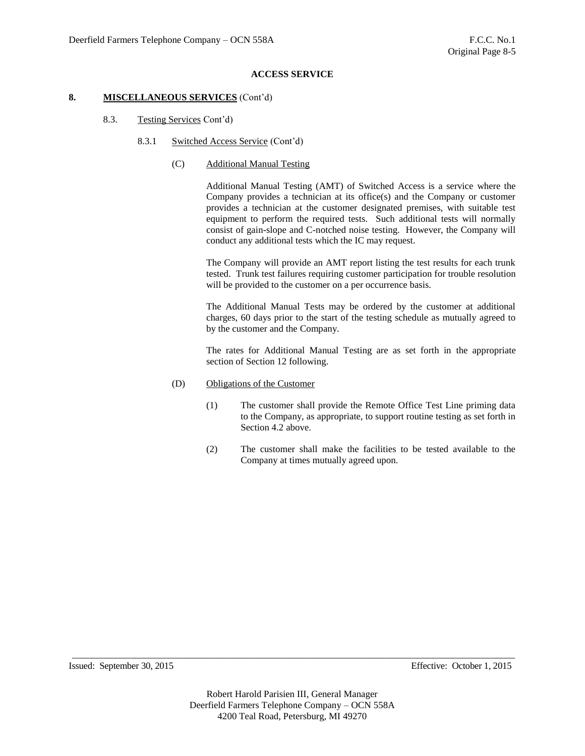## **8. MISCELLANEOUS SERVICES** (Cont'd)

- 8.3. Testing Services Cont'd)
	- 8.3.1 Switched Access Service (Cont'd)
		- (C) Additional Manual Testing

Additional Manual Testing (AMT) of Switched Access is a service where the Company provides a technician at its office(s) and the Company or customer provides a technician at the customer designated premises, with suitable test equipment to perform the required tests. Such additional tests will normally consist of gain-slope and C-notched noise testing. However, the Company will conduct any additional tests which the IC may request.

The Company will provide an AMT report listing the test results for each trunk tested. Trunk test failures requiring customer participation for trouble resolution will be provided to the customer on a per occurrence basis.

The Additional Manual Tests may be ordered by the customer at additional charges, 60 days prior to the start of the testing schedule as mutually agreed to by the customer and the Company.

The rates for Additional Manual Testing are as set forth in the appropriate section of Section 12 following.

- (D) Obligations of the Customer
	- (1) The customer shall provide the Remote Office Test Line priming data to the Company, as appropriate, to support routine testing as set forth in Section 4.2 above.
	- (2) The customer shall make the facilities to be tested available to the Company at times mutually agreed upon.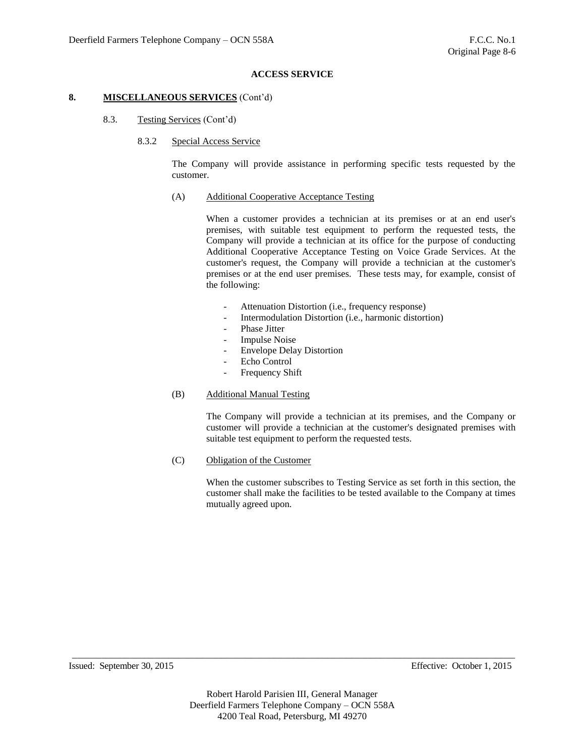## **8. MISCELLANEOUS SERVICES** (Cont'd)

- 8.3. Testing Services (Cont'd)
	- 8.3.2 Special Access Service

The Company will provide assistance in performing specific tests requested by the customer.

(A) Additional Cooperative Acceptance Testing

When a customer provides a technician at its premises or at an end user's premises, with suitable test equipment to perform the requested tests, the Company will provide a technician at its office for the purpose of conducting Additional Cooperative Acceptance Testing on Voice Grade Services. At the customer's request, the Company will provide a technician at the customer's premises or at the end user premises. These tests may, for example, consist of the following:

- Attenuation Distortion (i.e., frequency response)
- Intermodulation Distortion (i.e., harmonic distortion)
- Phase **Jitter**
- Impulse Noise
- Envelope Delay Distortion
- Echo Control
- Frequency Shift
- (B) Additional Manual Testing

The Company will provide a technician at its premises, and the Company or customer will provide a technician at the customer's designated premises with suitable test equipment to perform the requested tests.

(C) Obligation of the Customer

When the customer subscribes to Testing Service as set forth in this section, the customer shall make the facilities to be tested available to the Company at times mutually agreed upon.

Issued: September 30, 2015 Effective: October 1, 2015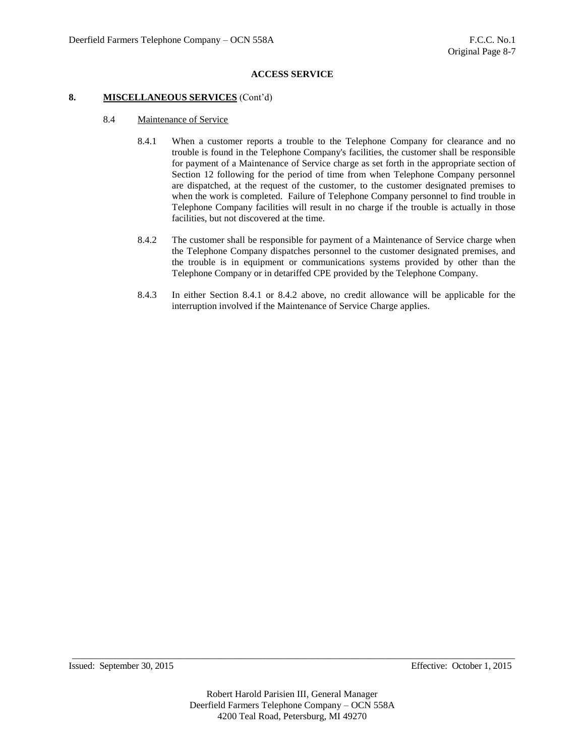#### **8. MISCELLANEOUS SERVICES** (Cont'd)

- 8.4 Maintenance of Service
	- 8.4.1 When a customer reports a trouble to the Telephone Company for clearance and no trouble is found in the Telephone Company's facilities, the customer shall be responsible for payment of a Maintenance of Service charge as set forth in the appropriate section of Section 12 following for the period of time from when Telephone Company personnel are dispatched, at the request of the customer, to the customer designated premises to when the work is completed. Failure of Telephone Company personnel to find trouble in Telephone Company facilities will result in no charge if the trouble is actually in those facilities, but not discovered at the time.
	- 8.4.2 The customer shall be responsible for payment of a Maintenance of Service charge when the Telephone Company dispatches personnel to the customer designated premises, and the trouble is in equipment or communications systems provided by other than the Telephone Company or in detariffed CPE provided by the Telephone Company.
	- 8.4.3 In either Section 8.4.1 or 8.4.2 above, no credit allowance will be applicable for the interruption involved if the Maintenance of Service Charge applies.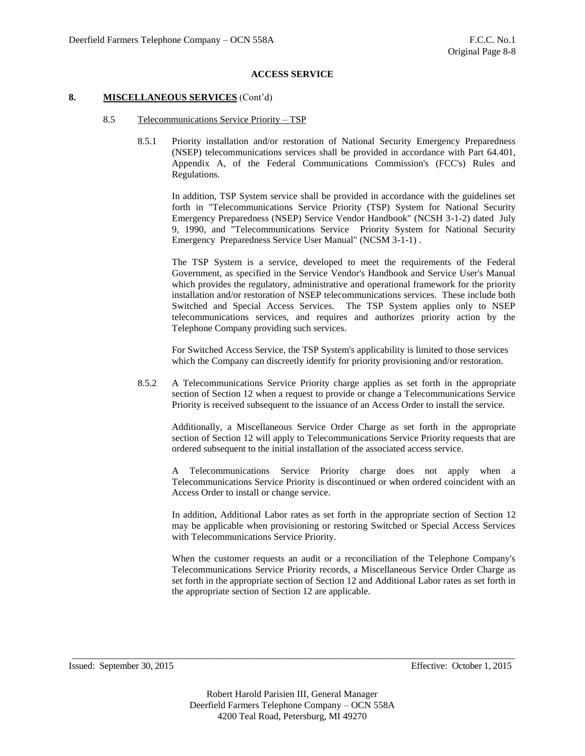#### **8. MISCELLANEOUS SERVICES** (Cont'd)

- 8.5 Telecommunications Service Priority TSP
	- 8.5.1 Priority installation and/or restoration of National Security Emergency Preparedness (NSEP) telecommunications services shall be provided in accordance with Part 64.401, Appendix A, of the Federal Communications Commission's (FCC's) Rules and Regulations.

In addition, TSP System service shall be provided in accordance with the guidelines set forth in "Telecommunications Service Priority (TSP) System for National Security Emergency Preparedness (NSEP) Service Vendor Handbook" (NCSH 3-1-2) dated July 9, 1990, and "Telecommunications Service Priority System for National Security Emergency Preparedness Service User Manual" (NCSM 3-1-1) .

The TSP System is a service, developed to meet the requirements of the Federal Government, as specified in the Service Vendor's Handbook and Service User's Manual which provides the regulatory, administrative and operational framework for the priority installation and/or restoration of NSEP telecommunications services. These include both Switched and Special Access Services. The TSP System applies only to NSEP telecommunications services, and requires and authorizes priority action by the Telephone Company providing such services.

For Switched Access Service, the TSP System's applicability is limited to those services which the Company can discreetly identify for priority provisioning and/or restoration.

8.5.2 A Telecommunications Service Priority charge applies as set forth in the appropriate section of Section 12 when a request to provide or change a Telecommunications Service Priority is received subsequent to the issuance of an Access Order to install the service.

Additionally, a Miscellaneous Service Order Charge as set forth in the appropriate section of Section 12 will apply to Telecommunications Service Priority requests that are ordered subsequent to the initial installation of the associated access service.

A Telecommunications Service Priority charge does not apply when a Telecommunications Service Priority is discontinued or when ordered coincident with an Access Order to install or change service.

In addition, Additional Labor rates as set forth in the appropriate section of Section 12 may be applicable when provisioning or restoring Switched or Special Access Services with Telecommunications Service Priority.

When the customer requests an audit or a reconciliation of the Telephone Company's Telecommunications Service Priority records, a Miscellaneous Service Order Charge as set forth in the appropriate section of Section 12 and Additional Labor rates as set forth in the appropriate section of Section 12 are applicable.

Issued: September 30, 2015 Effective: October 1, 2015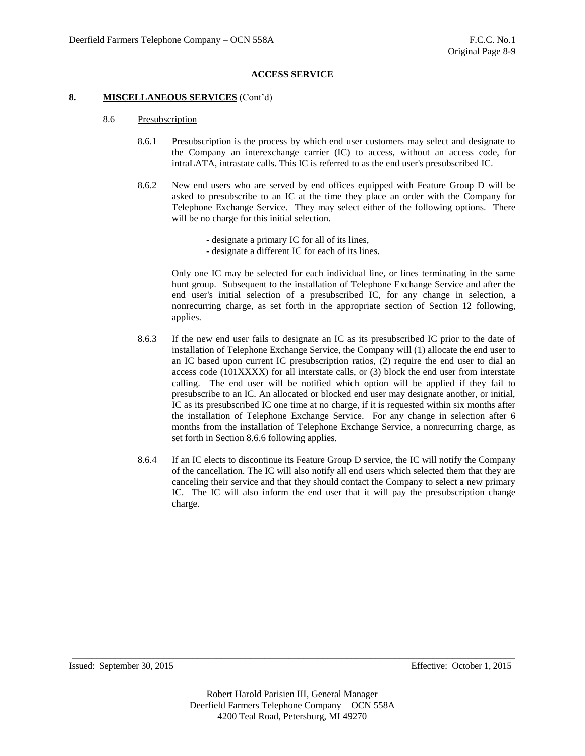#### **8. MISCELLANEOUS SERVICES** (Cont'd)

- 8.6 Presubscription
	- 8.6.1 Presubscription is the process by which end user customers may select and designate to the Company an interexchange carrier (IC) to access, without an access code, for intraLATA, intrastate calls. This IC is referred to as the end user's presubscribed IC.
	- 8.6.2 New end users who are served by end offices equipped with Feature Group D will be asked to presubscribe to an IC at the time they place an order with the Company for Telephone Exchange Service. They may select either of the following options. There will be no charge for this initial selection.
		- designate a primary IC for all of its lines,
		- designate a different IC for each of its lines.

Only one IC may be selected for each individual line, or lines terminating in the same hunt group. Subsequent to the installation of Telephone Exchange Service and after the end user's initial selection of a presubscribed IC, for any change in selection, a nonrecurring charge, as set forth in the appropriate section of Section 12 following, applies.

- 8.6.3 If the new end user fails to designate an IC as its presubscribed IC prior to the date of installation of Telephone Exchange Service, the Company will (1) allocate the end user to an IC based upon current IC presubscription ratios, (2) require the end user to dial an access code (101XXXX) for all interstate calls, or (3) block the end user from interstate calling. The end user will be notified which option will be applied if they fail to presubscribe to an IC. An allocated or blocked end user may designate another, or initial, IC as its presubscribed IC one time at no charge, if it is requested within six months after the installation of Telephone Exchange Service. For any change in selection after 6 months from the installation of Telephone Exchange Service, a nonrecurring charge, as set forth in Section 8.6.6 following applies.
- 8.6.4 If an IC elects to discontinue its Feature Group D service, the IC will notify the Company of the cancellation. The IC will also notify all end users which selected them that they are canceling their service and that they should contact the Company to select a new primary IC. The IC will also inform the end user that it will pay the presubscription change charge.

Issued: September 30, 2015 Effective: October 1, 2015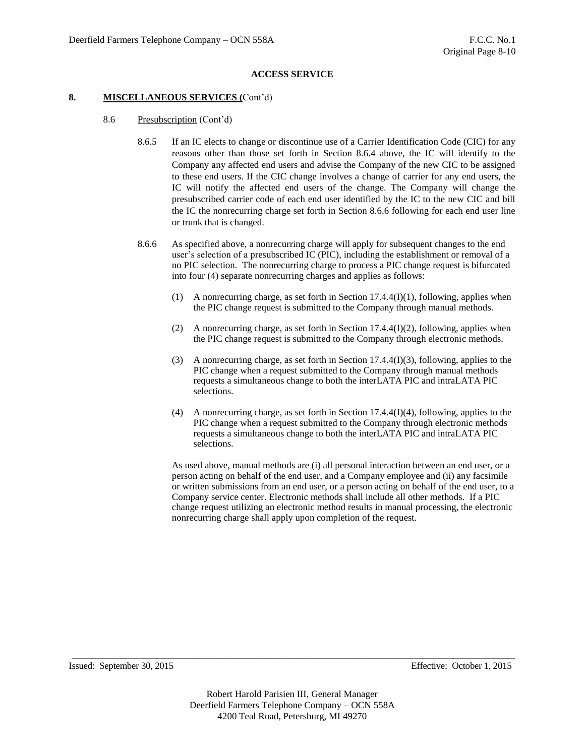### **8. MISCELLANEOUS SERVICES (**Cont'd)

- 8.6 Presubscription (Cont'd)
	- 8.6.5 If an IC elects to change or discontinue use of a Carrier Identification Code (CIC) for any reasons other than those set forth in Section 8.6.4 above, the IC will identify to the Company any affected end users and advise the Company of the new CIC to be assigned to these end users. If the CIC change involves a change of carrier for any end users, the IC will notify the affected end users of the change. The Company will change the presubscribed carrier code of each end user identified by the IC to the new CIC and bill the IC the nonrecurring charge set forth in Section 8.6.6 following for each end user line or trunk that is changed.
	- 8.6.6 As specified above, a nonrecurring charge will apply for subsequent changes to the end user's selection of a presubscribed IC (PIC), including the establishment or removal of a no PIC selection. The nonrecurring charge to process a PIC change request is bifurcated into four (4) separate nonrecurring charges and applies as follows:
		- (1) A nonrecurring charge, as set forth in Section 17.4.4(I)(1), following, applies when the PIC change request is submitted to the Company through manual methods.
		- (2) A nonrecurring charge, as set forth in Section 17.4.4(I)(2), following, applies when the PIC change request is submitted to the Company through electronic methods.
		- (3) A nonrecurring charge, as set forth in Section 17.4.4(I)(3), following, applies to the PIC change when a request submitted to the Company through manual methods requests a simultaneous change to both the interLATA PIC and intraLATA PIC selections.
		- (4) A nonrecurring charge, as set forth in Section 17.4.4(I)(4), following, applies to the PIC change when a request submitted to the Company through electronic methods requests a simultaneous change to both the interLATA PIC and intraLATA PIC selections.

As used above, manual methods are (i) all personal interaction between an end user, or a person acting on behalf of the end user, and a Company employee and (ii) any facsimile or written submissions from an end user, or a person acting on behalf of the end user, to a Company service center. Electronic methods shall include all other methods. If a PIC change request utilizing an electronic method results in manual processing, the electronic nonrecurring charge shall apply upon completion of the request.

Issued: September 30, 2015 Effective: October 1, 2015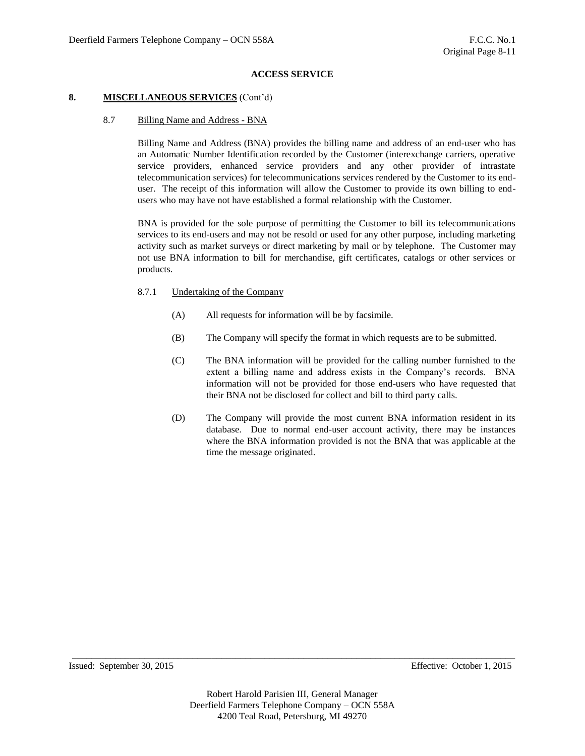## **8. MISCELLANEOUS SERVICES** (Cont'd)

### 8.7 Billing Name and Address - BNA

Billing Name and Address (BNA) provides the billing name and address of an end-user who has an Automatic Number Identification recorded by the Customer (interexchange carriers, operative service providers, enhanced service providers and any other provider of intrastate telecommunication services) for telecommunications services rendered by the Customer to its enduser. The receipt of this information will allow the Customer to provide its own billing to endusers who may have not have established a formal relationship with the Customer.

BNA is provided for the sole purpose of permitting the Customer to bill its telecommunications services to its end-users and may not be resold or used for any other purpose, including marketing activity such as market surveys or direct marketing by mail or by telephone. The Customer may not use BNA information to bill for merchandise, gift certificates, catalogs or other services or products.

- 8.7.1 Undertaking of the Company
	- (A) All requests for information will be by facsimile.
	- (B) The Company will specify the format in which requests are to be submitted.
	- (C) The BNA information will be provided for the calling number furnished to the extent a billing name and address exists in the Company's records. BNA information will not be provided for those end-users who have requested that their BNA not be disclosed for collect and bill to third party calls.
	- (D) The Company will provide the most current BNA information resident in its database. Due to normal end-user account activity, there may be instances where the BNA information provided is not the BNA that was applicable at the time the message originated.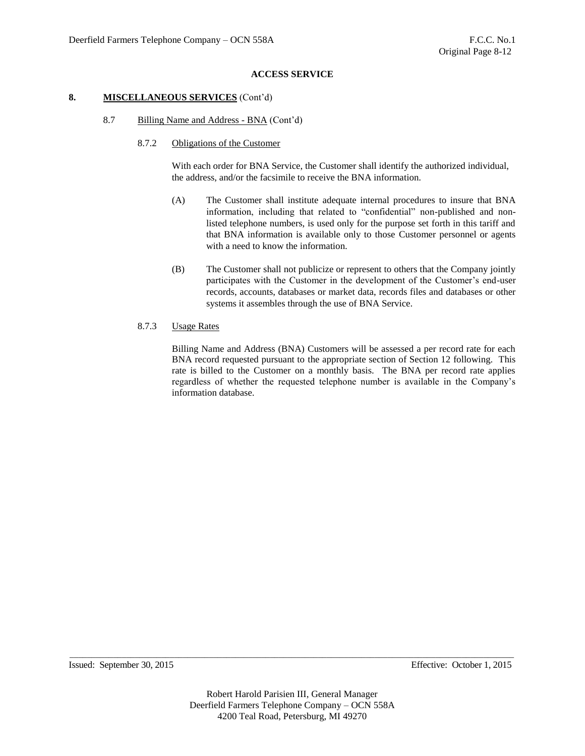### **8. MISCELLANEOUS SERVICES** (Cont'd)

- 8.7 Billing Name and Address BNA (Cont'd)
	- 8.7.2 Obligations of the Customer

With each order for BNA Service, the Customer shall identify the authorized individual, the address, and/or the facsimile to receive the BNA information.

- (A) The Customer shall institute adequate internal procedures to insure that BNA information, including that related to "confidential" non-published and nonlisted telephone numbers, is used only for the purpose set forth in this tariff and that BNA information is available only to those Customer personnel or agents with a need to know the information.
- (B) The Customer shall not publicize or represent to others that the Company jointly participates with the Customer in the development of the Customer's end-user records, accounts, databases or market data, records files and databases or other systems it assembles through the use of BNA Service.
- 8.7.3 Usage Rates

Billing Name and Address (BNA) Customers will be assessed a per record rate for each BNA record requested pursuant to the appropriate section of Section 12 following. This rate is billed to the Customer on a monthly basis. The BNA per record rate applies regardless of whether the requested telephone number is available in the Company's information database.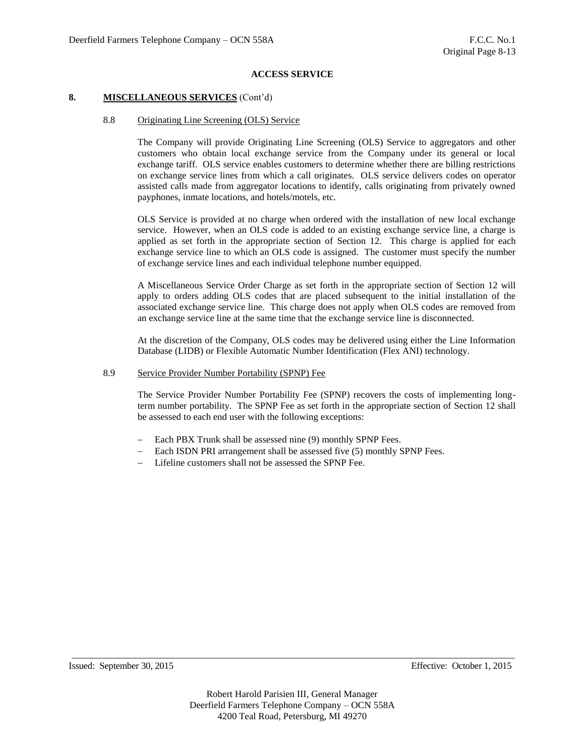### **8. MISCELLANEOUS SERVICES** (Cont'd)

### 8.8 Originating Line Screening (OLS) Service

The Company will provide Originating Line Screening (OLS) Service to aggregators and other customers who obtain local exchange service from the Company under its general or local exchange tariff. OLS service enables customers to determine whether there are billing restrictions on exchange service lines from which a call originates. OLS service delivers codes on operator assisted calls made from aggregator locations to identify, calls originating from privately owned payphones, inmate locations, and hotels/motels, etc.

OLS Service is provided at no charge when ordered with the installation of new local exchange service. However, when an OLS code is added to an existing exchange service line, a charge is applied as set forth in the appropriate section of Section 12. This charge is applied for each exchange service line to which an OLS code is assigned. The customer must specify the number of exchange service lines and each individual telephone number equipped.

A Miscellaneous Service Order Charge as set forth in the appropriate section of Section 12 will apply to orders adding OLS codes that are placed subsequent to the initial installation of the associated exchange service line. This charge does not apply when OLS codes are removed from an exchange service line at the same time that the exchange service line is disconnected.

At the discretion of the Company, OLS codes may be delivered using either the Line Information Database (LIDB) or Flexible Automatic Number Identification (Flex ANI) technology.

## 8.9 Service Provider Number Portability (SPNP) Fee

The Service Provider Number Portability Fee (SPNP) recovers the costs of implementing longterm number portability. The SPNP Fee as set forth in the appropriate section of Section 12 shall be assessed to each end user with the following exceptions:

- Each PBX Trunk shall be assessed nine (9) monthly SPNP Fees.
- Each ISDN PRI arrangement shall be assessed five (5) monthly SPNP Fees.
- Lifeline customers shall not be assessed the SPNP Fee.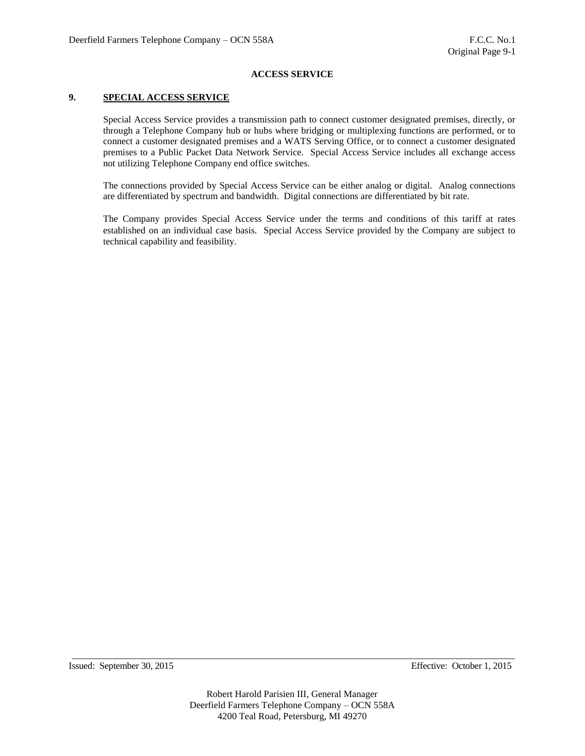## **9. SPECIAL ACCESS SERVICE**

Special Access Service provides a transmission path to connect customer designated premises, directly, or through a Telephone Company hub or hubs where bridging or multiplexing functions are performed, or to connect a customer designated premises and a WATS Serving Office, or to connect a customer designated premises to a Public Packet Data Network Service. Special Access Service includes all exchange access not utilizing Telephone Company end office switches.

The connections provided by Special Access Service can be either analog or digital. Analog connections are differentiated by spectrum and bandwidth. Digital connections are differentiated by bit rate.

The Company provides Special Access Service under the terms and conditions of this tariff at rates established on an individual case basis. Special Access Service provided by the Company are subject to technical capability and feasibility.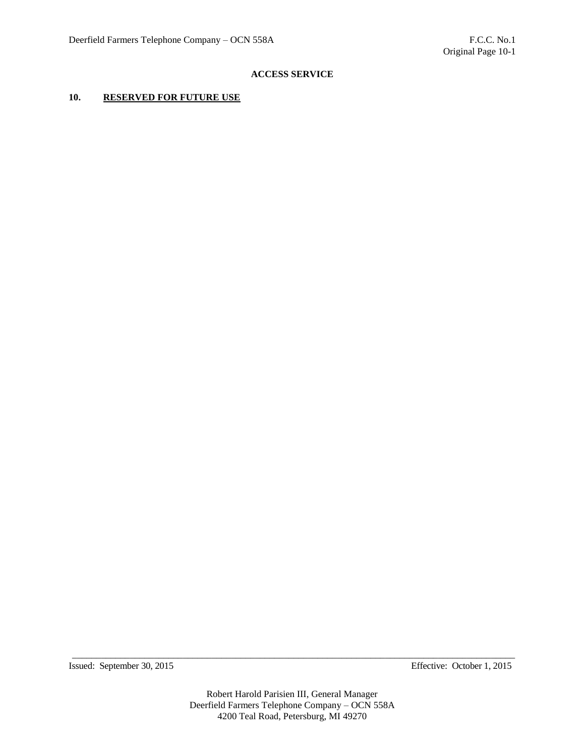# **10. RESERVED FOR FUTURE USE**

Issued: September 30, 2015 Effective: October 1, 2015

Robert Harold Parisien III, General Manager Deerfield Farmers Telephone Company – OCN 558A 4200 Teal Road, Petersburg, MI 49270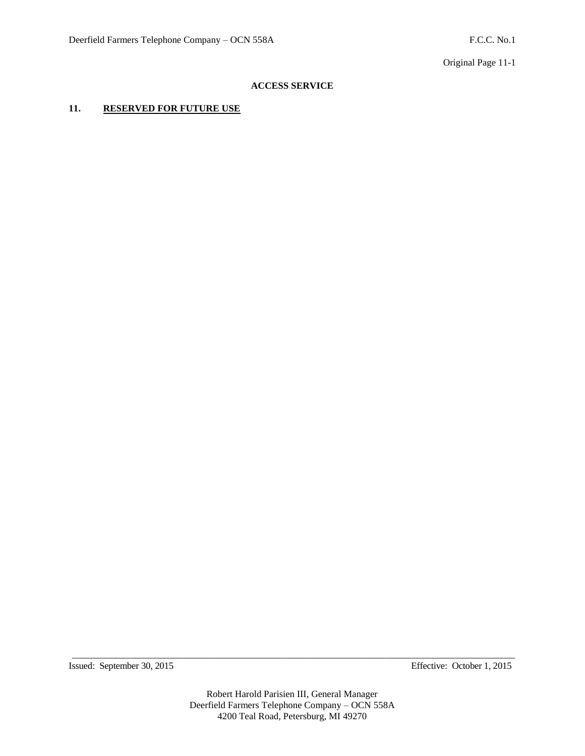Original Page 11-1

# **ACCESS SERVICE**

# **11. RESERVED FOR FUTURE USE**

Issued: September 30, 2015 Effective: October 1, 2015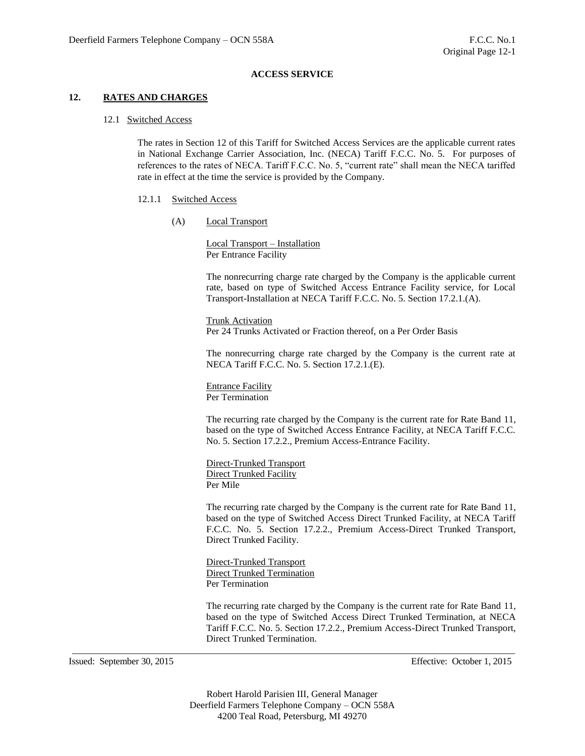## **12. RATES AND CHARGES**

#### 12.1 Switched Access

The rates in Section 12 of this Tariff for Switched Access Services are the applicable current rates in National Exchange Carrier Association, Inc. (NECA) Tariff F.C.C. No. 5. For purposes of references to the rates of NECA. Tariff F.C.C. No. 5, "current rate" shall mean the NECA tariffed rate in effect at the time the service is provided by the Company.

#### 12.1.1 Switched Access

(A) Local Transport

Local Transport – Installation Per Entrance Facility

The nonrecurring charge rate charged by the Company is the applicable current rate, based on type of Switched Access Entrance Facility service, for Local Transport-Installation at NECA Tariff F.C.C. No. 5. Section 17.2.1.(A).

Trunk Activation Per 24 Trunks Activated or Fraction thereof, on a Per Order Basis

The nonrecurring charge rate charged by the Company is the current rate at NECA Tariff F.C.C. No. 5. Section 17.2.1.(E).

Entrance Facility Per Termination

The recurring rate charged by the Company is the current rate for Rate Band 11, based on the type of Switched Access Entrance Facility, at NECA Tariff F.C.C. No. 5. Section 17.2.2., Premium Access-Entrance Facility.

Direct-Trunked Transport Direct Trunked Facility Per Mile

The recurring rate charged by the Company is the current rate for Rate Band 11, based on the type of Switched Access Direct Trunked Facility, at NECA Tariff F.C.C. No. 5. Section 17.2.2., Premium Access-Direct Trunked Transport, Direct Trunked Facility.

Direct-Trunked Transport Direct Trunked Termination Per Termination

The recurring rate charged by the Company is the current rate for Rate Band 11, based on the type of Switched Access Direct Trunked Termination, at NECA Tariff F.C.C. No. 5. Section 17.2.2., Premium Access-Direct Trunked Transport, Direct Trunked Termination.

Issued: September 30, 2015 Effective: October 1, 2015

Robert Harold Parisien III, General Manager Deerfield Farmers Telephone Company – OCN 558A 4200 Teal Road, Petersburg, MI 49270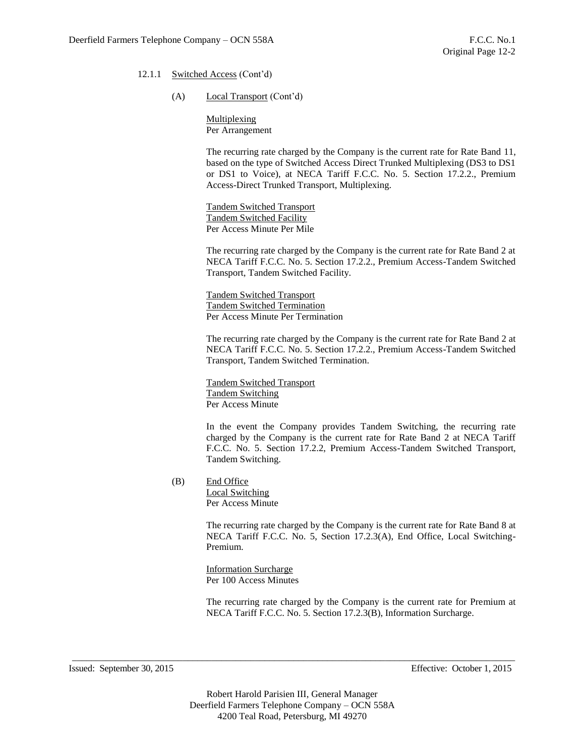- 12.1.1 Switched Access (Cont'd)
	- (A) Local Transport (Cont'd)

**Multiplexing** Per Arrangement

The recurring rate charged by the Company is the current rate for Rate Band 11, based on the type of Switched Access Direct Trunked Multiplexing (DS3 to DS1 or DS1 to Voice), at NECA Tariff F.C.C. No. 5. Section 17.2.2., Premium Access-Direct Trunked Transport, Multiplexing.

Tandem Switched Transport Tandem Switched Facility Per Access Minute Per Mile

The recurring rate charged by the Company is the current rate for Rate Band 2 at NECA Tariff F.C.C. No. 5. Section 17.2.2., Premium Access-Tandem Switched Transport, Tandem Switched Facility.

Tandem Switched Transport Tandem Switched Termination Per Access Minute Per Termination

The recurring rate charged by the Company is the current rate for Rate Band 2 at NECA Tariff F.C.C. No. 5. Section 17.2.2., Premium Access-Tandem Switched Transport, Tandem Switched Termination.

Tandem Switched Transport Tandem Switching Per Access Minute

In the event the Company provides Tandem Switching, the recurring rate charged by the Company is the current rate for Rate Band 2 at NECA Tariff F.C.C. No. 5. Section 17.2.2, Premium Access-Tandem Switched Transport, Tandem Switching.

(B) End Office

Local Switching Per Access Minute

The recurring rate charged by the Company is the current rate for Rate Band 8 at NECA Tariff F.C.C. No. 5, Section 17.2.3(A), End Office, Local Switching-Premium.

Information Surcharge Per 100 Access Minutes

The recurring rate charged by the Company is the current rate for Premium at NECA Tariff F.C.C. No. 5. Section 17.2.3(B), Information Surcharge.

Issued: September 30, 2015 Effective: October 1, 2015

Robert Harold Parisien III, General Manager Deerfield Farmers Telephone Company – OCN 558A 4200 Teal Road, Petersburg, MI 49270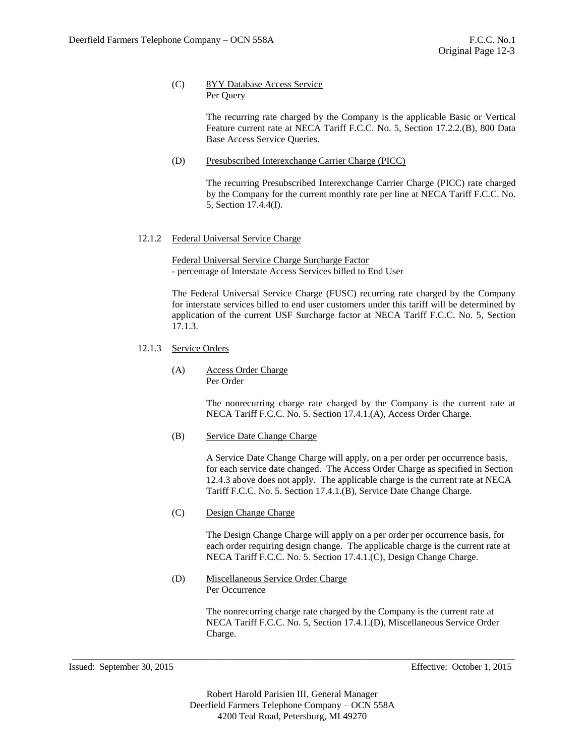## (C) 8YY Database Access Service Per Query

The recurring rate charged by the Company is the applicable Basic or Vertical Feature current rate at NECA Tariff F.C.C. No. 5, Section 17.2.2.(B), 800 Data Base Access Service Queries.

(D) Presubscribed Interexchange Carrier Charge (PICC)

The recurring Presubscribed Interexchange Carrier Charge (PICC) rate charged by the Company for the current monthly rate per line at NECA Tariff F.C.C. No. 5, Section 17.4.4(I).

# 12.1.2 Federal Universal Service Charge

Federal Universal Service Charge Surcharge Factor - percentage of Interstate Access Services billed to End User

The Federal Universal Service Charge (FUSC) recurring rate charged by the Company for interstate services billed to end user customers under this tariff will be determined by application of the current USF Surcharge factor at NECA Tariff F.C.C. No. 5, Section 17.1.3.

- 12.1.3 Service Orders
	- (A) Access Order Charge Per Order

The nonrecurring charge rate charged by the Company is the current rate at NECA Tariff F.C.C. No. 5. Section 17.4.1.(A), Access Order Charge.

## (B) Service Date Change Charge

A Service Date Change Charge will apply, on a per order per occurrence basis, for each service date changed. The Access Order Charge as specified in Section 12.4.3 above does not apply. The applicable charge is the current rate at NECA Tariff F.C.C. No. 5. Section 17.4.1.(B), Service Date Change Charge.

(C) Design Change Charge

The Design Change Charge will apply on a per order per occurrence basis, for each order requiring design change. The applicable charge is the current rate at NECA Tariff F.C.C. No. 5. Section 17.4.1.(C), Design Change Charge.

(D) Miscellaneous Service Order Charge Per Occurrence

> The nonrecurring charge rate charged by the Company is the current rate at NECA Tariff F.C.C. No. 5, Section 17.4.1.(D), Miscellaneous Service Order Charge.

Issued: September 30, 2015 Effective: October 1, 2015

Robert Harold Parisien III, General Manager Deerfield Farmers Telephone Company – OCN 558A 4200 Teal Road, Petersburg, MI 49270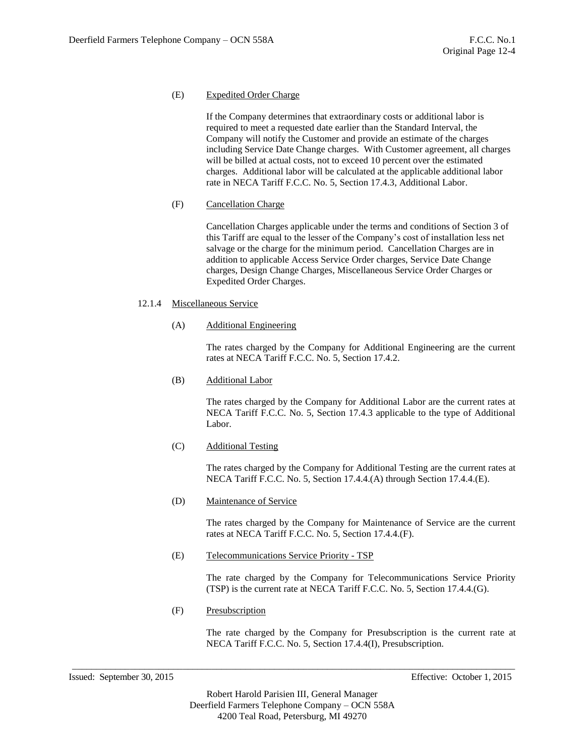# (E) Expedited Order Charge

If the Company determines that extraordinary costs or additional labor is required to meet a requested date earlier than the Standard Interval, the Company will notify the Customer and provide an estimate of the charges including Service Date Change charges. With Customer agreement, all charges will be billed at actual costs, not to exceed 10 percent over the estimated charges. Additional labor will be calculated at the applicable additional labor rate in NECA Tariff F.C.C. No. 5, Section 17.4.3, Additional Labor.

# (F) Cancellation Charge

Cancellation Charges applicable under the terms and conditions of Section 3 of this Tariff are equal to the lesser of the Company's cost of installation less net salvage or the charge for the minimum period. Cancellation Charges are in addition to applicable Access Service Order charges, Service Date Change charges, Design Change Charges, Miscellaneous Service Order Charges or Expedited Order Charges.

## 12.1.4 Miscellaneous Service

## (A) Additional Engineering

The rates charged by the Company for Additional Engineering are the current rates at NECA Tariff F.C.C. No. 5, Section 17.4.2.

(B) Additional Labor

The rates charged by the Company for Additional Labor are the current rates at NECA Tariff F.C.C. No. 5, Section 17.4.3 applicable to the type of Additional Labor.

(C) Additional Testing

The rates charged by the Company for Additional Testing are the current rates at NECA Tariff F.C.C. No. 5, Section 17.4.4.(A) through Section 17.4.4.(E).

(D) Maintenance of Service

The rates charged by the Company for Maintenance of Service are the current rates at NECA Tariff F.C.C. No. 5, Section 17.4.4.(F).

(E) Telecommunications Service Priority - TSP

The rate charged by the Company for Telecommunications Service Priority (TSP) is the current rate at NECA Tariff F.C.C. No. 5, Section 17.4.4.(G).

(F) Presubscription

The rate charged by the Company for Presubscription is the current rate at NECA Tariff F.C.C. No. 5, Section 17.4.4(I), Presubscription.